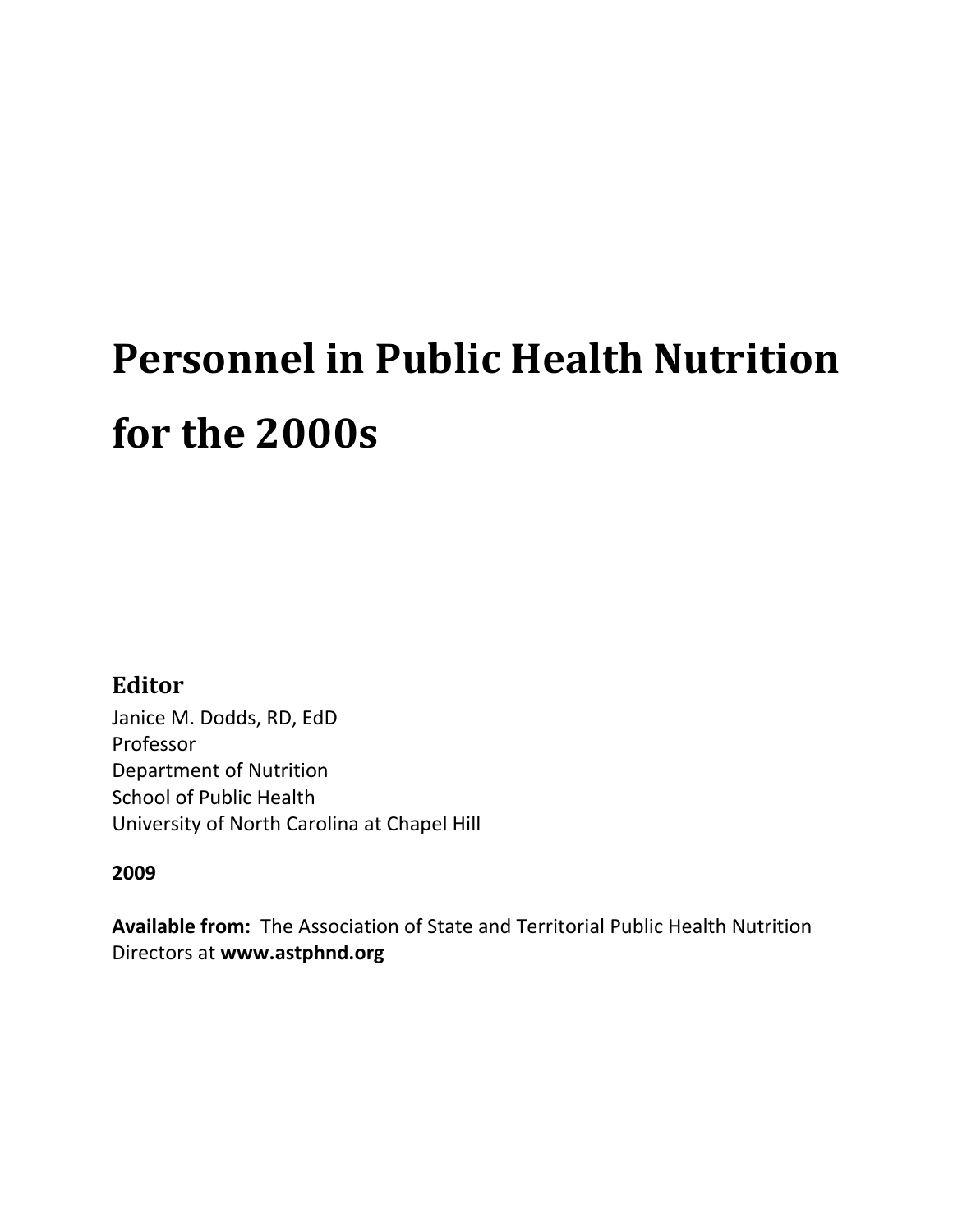# **Personnel in Public Health Nutrition for the 2000s**

# **Editor**

Janice M. Dodds, RD, EdD Professor Department of Nutrition School of Public Health University of North Carolina at Chapel Hill

# **2009**

**Available from:** The Association of State and Territorial Public Health Nutrition Directors at **www.astphnd.org**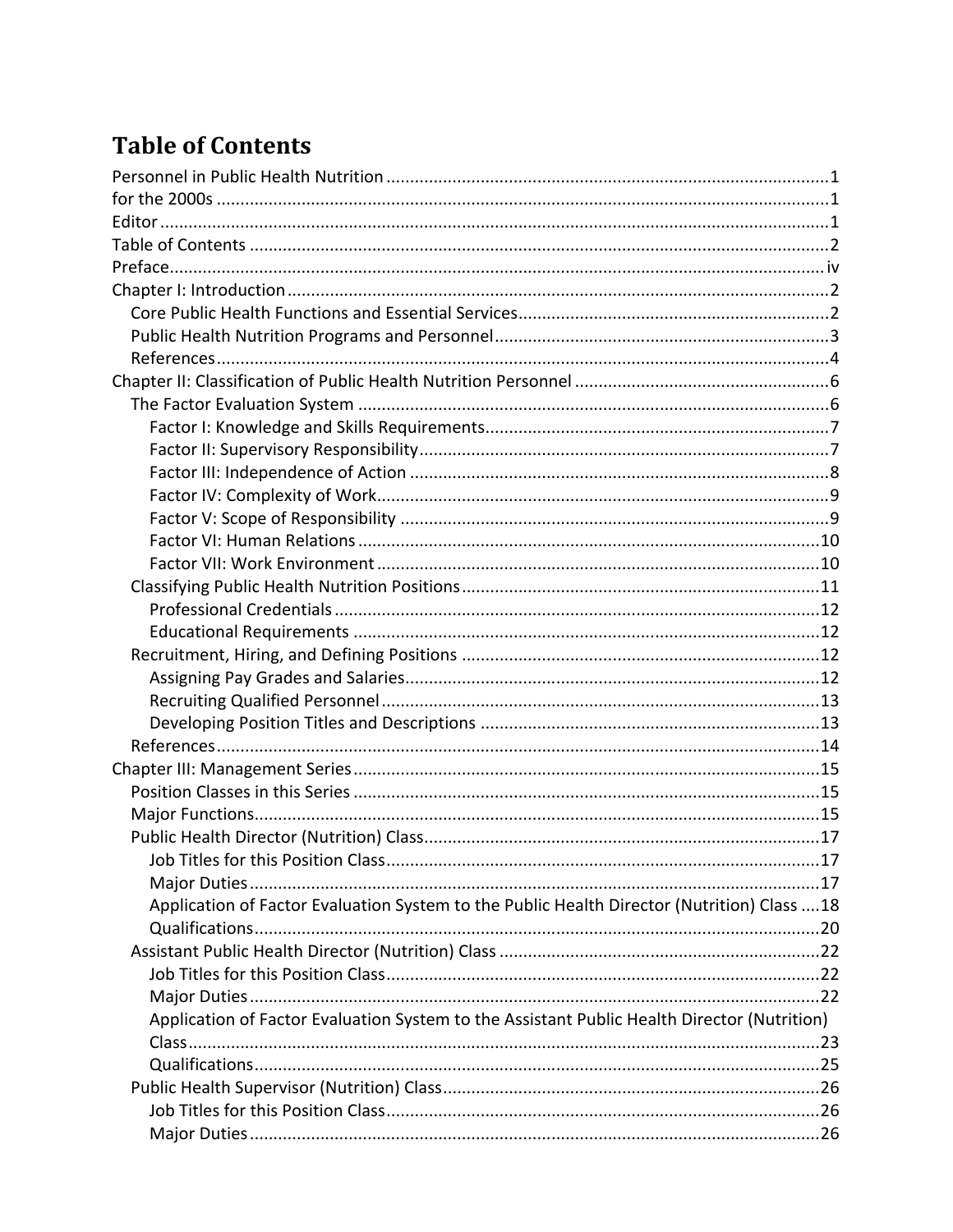# **Table of Contents**

| Application of Factor Evaluation System to the Public Health Director (Nutrition) Class  18 |  |
|---------------------------------------------------------------------------------------------|--|
|                                                                                             |  |
|                                                                                             |  |
|                                                                                             |  |
|                                                                                             |  |
| Application of Factor Evaluation System to the Assistant Public Health Director (Nutrition) |  |
|                                                                                             |  |
|                                                                                             |  |
|                                                                                             |  |
|                                                                                             |  |
|                                                                                             |  |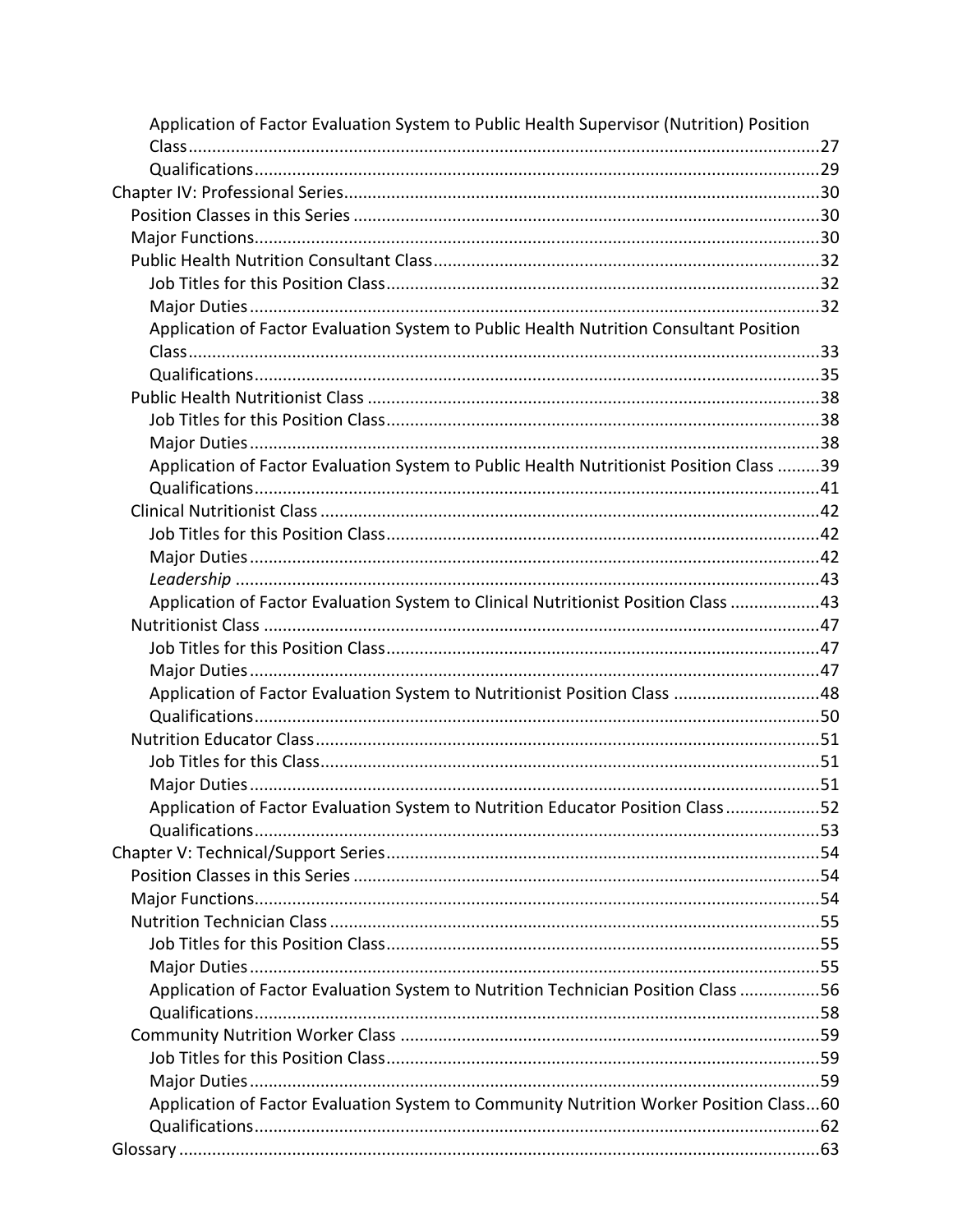| Application of Factor Evaluation System to Public Health Supervisor (Nutrition) Position |  |
|------------------------------------------------------------------------------------------|--|
|                                                                                          |  |
|                                                                                          |  |
|                                                                                          |  |
|                                                                                          |  |
|                                                                                          |  |
|                                                                                          |  |
|                                                                                          |  |
|                                                                                          |  |
| Application of Factor Evaluation System to Public Health Nutrition Consultant Position   |  |
|                                                                                          |  |
|                                                                                          |  |
|                                                                                          |  |
|                                                                                          |  |
|                                                                                          |  |
| Application of Factor Evaluation System to Public Health Nutritionist Position Class 39  |  |
|                                                                                          |  |
|                                                                                          |  |
|                                                                                          |  |
|                                                                                          |  |
|                                                                                          |  |
| Application of Factor Evaluation System to Clinical Nutritionist Position Class 43       |  |
|                                                                                          |  |
|                                                                                          |  |
|                                                                                          |  |
| Application of Factor Evaluation System to Nutritionist Position Class 48                |  |
|                                                                                          |  |
|                                                                                          |  |
|                                                                                          |  |
|                                                                                          |  |
| Application of Factor Evaluation System to Nutrition Educator Position Class52           |  |
|                                                                                          |  |
|                                                                                          |  |
|                                                                                          |  |
|                                                                                          |  |
|                                                                                          |  |
|                                                                                          |  |
|                                                                                          |  |
| Application of Factor Evaluation System to Nutrition Technician Position Class 56        |  |
|                                                                                          |  |
|                                                                                          |  |
|                                                                                          |  |
|                                                                                          |  |
| Application of Factor Evaluation System to Community Nutrition Worker Position Class60   |  |
|                                                                                          |  |
|                                                                                          |  |
|                                                                                          |  |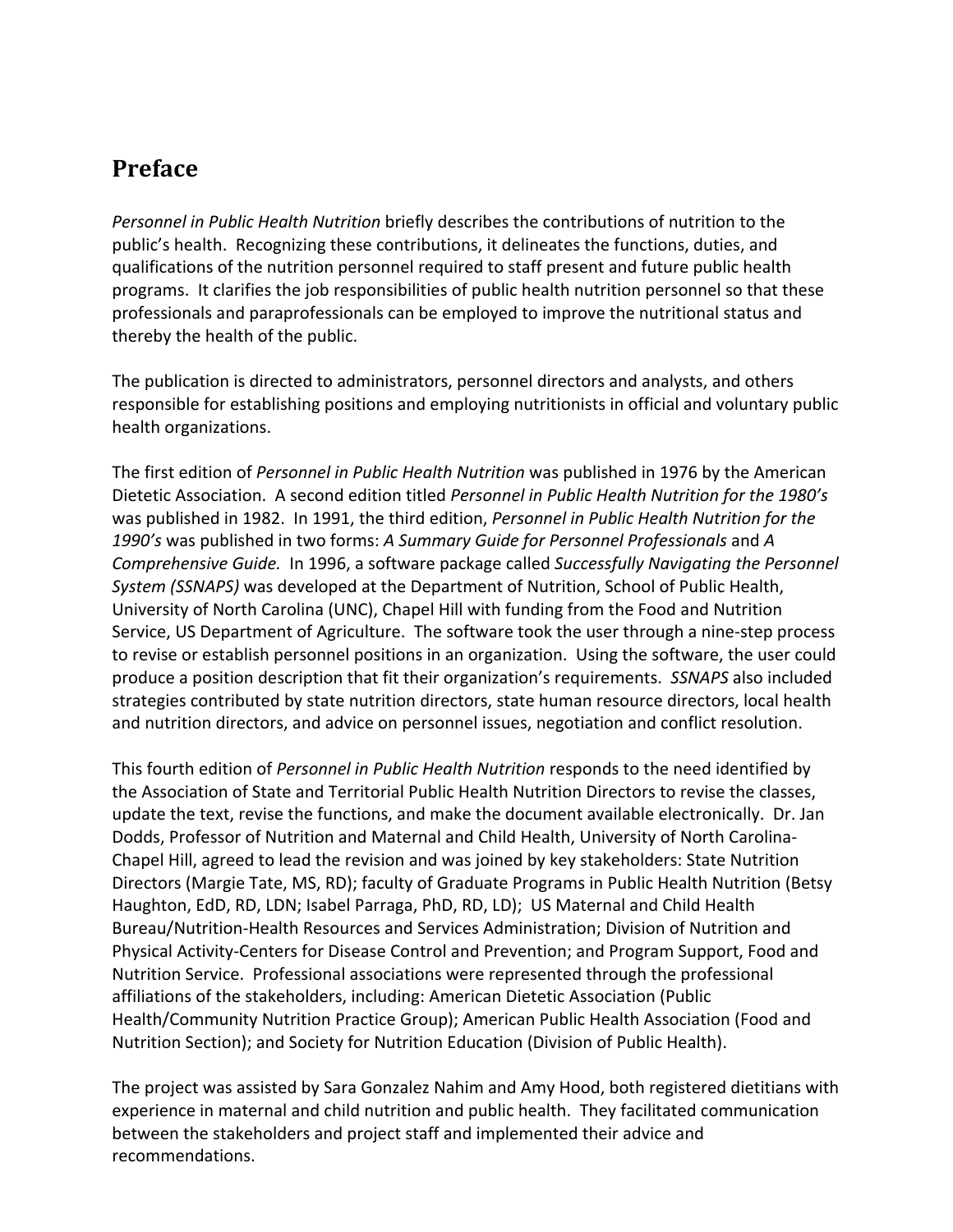# **Preface**

*Personnel in Public Health Nutrition* briefly describes the contributions of nutrition to the public's health. Recognizing these contributions, it delineates the functions, duties, and qualifications of the nutrition personnel required to staff present and future public health programs. It clarifies the job responsibilities of public health nutrition personnel so that these professionals and paraprofessionals can be employed to improve the nutritional status and thereby the health of the public.

The publication is directed to administrators, personnel directors and analysts, and others responsible for establishing positions and employing nutritionists in official and voluntary public health organizations.

The first edition of *Personnel in Public Health Nutrition* was published in 1976 by the American Dietetic Association. A second edition titled *Personnel in Public Health Nutrition for the 1980's* was published in 1982. In 1991, the third edition, *Personnel in Public Health Nutrition for the 1990's* was published in two forms: *A Summary Guide for Personnel Professionals* and *A Comprehensive Guide.* In 1996, a software package called *Successfully Navigating the Personnel System (SSNAPS)* was developed at the Department of Nutrition, School of Public Health, University of North Carolina (UNC), Chapel Hill with funding from the Food and Nutrition Service, US Department of Agriculture. The software took the user through a nine‐step process to revise or establish personnel positions in an organization. Using the software, the user could produce a position description that fit their organization's requirements. *SSNAPS* also included strategies contributed by state nutrition directors, state human resource directors, local health and nutrition directors, and advice on personnel issues, negotiation and conflict resolution.

This fourth edition of *Personnel in Public Health Nutrition* responds to the need identified by the Association of State and Territorial Public Health Nutrition Directors to revise the classes, update the text, revise the functions, and make the document available electronically. Dr. Jan Dodds, Professor of Nutrition and Maternal and Child Health, University of North Carolina‐ Chapel Hill, agreed to lead the revision and was joined by key stakeholders: State Nutrition Directors (Margie Tate, MS, RD); faculty of Graduate Programs in Public Health Nutrition (Betsy Haughton, EdD, RD, LDN; Isabel Parraga, PhD, RD, LD); US Maternal and Child Health Bureau/Nutrition‐Health Resources and Services Administration; Division of Nutrition and Physical Activity‐Centers for Disease Control and Prevention; and Program Support, Food and Nutrition Service. Professional associations were represented through the professional affiliations of the stakeholders, including: American Dietetic Association (Public Health/Community Nutrition Practice Group); American Public Health Association (Food and Nutrition Section); and Society for Nutrition Education (Division of Public Health).

The project was assisted by Sara Gonzalez Nahim and Amy Hood, both registered dietitians with experience in maternal and child nutrition and public health. They facilitated communication between the stakeholders and project staff and implemented their advice and recommendations.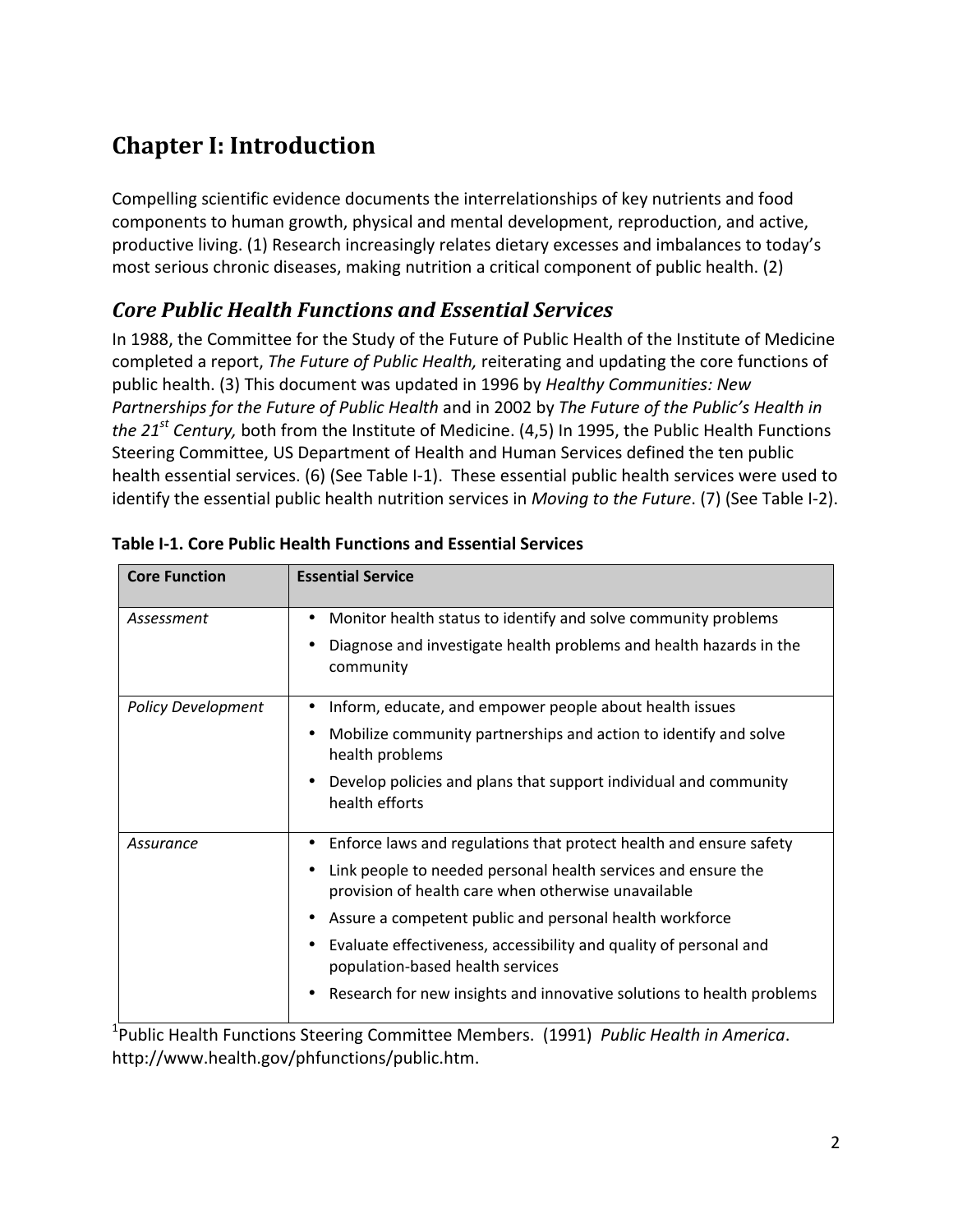# **Chapter I: Introduction**

Compelling scientific evidence documents the interrelationships of key nutrients and food components to human growth, physical and mental development, reproduction, and active, productive living. (1) Research increasingly relates dietary excesses and imbalances to today's most serious chronic diseases, making nutrition a critical component of public health. (2)

# *Core Public Health Functions and Essential Services*

In 1988, the Committee for the Study of the Future of Public Health of the Institute of Medicine completed a report, *The Future of Public Health,* reiterating and updating the core functions of public health. (3) This document was updated in 1996 by *Healthy Communities: New Partnerships for the Future of Public Health* and in 2002 by *The Future of the Public's Health in the 21st Century,* both from the Institute of Medicine. (4,5) In 1995, the Public Health Functions Steering Committee, US Department of Health and Human Services defined the ten public health essential services. (6) (See Table I-1). These essential public health services were used to identify the essential public health nutrition services in *Moving to the Future*. (7) (See Table I‐2).

| <b>Core Function</b>      | <b>Essential Service</b>                                                                                             |
|---------------------------|----------------------------------------------------------------------------------------------------------------------|
| Assessment                | Monitor health status to identify and solve community problems<br>٠                                                  |
|                           | Diagnose and investigate health problems and health hazards in the<br>٠<br>community                                 |
| <b>Policy Development</b> | Inform, educate, and empower people about health issues<br>$\bullet$                                                 |
|                           | Mobilize community partnerships and action to identify and solve<br>٠<br>health problems                             |
|                           | Develop policies and plans that support individual and community<br>$\bullet$<br>health efforts                      |
| Assurance                 | Enforce laws and regulations that protect health and ensure safety<br>٠                                              |
|                           | Link people to needed personal health services and ensure the<br>provision of health care when otherwise unavailable |
|                           | Assure a competent public and personal health workforce<br>٠                                                         |
|                           | Evaluate effectiveness, accessibility and quality of personal and<br>٠<br>population-based health services           |
|                           | Research for new insights and innovative solutions to health problems                                                |

**Table I‐1. Core Public Health Functions and Essential Services**

1 Public Health Functions Steering Committee Members. (1991) *Public Health in America*. http://www.health.gov/phfunctions/public.htm.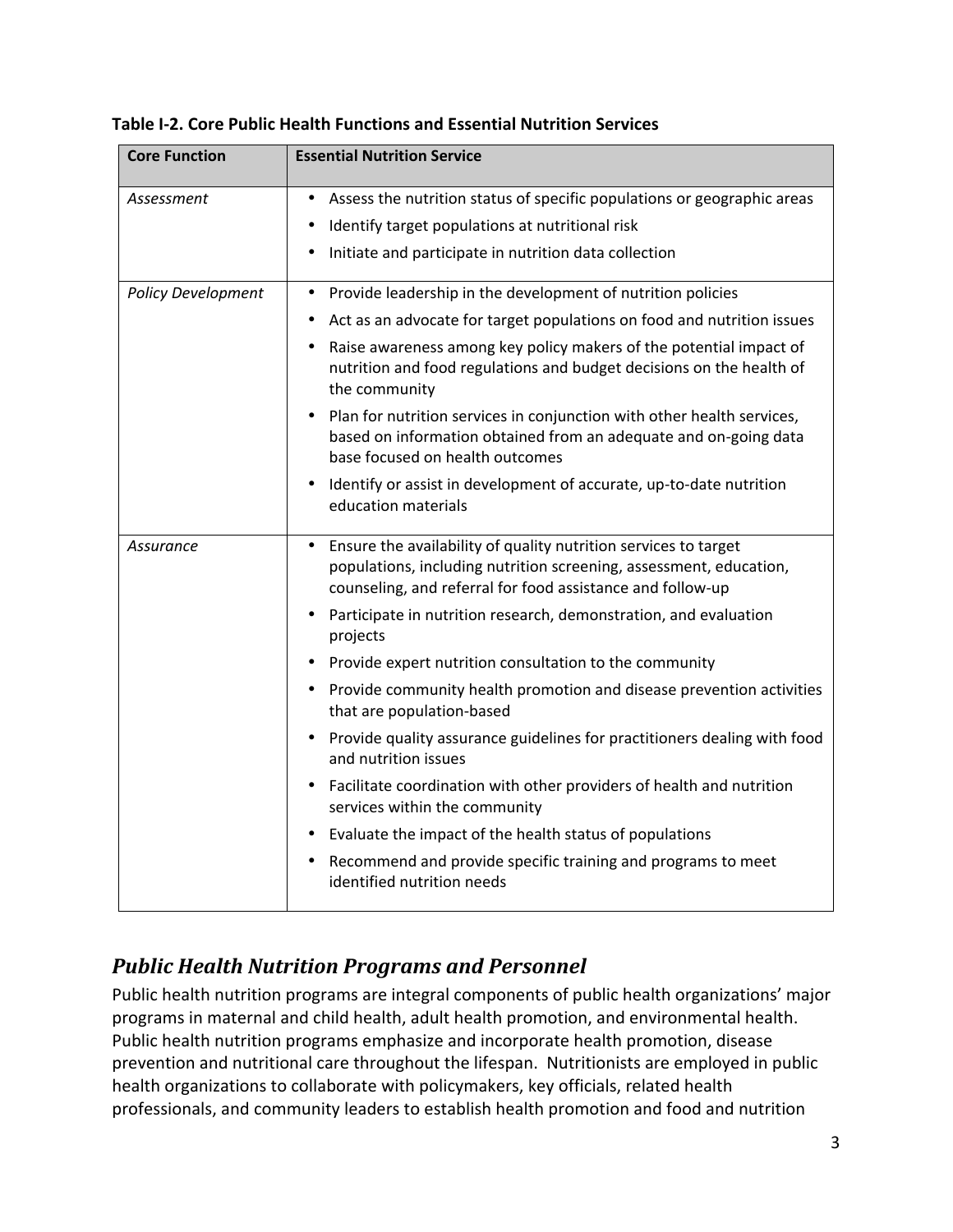| <b>Core Function</b>      | <b>Essential Nutrition Service</b>                                                                                                                                                                               |
|---------------------------|------------------------------------------------------------------------------------------------------------------------------------------------------------------------------------------------------------------|
| Assessment                | Assess the nutrition status of specific populations or geographic areas<br>$\bullet$                                                                                                                             |
|                           | Identify target populations at nutritional risk                                                                                                                                                                  |
|                           | Initiate and participate in nutrition data collection<br>٠                                                                                                                                                       |
| <b>Policy Development</b> | Provide leadership in the development of nutrition policies<br>$\bullet$                                                                                                                                         |
|                           | Act as an advocate for target populations on food and nutrition issues                                                                                                                                           |
|                           | Raise awareness among key policy makers of the potential impact of<br>nutrition and food regulations and budget decisions on the health of<br>the community                                                      |
|                           | Plan for nutrition services in conjunction with other health services,<br>$\bullet$<br>based on information obtained from an adequate and on-going data<br>base focused on health outcomes                       |
|                           | Identify or assist in development of accurate, up-to-date nutrition<br>$\bullet$<br>education materials                                                                                                          |
| Assurance                 | Ensure the availability of quality nutrition services to target<br>$\bullet$<br>populations, including nutrition screening, assessment, education,<br>counseling, and referral for food assistance and follow-up |
|                           | Participate in nutrition research, demonstration, and evaluation<br>projects                                                                                                                                     |
|                           | Provide expert nutrition consultation to the community<br>$\bullet$                                                                                                                                              |
|                           | Provide community health promotion and disease prevention activities<br>$\bullet$<br>that are population-based                                                                                                   |
|                           | Provide quality assurance guidelines for practitioners dealing with food<br>and nutrition issues                                                                                                                 |
|                           | Facilitate coordination with other providers of health and nutrition<br>$\bullet$<br>services within the community                                                                                               |
|                           | Evaluate the impact of the health status of populations                                                                                                                                                          |
|                           | Recommend and provide specific training and programs to meet<br>٠<br>identified nutrition needs                                                                                                                  |

#### **Table I‐2. Core Public Health Functions and Essential Nutrition Services**

# *Public Health Nutrition Programs and Personnel*

Public health nutrition programs are integral components of public health organizations' major programs in maternal and child health, adult health promotion, and environmental health. Public health nutrition programs emphasize and incorporate health promotion, disease prevention and nutritional care throughout the lifespan. Nutritionists are employed in public health organizations to collaborate with policymakers, key officials, related health professionals, and community leaders to establish health promotion and food and nutrition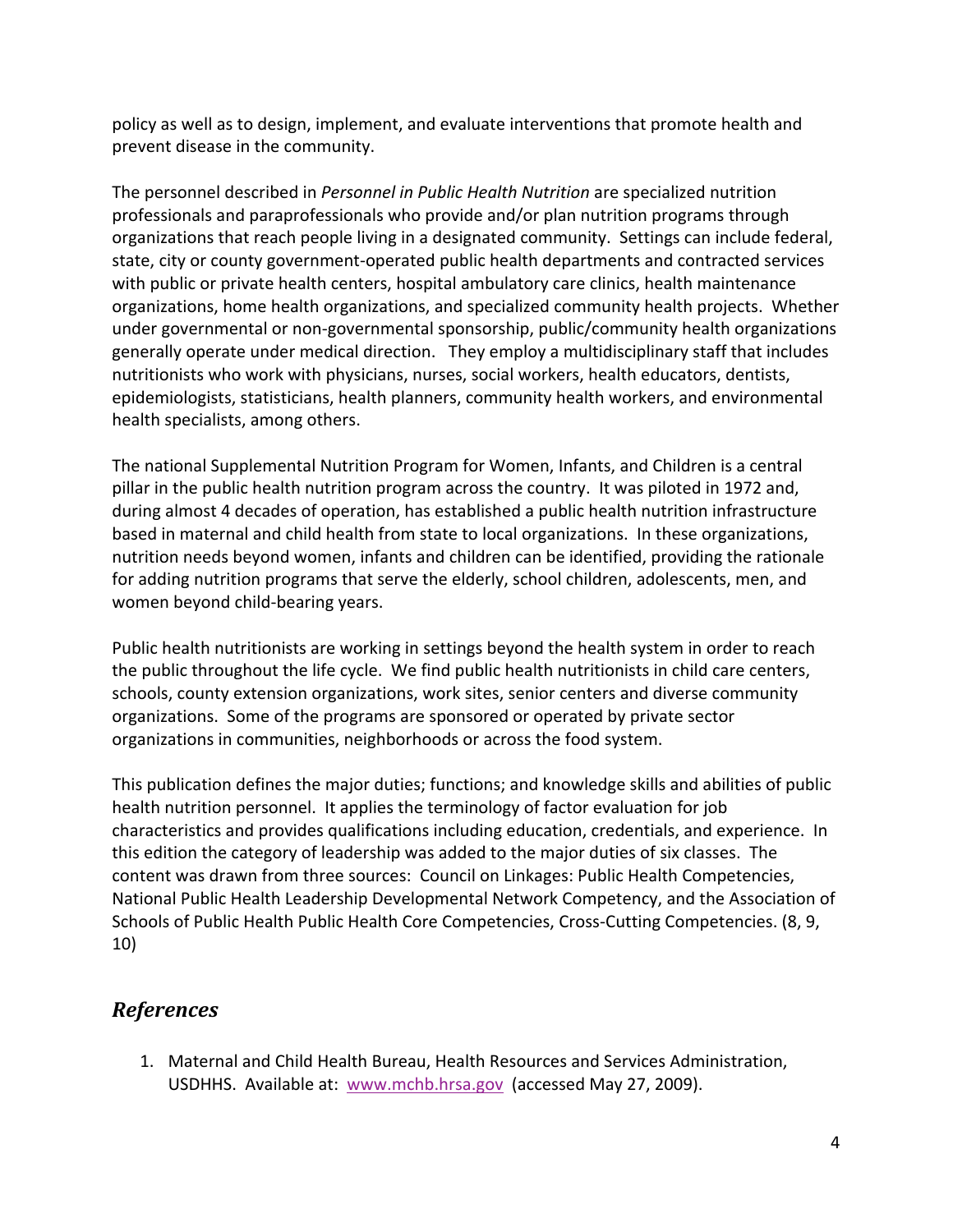policy as well as to design, implement, and evaluate interventions that promote health and prevent disease in the community.

The personnel described in *Personnel in Public Health Nutrition* are specialized nutrition professionals and paraprofessionals who provide and/or plan nutrition programs through organizations that reach people living in a designated community. Settings can include federal, state, city or county government‐operated public health departments and contracted services with public or private health centers, hospital ambulatory care clinics, health maintenance organizations, home health organizations, and specialized community health projects. Whether under governmental or non‐governmental sponsorship, public/community health organizations generally operate under medical direction. They employ a multidisciplinary staff that includes nutritionists who work with physicians, nurses, social workers, health educators, dentists, epidemiologists, statisticians, health planners, community health workers, and environmental health specialists, among others.

The national Supplemental Nutrition Program for Women, Infants, and Children is a central pillar in the public health nutrition program across the country. It was piloted in 1972 and, during almost 4 decades of operation, has established a public health nutrition infrastructure based in maternal and child health from state to local organizations. In these organizations, nutrition needs beyond women, infants and children can be identified, providing the rationale for adding nutrition programs that serve the elderly, school children, adolescents, men, and women beyond child‐bearing years.

Public health nutritionists are working in settings beyond the health system in order to reach the public throughout the life cycle. We find public health nutritionists in child care centers, schools, county extension organizations, work sites, senior centers and diverse community organizations. Some of the programs are sponsored or operated by private sector organizations in communities, neighborhoods or across the food system.

This publication defines the major duties; functions; and knowledge skills and abilities of public health nutrition personnel. It applies the terminology of factor evaluation for job characteristics and provides qualifications including education, credentials, and experience. In this edition the category of leadership was added to the major duties of six classes. The content was drawn from three sources: Council on Linkages: Public Health Competencies, National Public Health Leadership Developmental Network Competency, and the Association of Schools of Public Health Public Health Core Competencies, Cross-Cutting Competencies. (8, 9, 10)

# *References*

1. Maternal and Child Health Bureau, Health Resources and Services Administration, USDHHS. Available at: www.mchb.hrsa.gov (accessed May 27, 2009).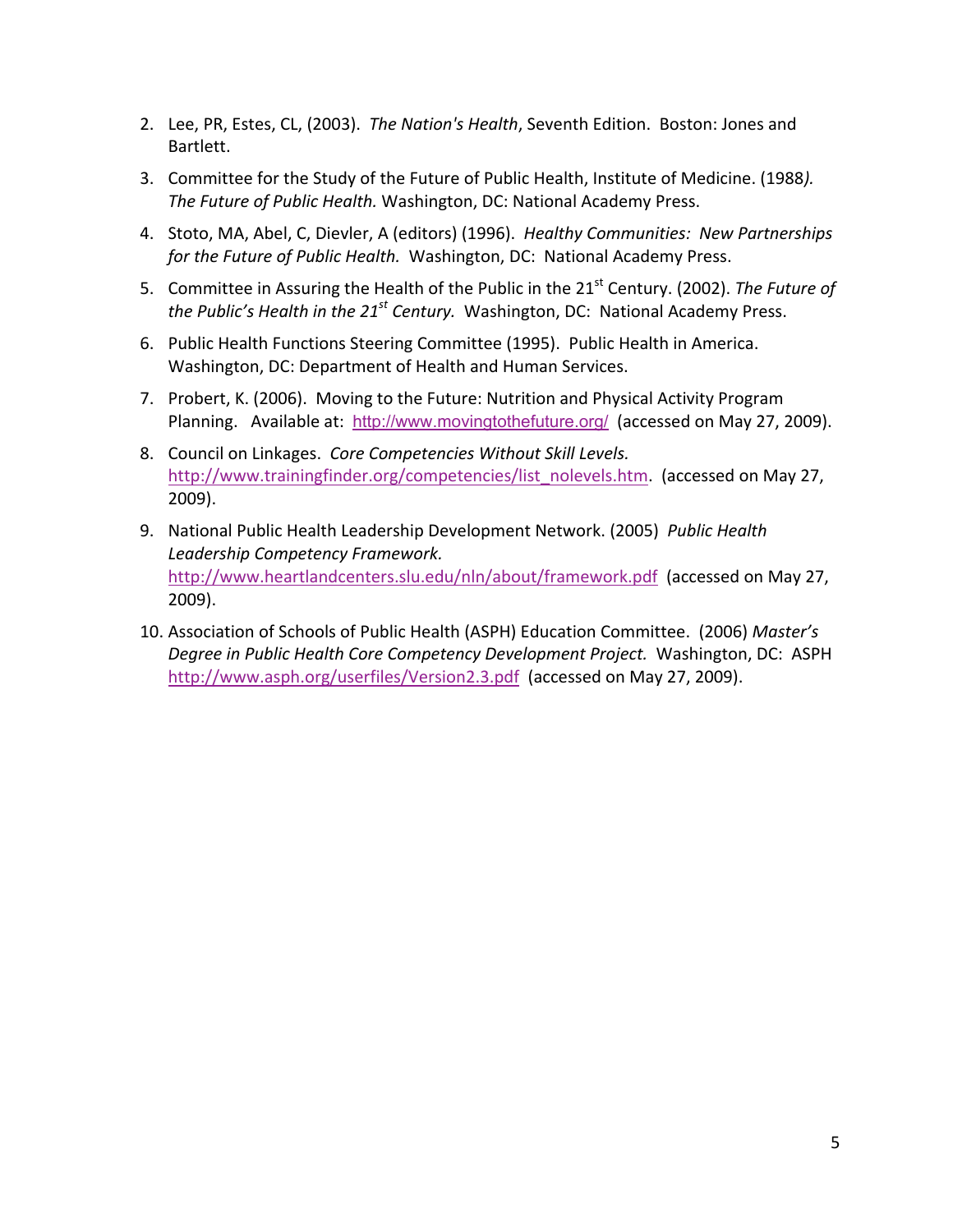- 2. Lee, PR, Estes, CL, (2003). *The Nation's Health*, Seventh Edition. Boston: Jones and Bartlett.
- 3. Committee for the Study of the Future of Public Health, Institute of Medicine. (1988*). The Future of Public Health.* Washington, DC: National Academy Press.
- 4. Stoto, MA, Abel, C, Dievler, A (editors) (1996). *Healthy Communities: New Partnerships for the Future of Public Health.*  Washington, DC: National Academy Press.
- 5. Committee in Assuring the Health of the Public in the 21<sup>st</sup> Century. (2002). *The Future of the Public's Health in the 21st Century.*  Washington, DC: National Academy Press.
- 6. Public Health Functions Steering Committee (1995). Public Health in America. Washington, DC: Department of Health and Human Services.
- 7. Probert, K. (2006). Moving to the Future: Nutrition and Physical Activity Program Planning. Available at: http://www.movingtothefuture.org/ (accessed on May 27, 2009).
- 8. Council on Linkages. *Core Competencies Without Skill Levels.* http://www.trainingfinder.org/competencies/list\_nolevels.htm. (accessed on May 27, 2009).
- 9. National Public Health Leadership Development Network. (2005) *Public Health Leadership Competency Framework.* http://www.heartlandcenters.slu.edu/nln/about/framework.pdf (accessed on May 27, 2009).
- 10. Association of Schools of Public Health (ASPH) Education Committee. (2006) *Master's Degree in Public Health Core Competency Development Project.* Washington, DC: ASPH http://www.asph.org/userfiles/Version2.3.pdf (accessed on May 27, 2009).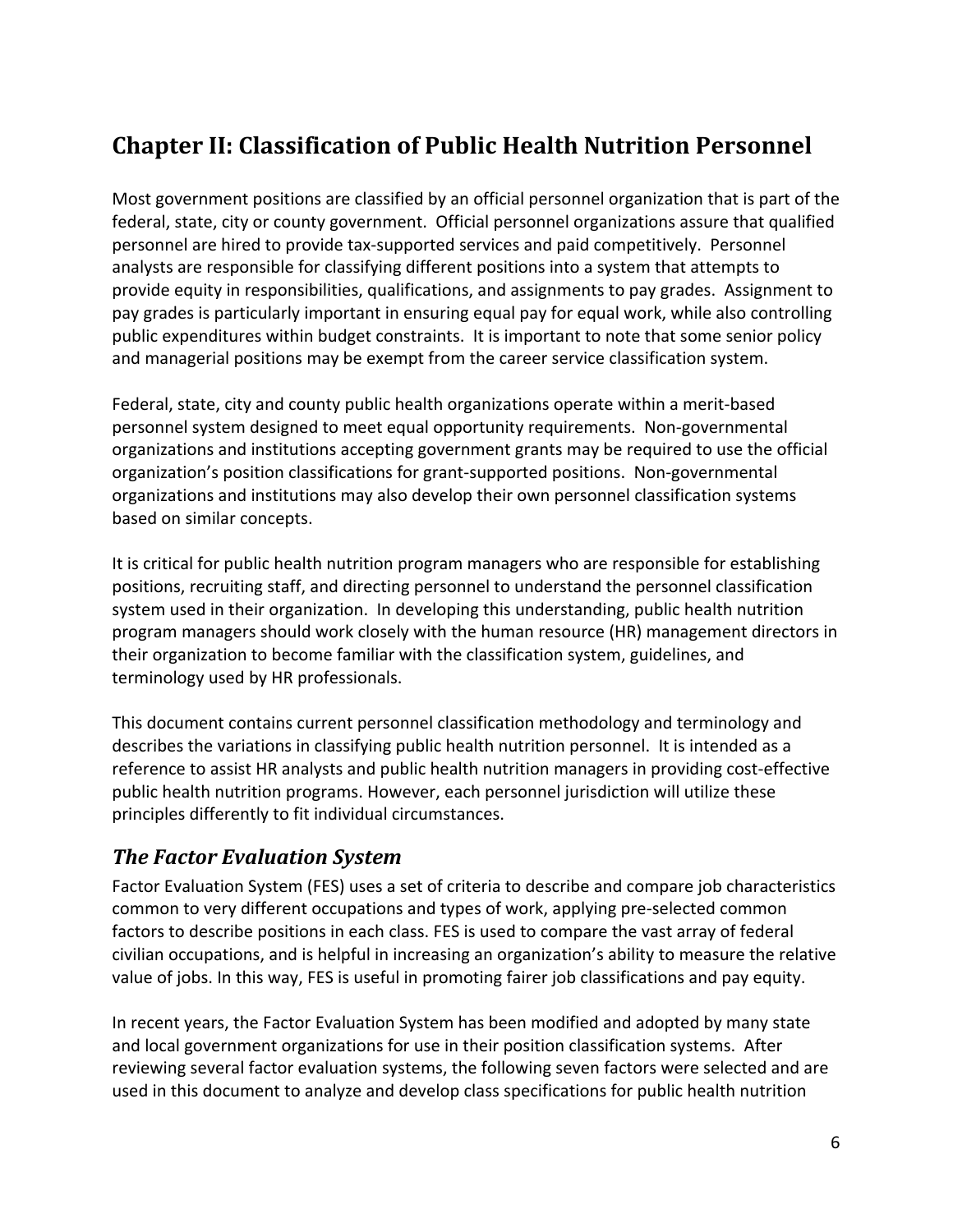# **Chapter II: Classification of Public Health Nutrition Personnel**

Most government positions are classified by an official personnel organization that is part of the federal, state, city or county government. Official personnel organizations assure that qualified personnel are hired to provide tax‐supported services and paid competitively. Personnel analysts are responsible for classifying different positions into a system that attempts to provide equity in responsibilities, qualifications, and assignments to pay grades. Assignment to pay grades is particularly important in ensuring equal pay for equal work, while also controlling public expenditures within budget constraints. It is important to note that some senior policy and managerial positions may be exempt from the career service classification system.

Federal, state, city and county public health organizations operate within a merit‐based personnel system designed to meet equal opportunity requirements. Non‐governmental organizations and institutions accepting government grants may be required to use the official organization's position classifications for grant‐supported positions. Non‐governmental organizations and institutions may also develop their own personnel classification systems based on similar concepts.

It is critical for public health nutrition program managers who are responsible for establishing positions, recruiting staff, and directing personnel to understand the personnel classification system used in their organization. In developing this understanding, public health nutrition program managers should work closely with the human resource (HR) management directors in their organization to become familiar with the classification system, guidelines, and terminology used by HR professionals.

This document contains current personnel classification methodology and terminology and describes the variations in classifying public health nutrition personnel. It is intended as a reference to assist HR analysts and public health nutrition managers in providing cost-effective public health nutrition programs. However, each personnel jurisdiction will utilize these principles differently to fit individual circumstances.

# *The Factor Evaluation System*

Factor Evaluation System (FES) uses a set of criteria to describe and compare job characteristics common to very different occupations and types of work, applying pre‐selected common factors to describe positions in each class. FES is used to compare the vast array of federal civilian occupations, and is helpful in increasing an organization's ability to measure the relative value of jobs. In this way, FES is useful in promoting fairer job classifications and pay equity.

In recent years, the Factor Evaluation System has been modified and adopted by many state and local government organizations for use in their position classification systems. After reviewing several factor evaluation systems, the following seven factors were selected and are used in this document to analyze and develop class specifications for public health nutrition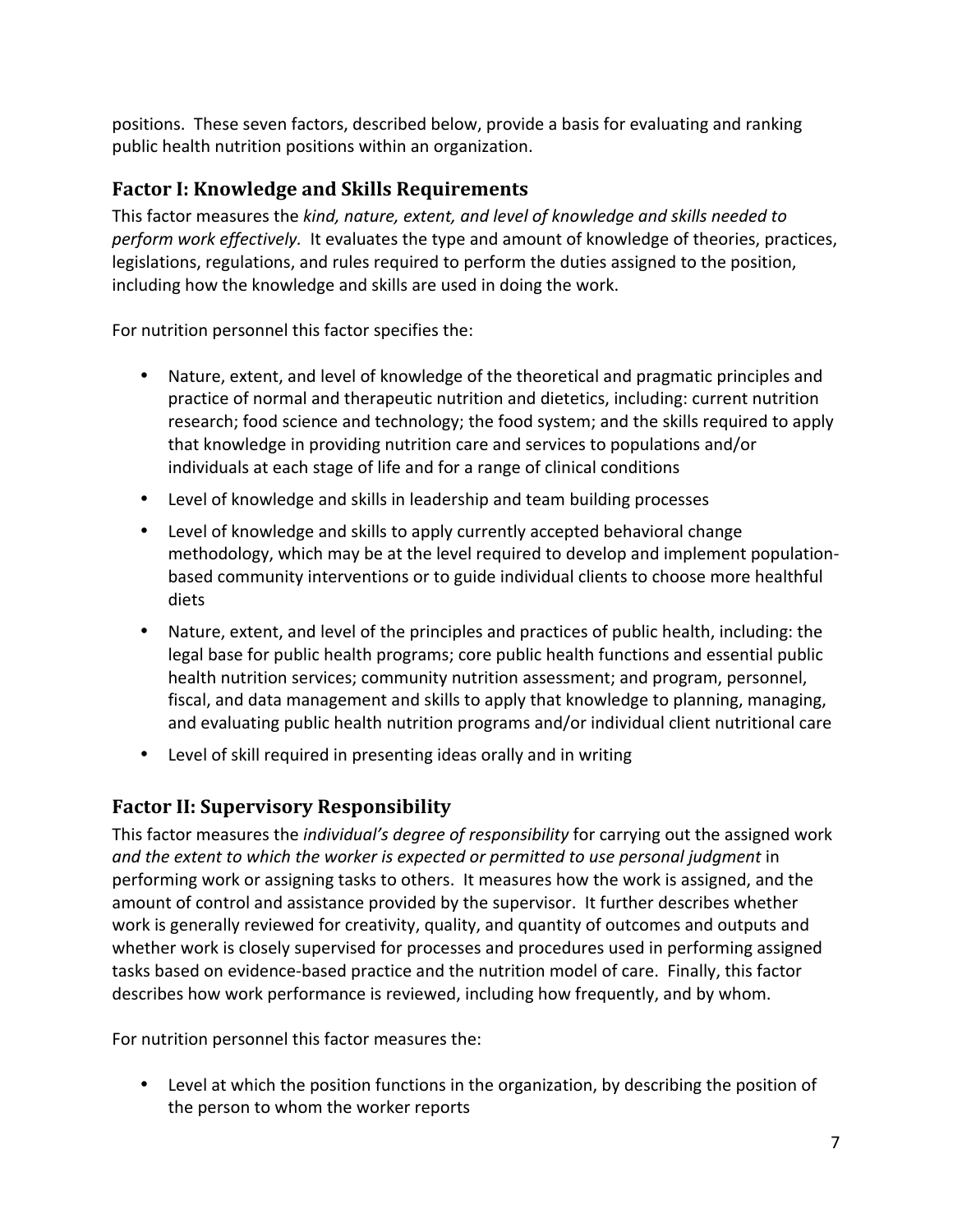positions. These seven factors, described below, provide a basis for evaluating and ranking public health nutrition positions within an organization.

# **Factor I: Knowledge and Skills Requirements**

This factor measures the *kind, nature, extent, and level of knowledge and skills needed to perform work effectively.* It evaluates the type and amount of knowledge of theories, practices, legislations, regulations, and rules required to perform the duties assigned to the position, including how the knowledge and skills are used in doing the work.

For nutrition personnel this factor specifies the:

- Nature, extent, and level of knowledge of the theoretical and pragmatic principles and practice of normal and therapeutic nutrition and dietetics, including: current nutrition research; food science and technology; the food system; and the skills required to apply that knowledge in providing nutrition care and services to populations and/or individuals at each stage of life and for a range of clinical conditions
- Level of knowledge and skills in leadership and team building processes
- Level of knowledge and skills to apply currently accepted behavioral change methodology, which may be at the level required to develop and implement population‐ based community interventions or to guide individual clients to choose more healthful diets
- Nature, extent, and level of the principles and practices of public health, including: the legal base for public health programs; core public health functions and essential public health nutrition services; community nutrition assessment; and program, personnel, fiscal, and data management and skills to apply that knowledge to planning, managing, and evaluating public health nutrition programs and/or individual client nutritional care
- Level of skill required in presenting ideas orally and in writing

# **Factor II: Supervisory Responsibility**

This factor measures the *individual's degree of responsibility* for carrying out the assigned work *and the extent to which the worker is expected or permitted to use personal judgment* in performing work or assigning tasks to others. It measures how the work is assigned, and the amount of control and assistance provided by the supervisor. It further describes whether work is generally reviewed for creativity, quality, and quantity of outcomes and outputs and whether work is closely supervised for processes and procedures used in performing assigned tasks based on evidence‐based practice and the nutrition model of care. Finally, this factor describes how work performance is reviewed, including how frequently, and by whom.

For nutrition personnel this factor measures the:

• Level at which the position functions in the organization, by describing the position of the person to whom the worker reports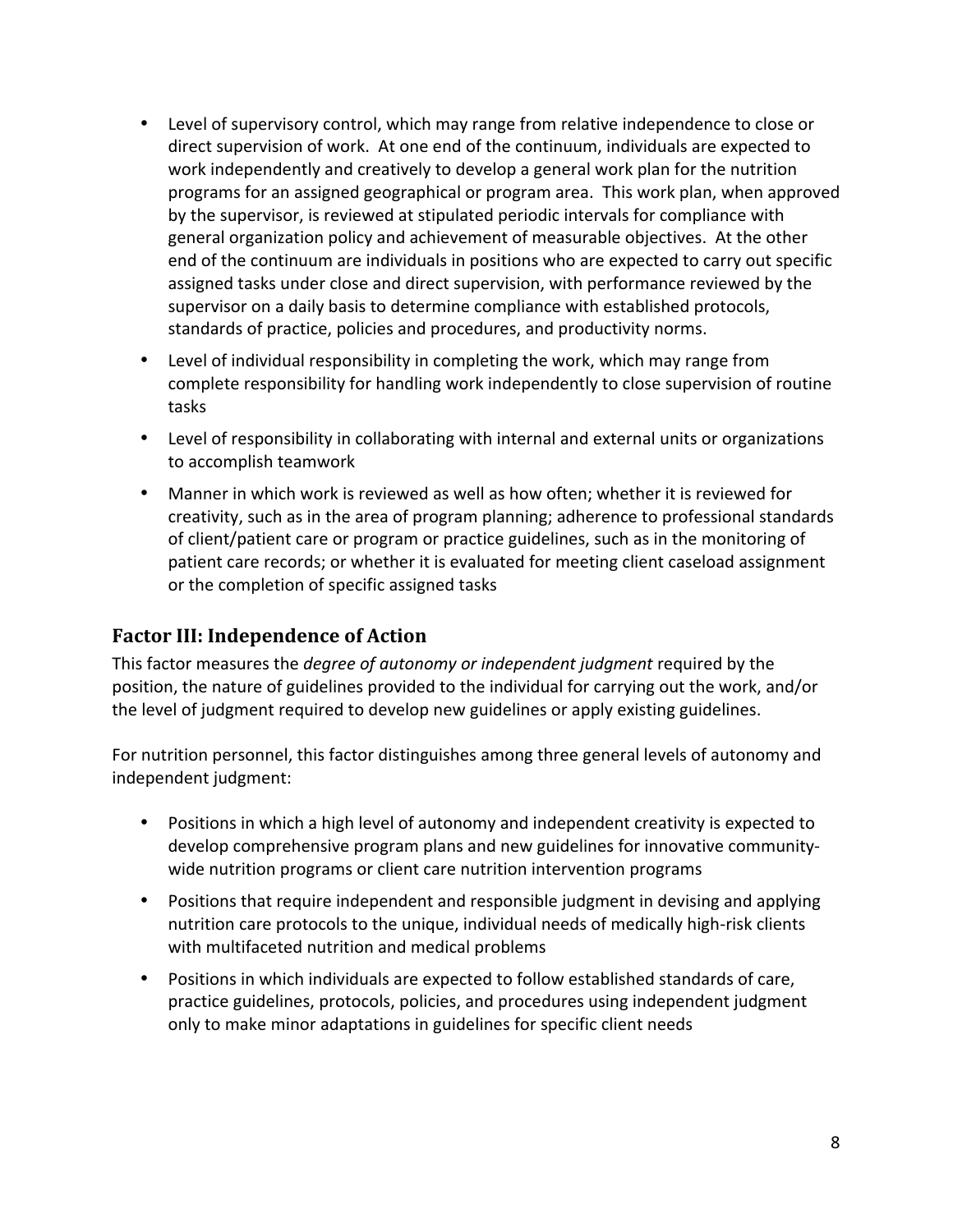- Level of supervisory control, which may range from relative independence to close or direct supervision of work. At one end of the continuum, individuals are expected to work independently and creatively to develop a general work plan for the nutrition programs for an assigned geographical or program area. This work plan, when approved by the supervisor, is reviewed at stipulated periodic intervals for compliance with general organization policy and achievement of measurable objectives. At the other end of the continuum are individuals in positions who are expected to carry out specific assigned tasks under close and direct supervision, with performance reviewed by the supervisor on a daily basis to determine compliance with established protocols, standards of practice, policies and procedures, and productivity norms.
- Level of individual responsibility in completing the work, which may range from complete responsibility for handling work independently to close supervision of routine tasks
- Level of responsibility in collaborating with internal and external units or organizations to accomplish teamwork
- Manner in which work is reviewed as well as how often; whether it is reviewed for creativity, such as in the area of program planning; adherence to professional standards of client/patient care or program or practice guidelines, such as in the monitoring of patient care records; or whether it is evaluated for meeting client caseload assignment or the completion of specific assigned tasks

# **Factor III: Independence of Action**

This factor measures the *degree of autonomy or independent judgment* required by the position, the nature of guidelines provided to the individual for carrying out the work, and/or the level of judgment required to develop new guidelines or apply existing guidelines.

For nutrition personnel, this factor distinguishes among three general levels of autonomy and independent judgment:

- Positions in which a high level of autonomy and independent creativity is expected to develop comprehensive program plans and new guidelines for innovative community‐ wide nutrition programs or client care nutrition intervention programs
- Positions that require independent and responsible judgment in devising and applying nutrition care protocols to the unique, individual needs of medically high‐risk clients with multifaceted nutrition and medical problems
- Positions in which individuals are expected to follow established standards of care, practice guidelines, protocols, policies, and procedures using independent judgment only to make minor adaptations in guidelines for specific client needs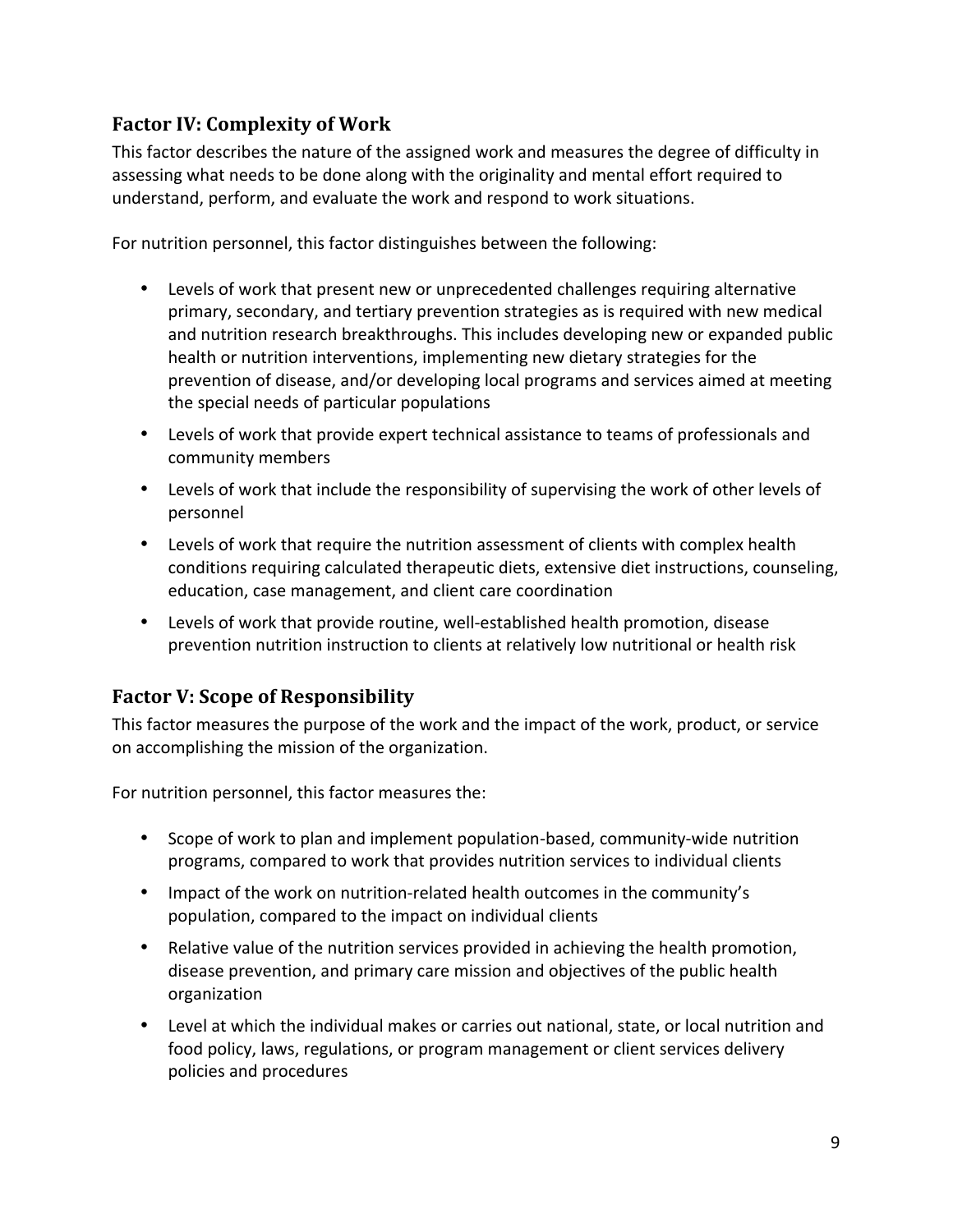# **Factor IV: Complexity of Work**

This factor describes the nature of the assigned work and measures the degree of difficulty in assessing what needs to be done along with the originality and mental effort required to understand, perform, and evaluate the work and respond to work situations.

For nutrition personnel, this factor distinguishes between the following:

- Levels of work that present new or unprecedented challenges requiring alternative primary, secondary, and tertiary prevention strategies as is required with new medical and nutrition research breakthroughs. This includes developing new or expanded public health or nutrition interventions, implementing new dietary strategies for the prevention of disease, and/or developing local programs and services aimed at meeting the special needs of particular populations
- Levels of work that provide expert technical assistance to teams of professionals and community members
- Levels of work that include the responsibility of supervising the work of other levels of personnel
- Levels of work that require the nutrition assessment of clients with complex health conditions requiring calculated therapeutic diets, extensive diet instructions, counseling, education, case management, and client care coordination
- Levels of work that provide routine, well-established health promotion, disease prevention nutrition instruction to clients at relatively low nutritional or health risk

# **Factor V: Scope of Responsibility**

This factor measures the purpose of the work and the impact of the work, product, or service on accomplishing the mission of the organization.

For nutrition personnel, this factor measures the:

- Scope of work to plan and implement population-based, community-wide nutrition programs, compared to work that provides nutrition services to individual clients
- Impact of the work on nutrition-related health outcomes in the community's population, compared to the impact on individual clients
- Relative value of the nutrition services provided in achieving the health promotion, disease prevention, and primary care mission and objectives of the public health organization
- Level at which the individual makes or carries out national, state, or local nutrition and food policy, laws, regulations, or program management or client services delivery policies and procedures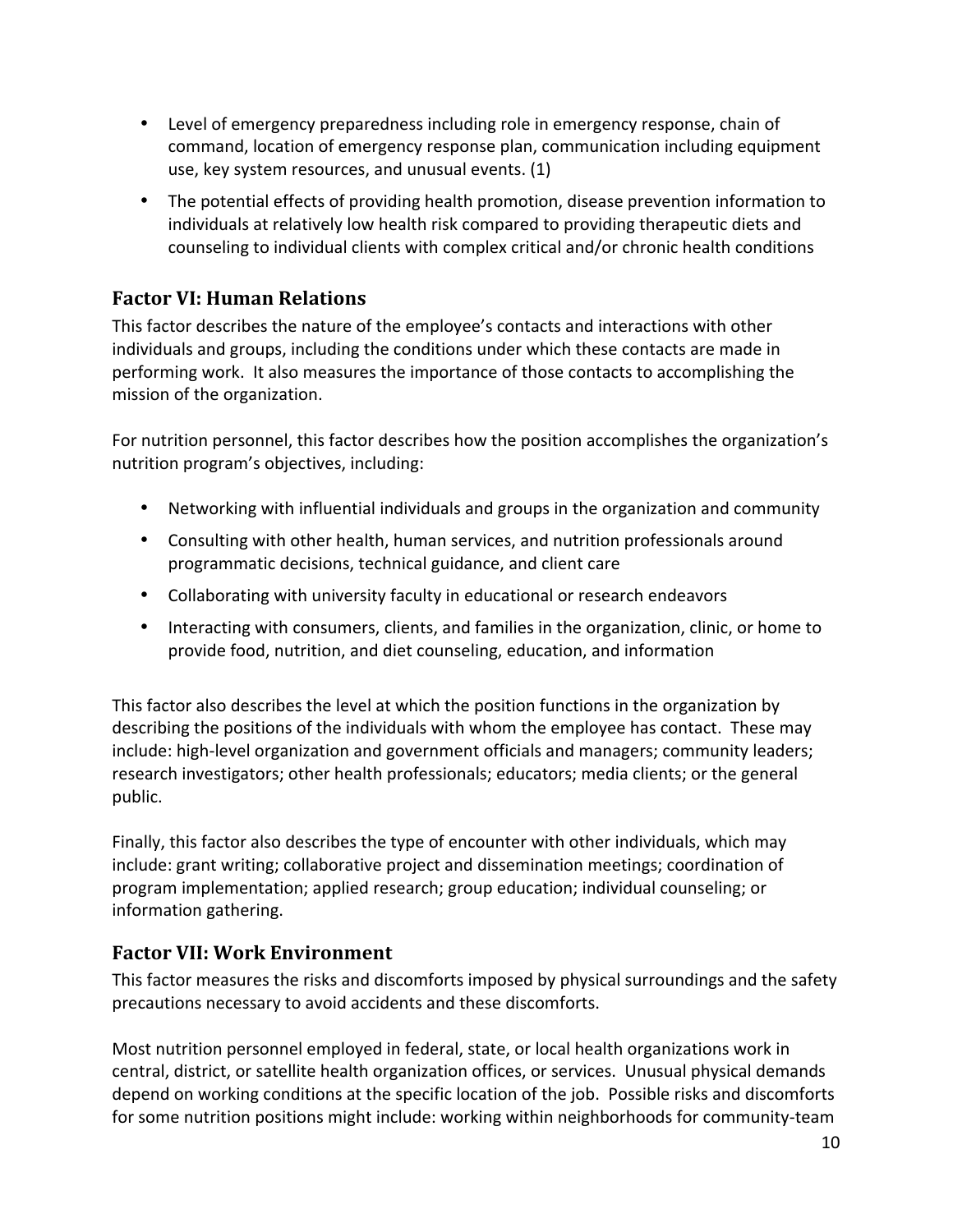- Level of emergency preparedness including role in emergency response, chain of command, location of emergency response plan, communication including equipment use, key system resources, and unusual events. (1)
- The potential effects of providing health promotion, disease prevention information to individuals at relatively low health risk compared to providing therapeutic diets and counseling to individual clients with complex critical and/or chronic health conditions

# **Factor VI: Human Relations**

This factor describes the nature of the employee's contacts and interactions with other individuals and groups, including the conditions under which these contacts are made in performing work. It also measures the importance of those contacts to accomplishing the mission of the organization.

For nutrition personnel, this factor describes how the position accomplishes the organization's nutrition program's objectives, including:

- Networking with influential individuals and groups in the organization and community
- Consulting with other health, human services, and nutrition professionals around programmatic decisions, technical guidance, and client care
- Collaborating with university faculty in educational or research endeavors
- Interacting with consumers, clients, and families in the organization, clinic, or home to provide food, nutrition, and diet counseling, education, and information

This factor also describes the level at which the position functions in the organization by describing the positions of the individuals with whom the employee has contact. These may include: high‐level organization and government officials and managers; community leaders; research investigators; other health professionals; educators; media clients; or the general public.

Finally, this factor also describes the type of encounter with other individuals, which may include: grant writing; collaborative project and dissemination meetings; coordination of program implementation; applied research; group education; individual counseling; or information gathering.

#### **Factor VII: Work Environment**

This factor measures the risks and discomforts imposed by physical surroundings and the safety precautions necessary to avoid accidents and these discomforts.

Most nutrition personnel employed in federal, state, or local health organizations work in central, district, or satellite health organization offices, or services. Unusual physical demands depend on working conditions at the specific location of the job. Possible risks and discomforts for some nutrition positions might include: working within neighborhoods for community-team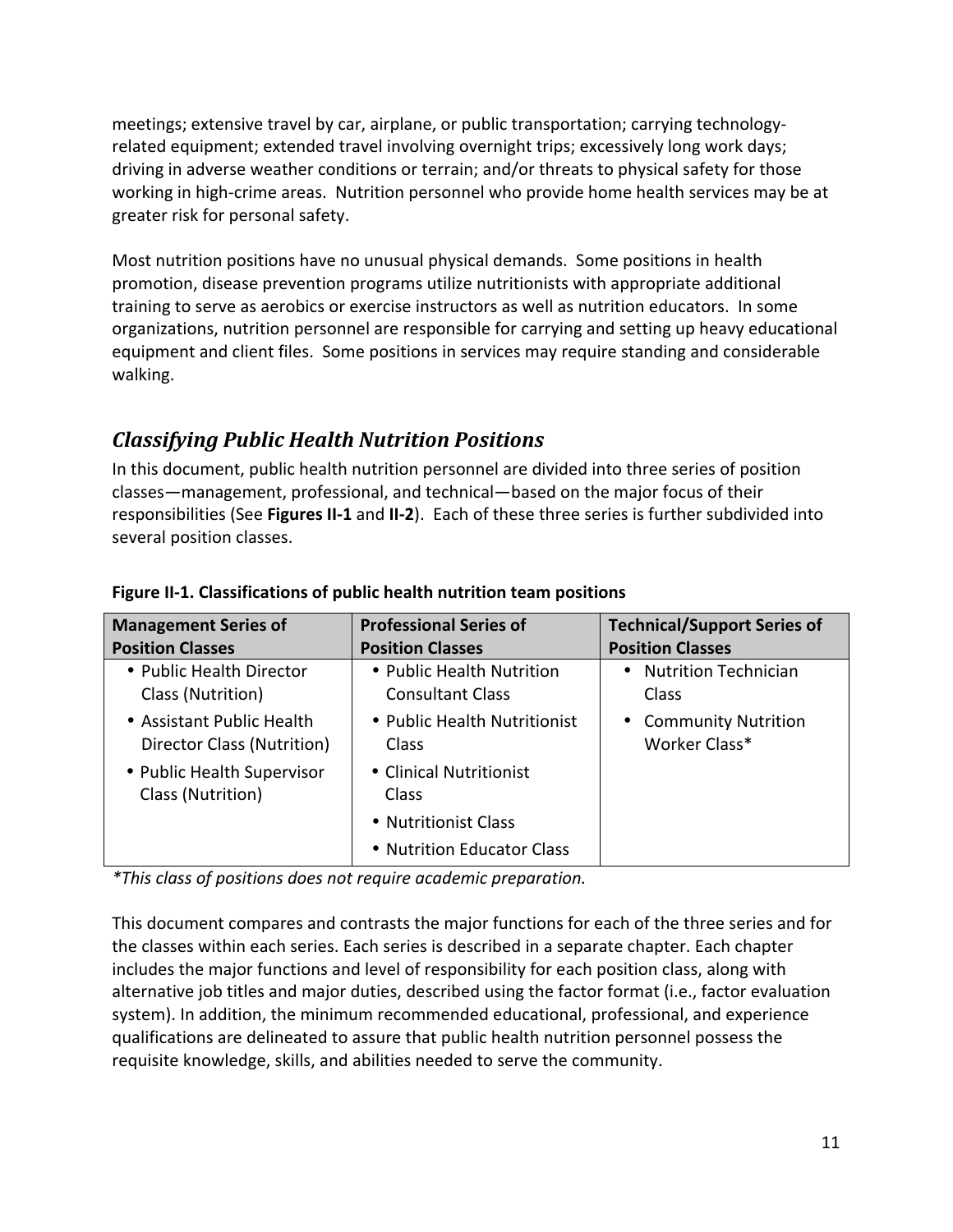meetings; extensive travel by car, airplane, or public transportation; carrying technologyrelated equipment; extended travel involving overnight trips; excessively long work days; driving in adverse weather conditions or terrain; and/or threats to physical safety for those working in high‐crime areas. Nutrition personnel who provide home health services may be at greater risk for personal safety.

Most nutrition positions have no unusual physical demands. Some positions in health promotion, disease prevention programs utilize nutritionists with appropriate additional training to serve as aerobics or exercise instructors as well as nutrition educators. In some organizations, nutrition personnel are responsible for carrying and setting up heavy educational equipment and client files. Some positions in services may require standing and considerable walking.

# *Classifying Public Health Nutrition Positions*

In this document, public health nutrition personnel are divided into three series of position classes—management, professional, and technical—based on the major focus of their responsibilities (See **Figures II‐1** and **II‐2**). Each of these three series is further subdivided into several position classes.

| <b>Management Series of</b>                             | <b>Professional Series of</b>                        | <b>Technical/Support Series of</b>                       |
|---------------------------------------------------------|------------------------------------------------------|----------------------------------------------------------|
| <b>Position Classes</b>                                 | <b>Position Classes</b>                              | <b>Position Classes</b>                                  |
| • Public Health Director<br>Class (Nutrition)           | • Public Health Nutrition<br><b>Consultant Class</b> | <b>Nutrition Technician</b><br>$\bullet$<br>Class        |
| • Assistant Public Health<br>Director Class (Nutrition) | • Public Health Nutritionist<br>Class                | <b>Community Nutrition</b><br>$\bullet$<br>Worker Class* |
| • Public Health Supervisor<br>Class (Nutrition)         | • Clinical Nutritionist<br>Class                     |                                                          |
|                                                         | • Nutritionist Class                                 |                                                          |
|                                                         | • Nutrition Educator Class                           |                                                          |

#### **Figure II‐1. Classifications of public health nutrition team positions**

*\*This class of positions does not require academic preparation.* 

This document compares and contrasts the major functions for each of the three series and for the classes within each series. Each series is described in a separate chapter. Each chapter includes the major functions and level of responsibility for each position class, along with alternative job titles and major duties, described using the factor format (i.e., factor evaluation system). In addition, the minimum recommended educational, professional, and experience qualifications are delineated to assure that public health nutrition personnel possess the requisite knowledge, skills, and abilities needed to serve the community.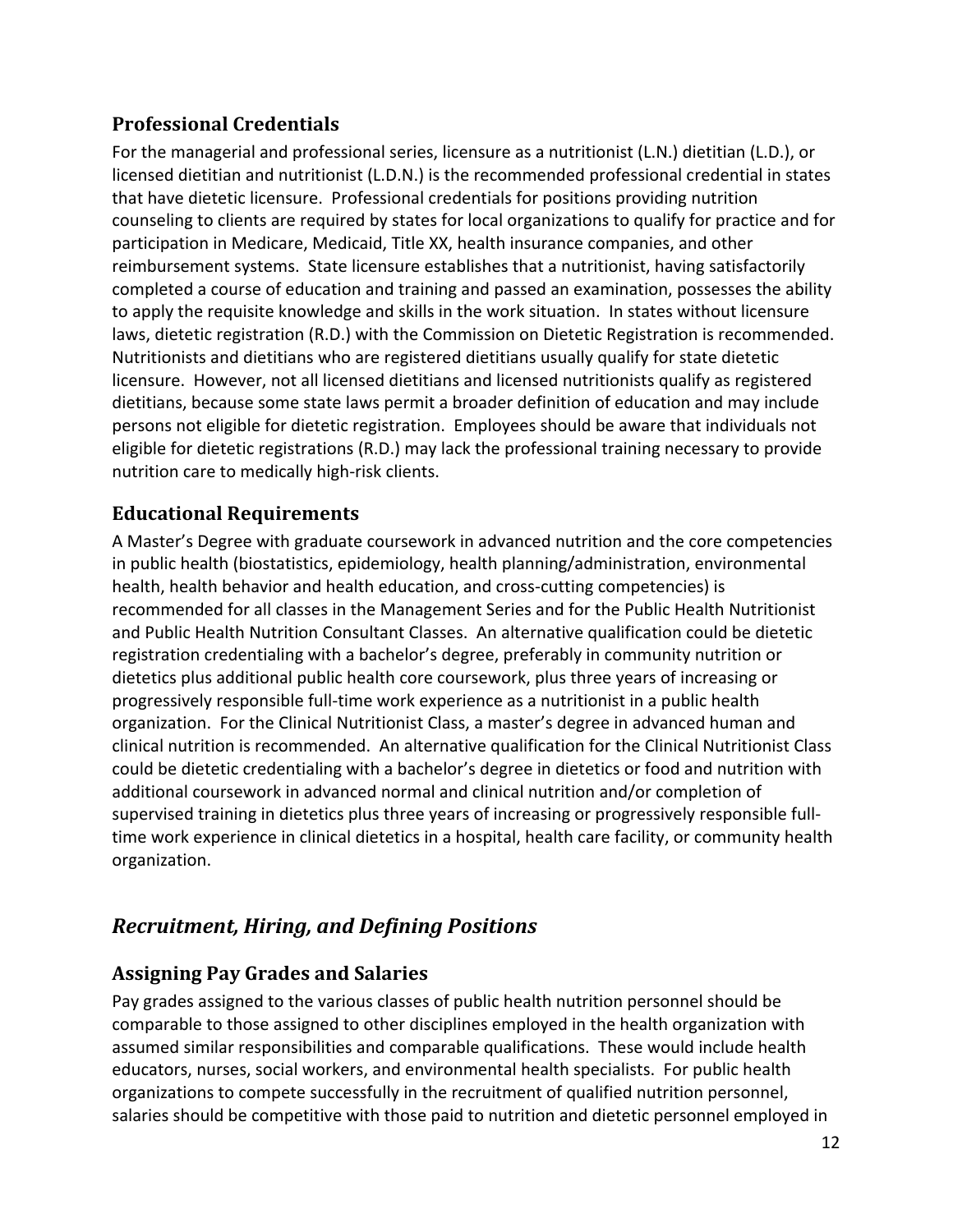# **Professional Credentials**

For the managerial and professional series, licensure as a nutritionist (L.N.) dietitian (L.D.), or licensed dietitian and nutritionist (L.D.N.) is the recommended professional credential in states that have dietetic licensure. Professional credentials for positions providing nutrition counseling to clients are required by states for local organizations to qualify for practice and for participation in Medicare, Medicaid, Title XX, health insurance companies, and other reimbursement systems. State licensure establishes that a nutritionist, having satisfactorily completed a course of education and training and passed an examination, possesses the ability to apply the requisite knowledge and skills in the work situation. In states without licensure laws, dietetic registration (R.D.) with the Commission on Dietetic Registration is recommended. Nutritionists and dietitians who are registered dietitians usually qualify for state dietetic licensure. However, not all licensed dietitians and licensed nutritionists qualify as registered dietitians, because some state laws permit a broader definition of education and may include persons not eligible for dietetic registration. Employees should be aware that individuals not eligible for dietetic registrations (R.D.) may lack the professional training necessary to provide nutrition care to medically high‐risk clients.

# **Educational Requirements**

A Master's Degree with graduate coursework in advanced nutrition and the core competencies in public health (biostatistics, epidemiology, health planning/administration, environmental health, health behavior and health education, and cross-cutting competencies) is recommended for all classes in the Management Series and for the Public Health Nutritionist and Public Health Nutrition Consultant Classes. An alternative qualification could be dietetic registration credentialing with a bachelor's degree, preferably in community nutrition or dietetics plus additional public health core coursework, plus three years of increasing or progressively responsible full‐time work experience as a nutritionist in a public health organization. For the Clinical Nutritionist Class, a master's degree in advanced human and clinical nutrition is recommended. An alternative qualification for the Clinical Nutritionist Class could be dietetic credentialing with a bachelor's degree in dietetics or food and nutrition with additional coursework in advanced normal and clinical nutrition and/or completion of supervised training in dietetics plus three years of increasing or progressively responsible full‐ time work experience in clinical dietetics in a hospital, health care facility, or community health organization.

# *Recruitment, Hiring, and Defining Positions*

# **Assigning Pay Grades and Salaries**

Pay grades assigned to the various classes of public health nutrition personnel should be comparable to those assigned to other disciplines employed in the health organization with assumed similar responsibilities and comparable qualifications. These would include health educators, nurses, social workers, and environmental health specialists. For public health organizations to compete successfully in the recruitment of qualified nutrition personnel, salaries should be competitive with those paid to nutrition and dietetic personnel employed in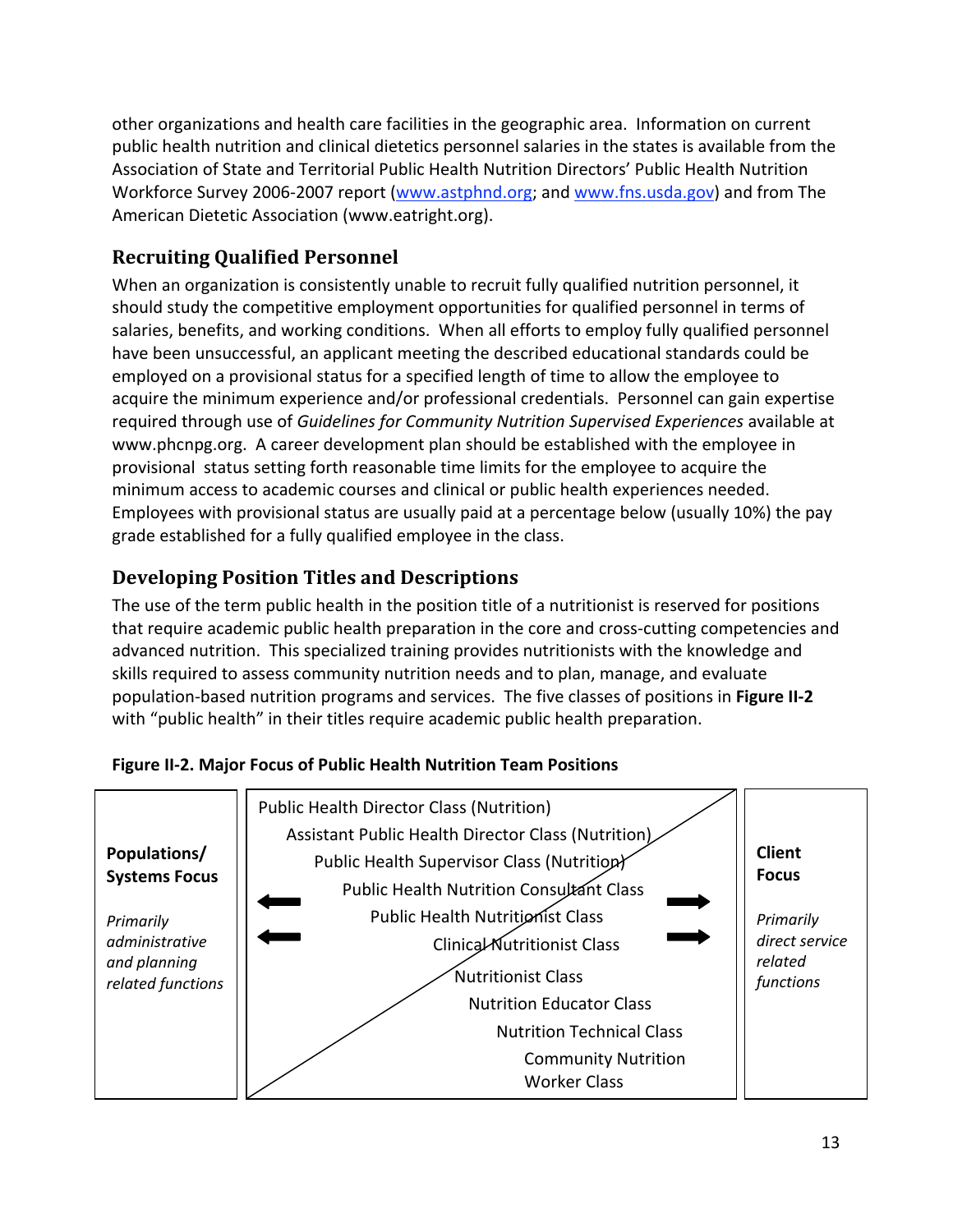other organizations and health care facilities in the geographic area. Information on current public health nutrition and clinical dietetics personnel salaries in the states is available from the Association of State and Territorial Public Health Nutrition Directors' Public Health Nutrition Workforce Survey 2006‐2007 report (www.astphnd.org; and www.fns.usda.gov) and from The American Dietetic Association (www.eatright.org).

# **Recruiting Qualified Personnel**

When an organization is consistently unable to recruit fully qualified nutrition personnel, it should study the competitive employment opportunities for qualified personnel in terms of salaries, benefits, and working conditions. When all efforts to employ fully qualified personnel have been unsuccessful, an applicant meeting the described educational standards could be employed on a provisional status for a specified length of time to allow the employee to acquire the minimum experience and/or professional credentials. Personnel can gain expertise required through use of *Guidelines for Community Nutrition Supervised Experiences* available at www.phcnpg.org. A career development plan should be established with the employee in provisional status setting forth reasonable time limits for the employee to acquire the minimum access to academic courses and clinical or public health experiences needed. Employees with provisional status are usually paid at a percentage below (usually 10%) the pay grade established for a fully qualified employee in the class.

# **Developing Position Titles and Descriptions**

The use of the term public health in the position title of a nutritionist is reserved for positions that require academic public health preparation in the core and cross‐cutting competencies and advanced nutrition. This specialized training provides nutritionists with the knowledge and skills required to assess community nutrition needs and to plan, manage, and evaluate population‐based nutrition programs and services. The five classes of positions in **Figure II‐2** with "public health" in their titles require academic public health preparation.



#### **Figure II‐2. Major Focus of Public Health Nutrition Team Positions**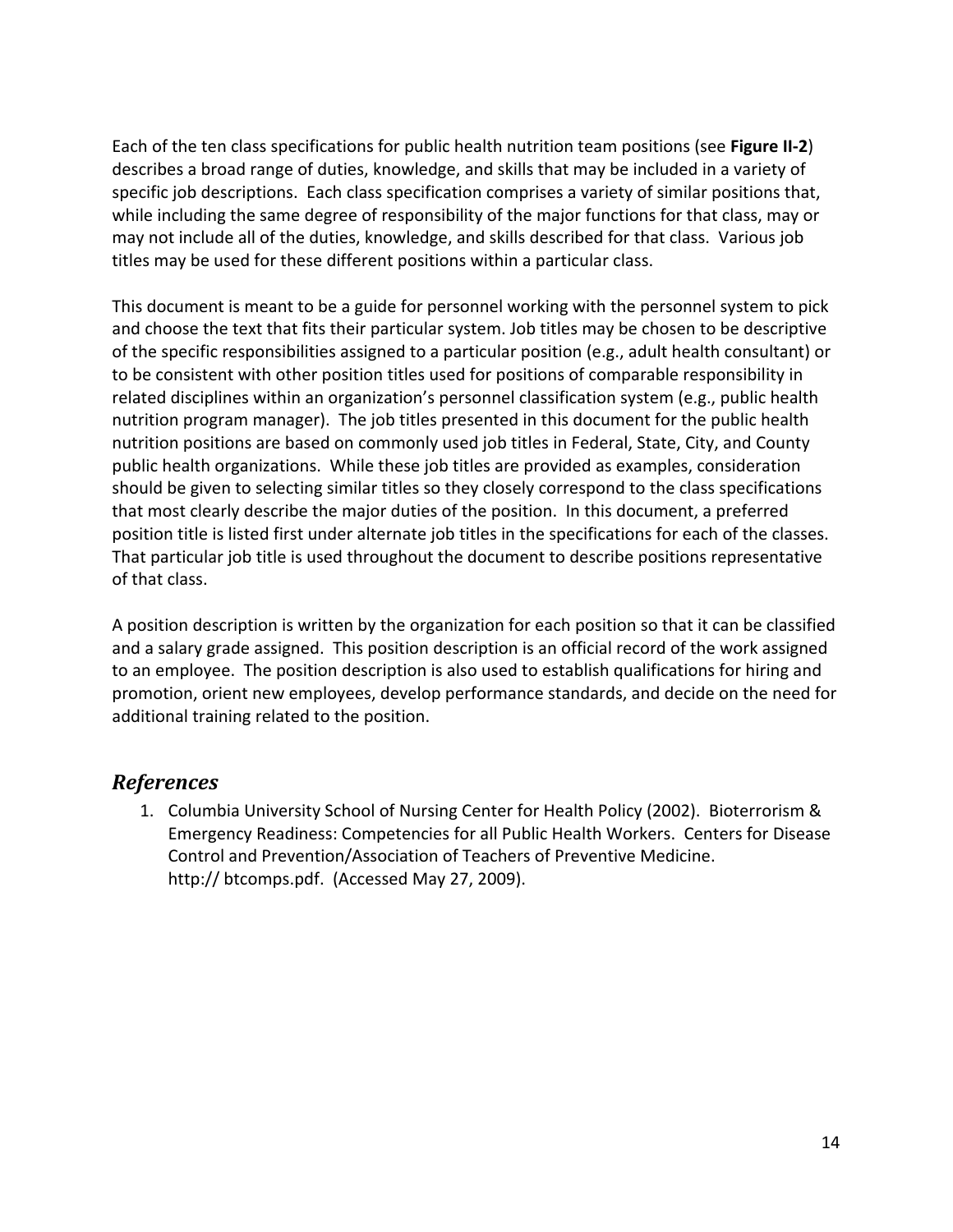Each of the ten class specifications for public health nutrition team positions (see **Figure II‐2**) describes a broad range of duties, knowledge, and skills that may be included in a variety of specific job descriptions. Each class specification comprises a variety of similar positions that, while including the same degree of responsibility of the major functions for that class, may or may not include all of the duties, knowledge, and skills described for that class. Various job titles may be used for these different positions within a particular class.

This document is meant to be a guide for personnel working with the personnel system to pick and choose the text that fits their particular system. Job titles may be chosen to be descriptive of the specific responsibilities assigned to a particular position (e.g., adult health consultant) or to be consistent with other position titles used for positions of comparable responsibility in related disciplines within an organization's personnel classification system (e.g., public health nutrition program manager). The job titles presented in this document for the public health nutrition positions are based on commonly used job titles in Federal, State, City, and County public health organizations. While these job titles are provided as examples, consideration should be given to selecting similar titles so they closely correspond to the class specifications that most clearly describe the major duties of the position. In this document, a preferred position title is listed first under alternate job titles in the specifications for each of the classes. That particular job title is used throughout the document to describe positions representative of that class.

A position description is written by the organization for each position so that it can be classified and a salary grade assigned. This position description is an official record of the work assigned to an employee. The position description is also used to establish qualifications for hiring and promotion, orient new employees, develop performance standards, and decide on the need for additional training related to the position.

#### *References*

1. Columbia University School of Nursing Center for Health Policy (2002). Bioterrorism & Emergency Readiness: Competencies for all Public Health Workers. Centers for Disease Control and Prevention/Association of Teachers of Preventive Medicine. http:// btcomps.pdf. (Accessed May 27, 2009).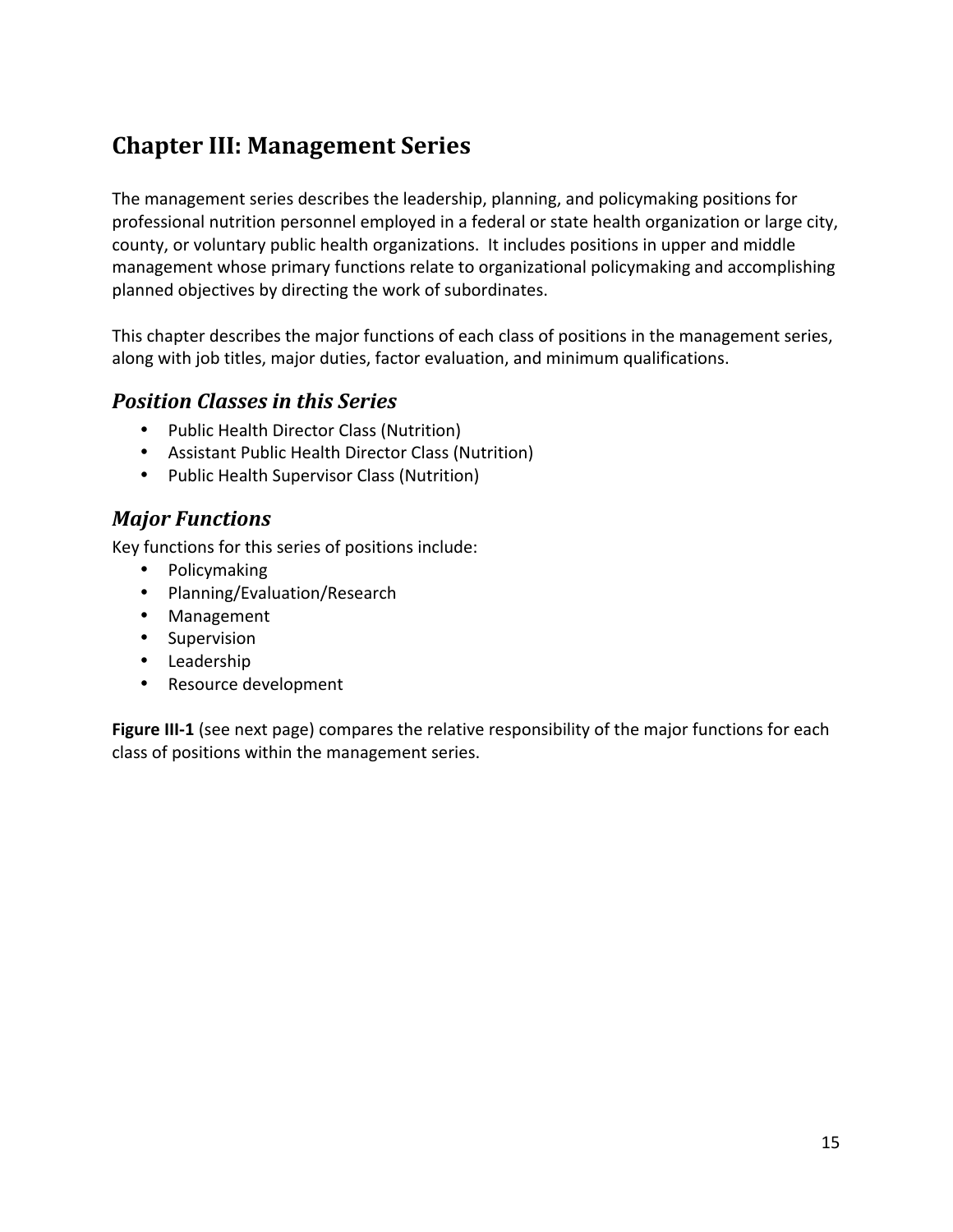# **Chapter III: Management Series**

The management series describes the leadership, planning, and policymaking positions for professional nutrition personnel employed in a federal or state health organization or large city, county, or voluntary public health organizations. It includes positions in upper and middle management whose primary functions relate to organizational policymaking and accomplishing planned objectives by directing the work of subordinates.

This chapter describes the major functions of each class of positions in the management series, along with job titles, major duties, factor evaluation, and minimum qualifications.

# *Position Classes in this Series*

- Public Health Director Class (Nutrition)
- Assistant Public Health Director Class (Nutrition)
- Public Health Supervisor Class (Nutrition)

# *Major Functions*

Key functions for this series of positions include:

- Policymaking
- Planning/Evaluation/Research
- Management
- Supervision
- Leadership
- Resource development

**Figure III-1** (see next page) compares the relative responsibility of the major functions for each class of positions within the management series.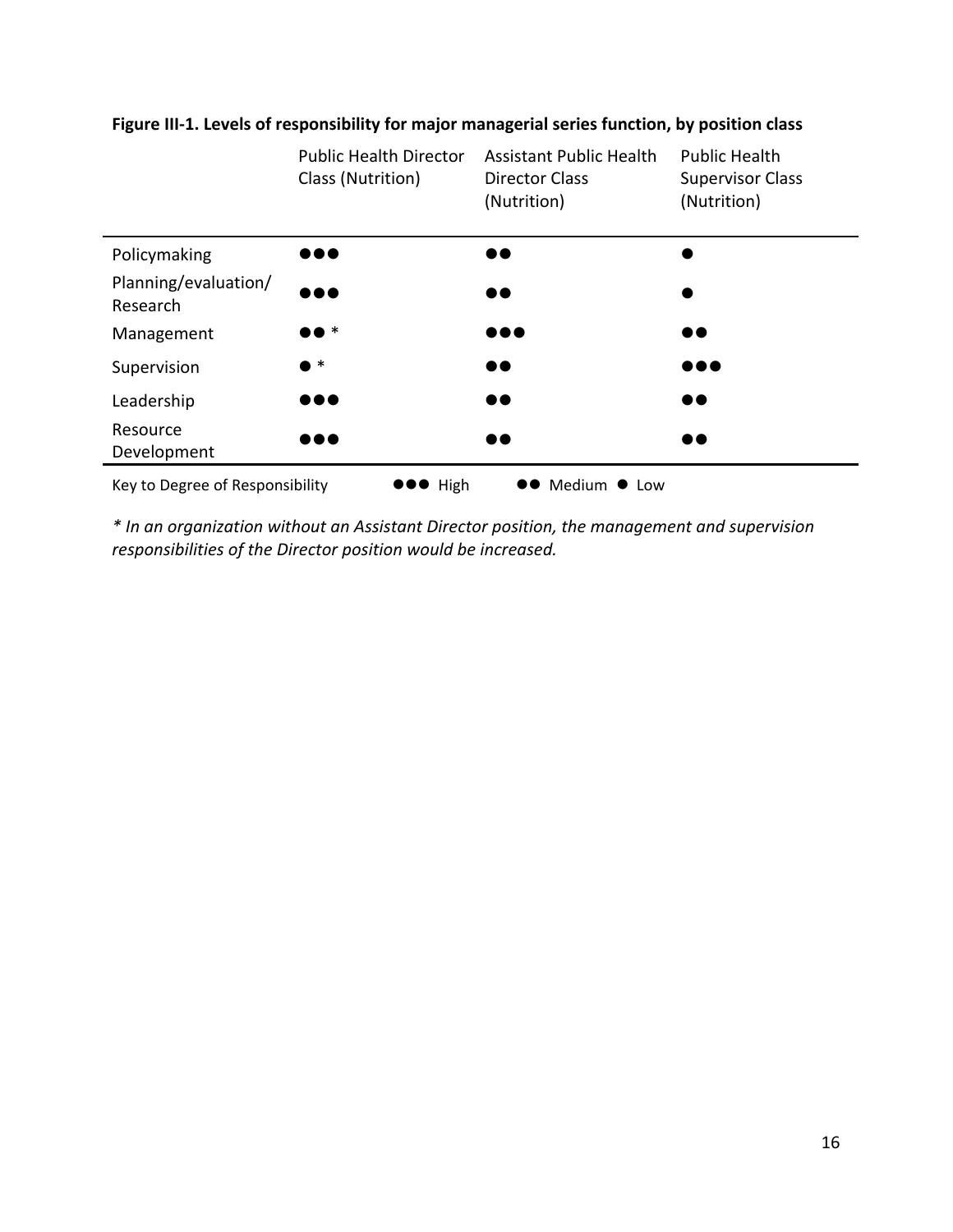

#### **Figure III‐1. Levels of responsibility for major managerial series function, by position class**

*\* In an organization without an Assistant Director position, the management and supervision responsibilities of the Director position would be increased.*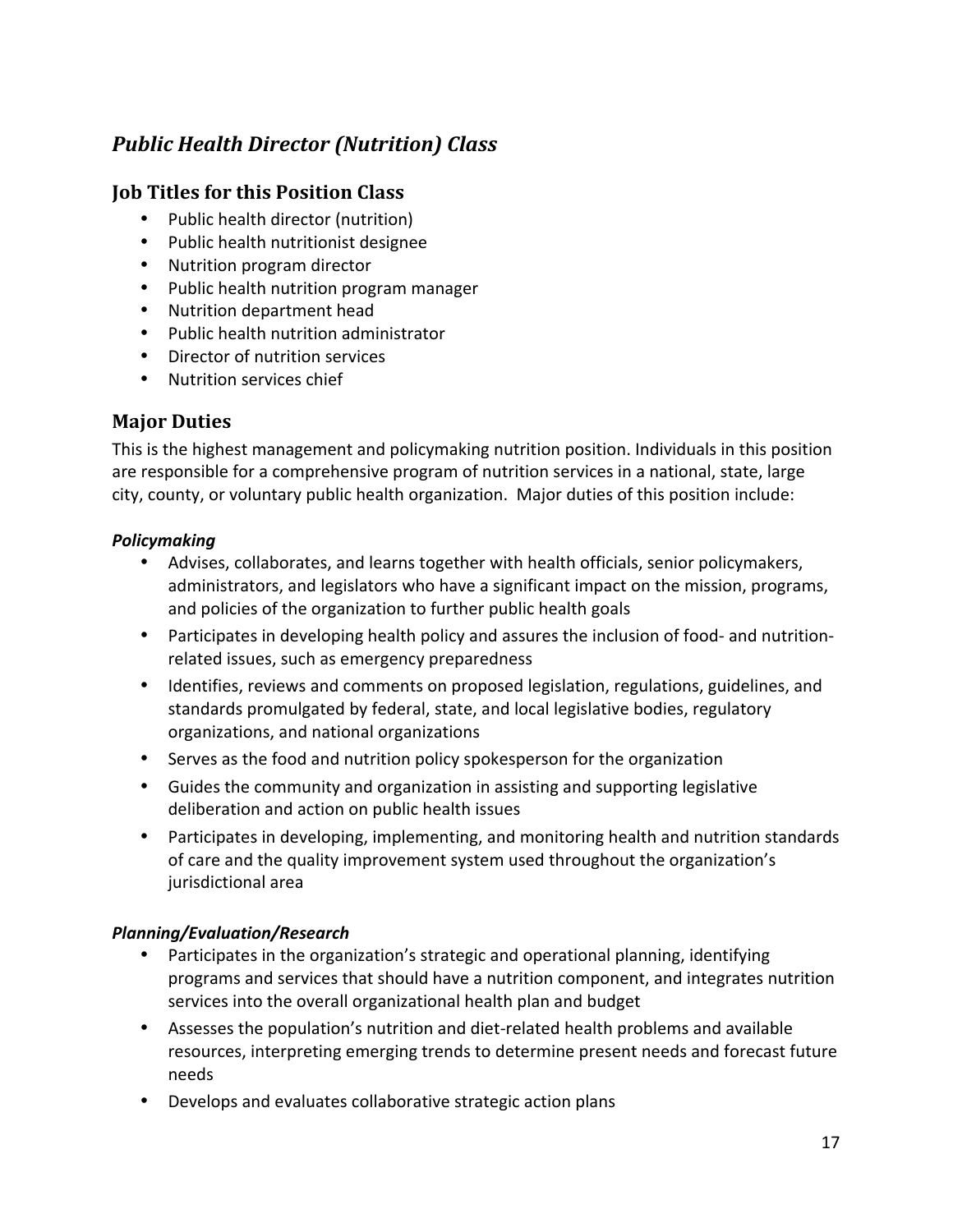# *Public Health Director (Nutrition) Class*

#### **Job Titles for this Position Class**

- Public health director (nutrition)
- Public health nutritionist designee
- Nutrition program director
- Public health nutrition program manager
- Nutrition department head
- Public health nutrition administrator
- Director of nutrition services
- Nutrition services chief

# **Major Duties**

This is the highest management and policymaking nutrition position. Individuals in this position are responsible for a comprehensive program of nutrition services in a national, state, large city, county, or voluntary public health organization. Major duties of this position include:

#### *Policymaking*

- Advises, collaborates, and learns together with health officials, senior policymakers, administrators, and legislators who have a significant impact on the mission, programs, and policies of the organization to further public health goals
- Participates in developing health policy and assures the inclusion of food- and nutritionrelated issues, such as emergency preparedness
- Identifies, reviews and comments on proposed legislation, regulations, guidelines, and standards promulgated by federal, state, and local legislative bodies, regulatory organizations, and national organizations
- Serves as the food and nutrition policy spokesperson for the organization
- Guides the community and organization in assisting and supporting legislative deliberation and action on public health issues
- Participates in developing, implementing, and monitoring health and nutrition standards of care and the quality improvement system used throughout the organization's jurisdictional area

#### *Planning/Evaluation/Research*

- Participates in the organization's strategic and operational planning, identifying programs and services that should have a nutrition component, and integrates nutrition services into the overall organizational health plan and budget
- Assesses the population's nutrition and diet-related health problems and available resources, interpreting emerging trends to determine present needs and forecast future needs
- Develops and evaluates collaborative strategic action plans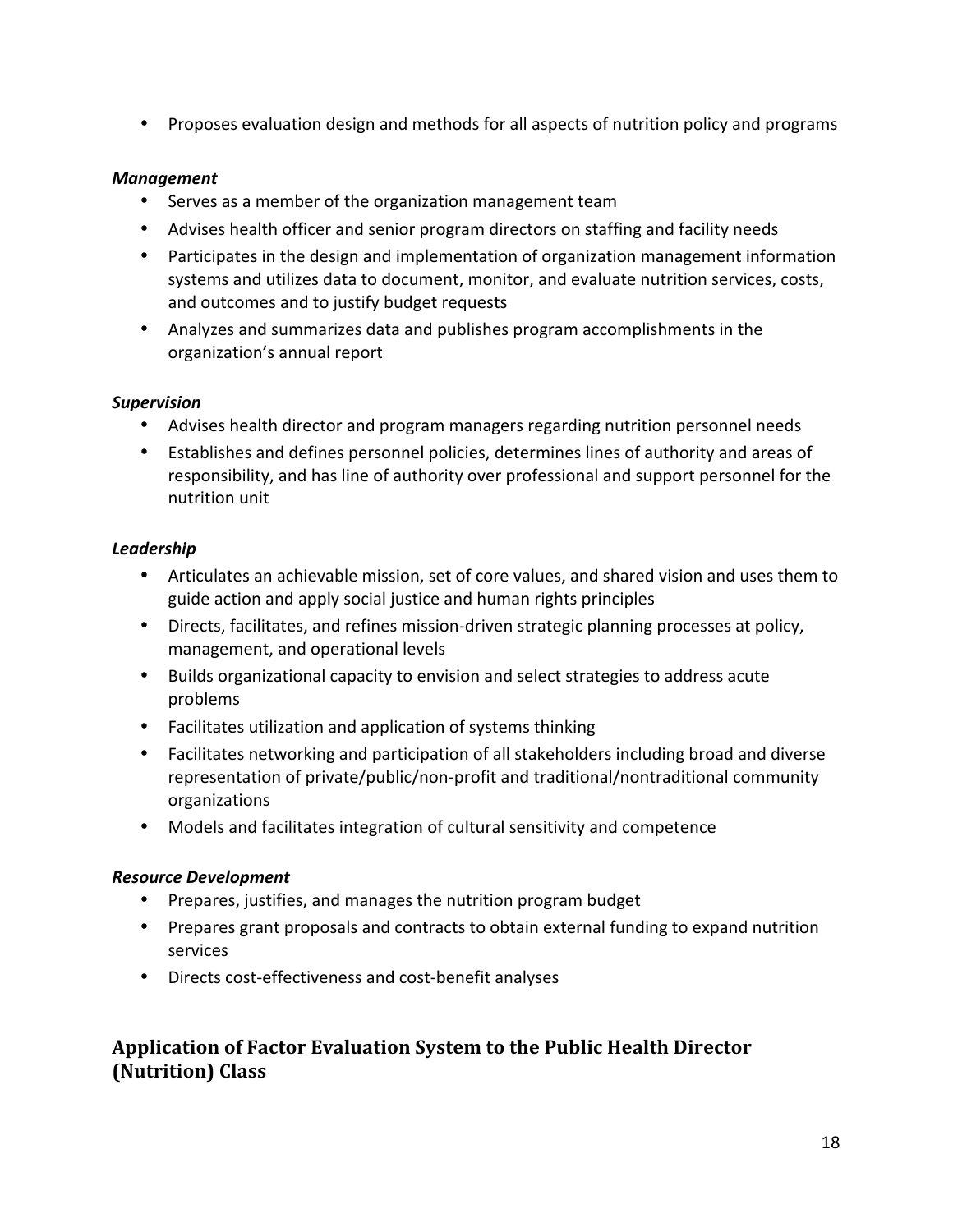• Proposes evaluation design and methods for all aspects of nutrition policy and programs

#### *Management*

- Serves as a member of the organization management team
- Advises health officer and senior program directors on staffing and facility needs
- Participates in the design and implementation of organization management information systems and utilizes data to document, monitor, and evaluate nutrition services, costs, and outcomes and to justify budget requests
- Analyzes and summarizes data and publishes program accomplishments in the organization's annual report

#### *Supervision*

- Advises health director and program managers regarding nutrition personnel needs
- Establishes and defines personnel policies, determines lines of authority and areas of responsibility, and has line of authority over professional and support personnel for the nutrition unit

#### *Leadership*

- Articulates an achievable mission, set of core values, and shared vision and uses them to guide action and apply social justice and human rights principles
- Directs, facilitates, and refines mission-driven strategic planning processes at policy, management, and operational levels
- Builds organizational capacity to envision and select strategies to address acute problems
- Facilitates utilization and application of systems thinking
- Facilitates networking and participation of all stakeholders including broad and diverse representation of private/public/non‐profit and traditional/nontraditional community organizations
- Models and facilitates integration of cultural sensitivity and competence

#### *Resource Development*

- Prepares, justifies, and manages the nutrition program budget
- Prepares grant proposals and contracts to obtain external funding to expand nutrition services
- Directs cost‐effectiveness and cost‐benefit analyses

# **Application of Factor Evaluation System to the Public Health Director (Nutrition) Class**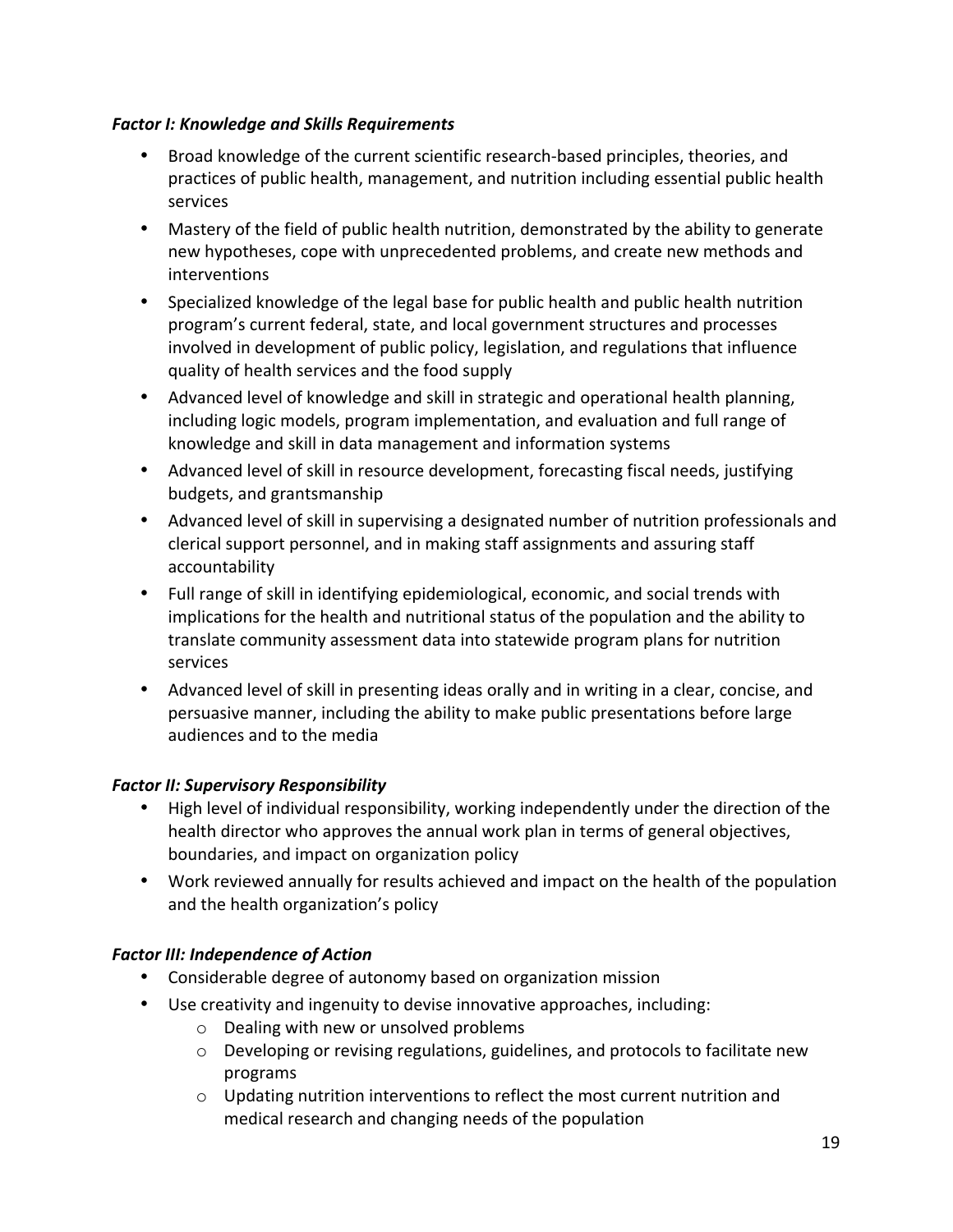#### *Factor I: Knowledge and Skills Requirements*

- Broad knowledge of the current scientific research‐based principles, theories, and practices of public health, management, and nutrition including essential public health services
- Mastery of the field of public health nutrition, demonstrated by the ability to generate new hypotheses, cope with unprecedented problems, and create new methods and interventions
- Specialized knowledge of the legal base for public health and public health nutrition program's current federal, state, and local government structures and processes involved in development of public policy, legislation, and regulations that influence quality of health services and the food supply
- Advanced level of knowledge and skill in strategic and operational health planning, including logic models, program implementation, and evaluation and full range of knowledge and skill in data management and information systems
- Advanced level of skill in resource development, forecasting fiscal needs, justifying budgets, and grantsmanship
- Advanced level of skill in supervising a designated number of nutrition professionals and clerical support personnel, and in making staff assignments and assuring staff accountability
- Full range of skill in identifying epidemiological, economic, and social trends with implications for the health and nutritional status of the population and the ability to translate community assessment data into statewide program plans for nutrition services
- Advanced level of skill in presenting ideas orally and in writing in a clear, concise, and persuasive manner, including the ability to make public presentations before large audiences and to the media

#### *Factor II: Supervisory Responsibility*

- High level of individual responsibility, working independently under the direction of the health director who approves the annual work plan in terms of general objectives, boundaries, and impact on organization policy
- Work reviewed annually for results achieved and impact on the health of the population and the health organization's policy

#### **Factor III: Independence of Action**

- Considerable degree of autonomy based on organization mission
- Use creativity and ingenuity to devise innovative approaches, including:
	- o Dealing with new or unsolved problems
	- $\circ$  Developing or revising regulations, guidelines, and protocols to facilitate new programs
	- $\circ$  Updating nutrition interventions to reflect the most current nutrition and medical research and changing needs of the population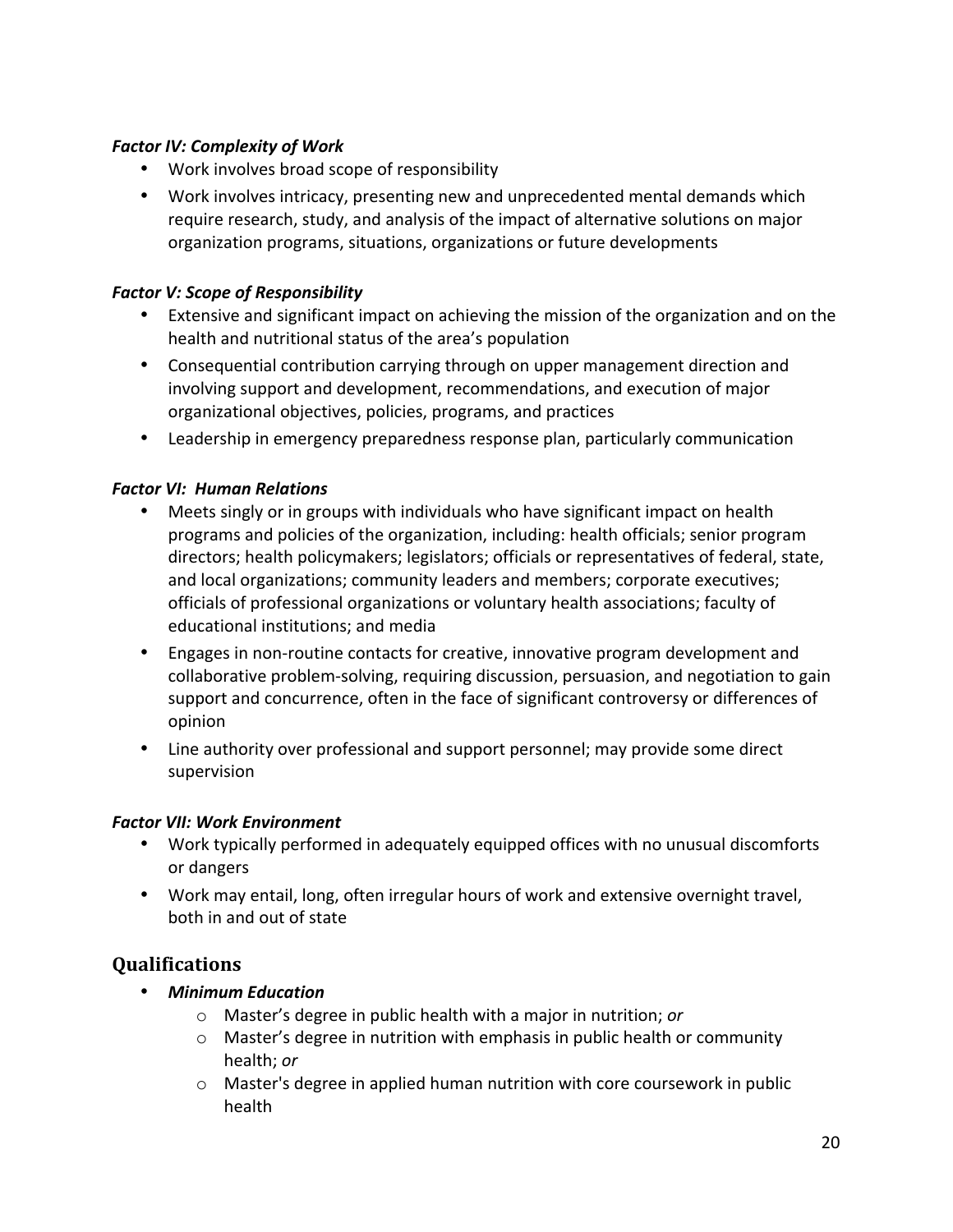#### *Factor IV: Complexity of Work*

- Work involves broad scope of responsibility
- Work involves intricacy, presenting new and unprecedented mental demands which require research, study, and analysis of the impact of alternative solutions on major organization programs, situations, organizations or future developments

#### *Factor V: Scope of Responsibility*

- Extensive and significant impact on achieving the mission of the organization and on the health and nutritional status of the area's population
- Consequential contribution carrying through on upper management direction and involving support and development, recommendations, and execution of major organizational objectives, policies, programs, and practices
- Leadership in emergency preparedness response plan, particularly communication

#### *Factor VI: Human Relations*

- Meets singly or in groups with individuals who have significant impact on health programs and policies of the organization, including: health officials; senior program directors; health policymakers; legislators; officials or representatives of federal, state, and local organizations; community leaders and members; corporate executives; officials of professional organizations or voluntary health associations; faculty of educational institutions; and media
- Engages in non-routine contacts for creative, innovative program development and collaborative problem‐solving, requiring discussion, persuasion, and negotiation to gain support and concurrence, often in the face of significant controversy or differences of opinion
- Line authority over professional and support personnel; may provide some direct supervision

#### *Factor VII: Work Environment*

- Work typically performed in adequately equipped offices with no unusual discomforts or dangers
- Work may entail, long, often irregular hours of work and extensive overnight travel, both in and out of state

#### **Qualifications**

- *Minimum Education*
	- o Master's degree in public health with a major in nutrition; *or*
	- $\circ$  Master's degree in nutrition with emphasis in public health or community health; *or*
	- $\circ$  Master's degree in applied human nutrition with core coursework in public health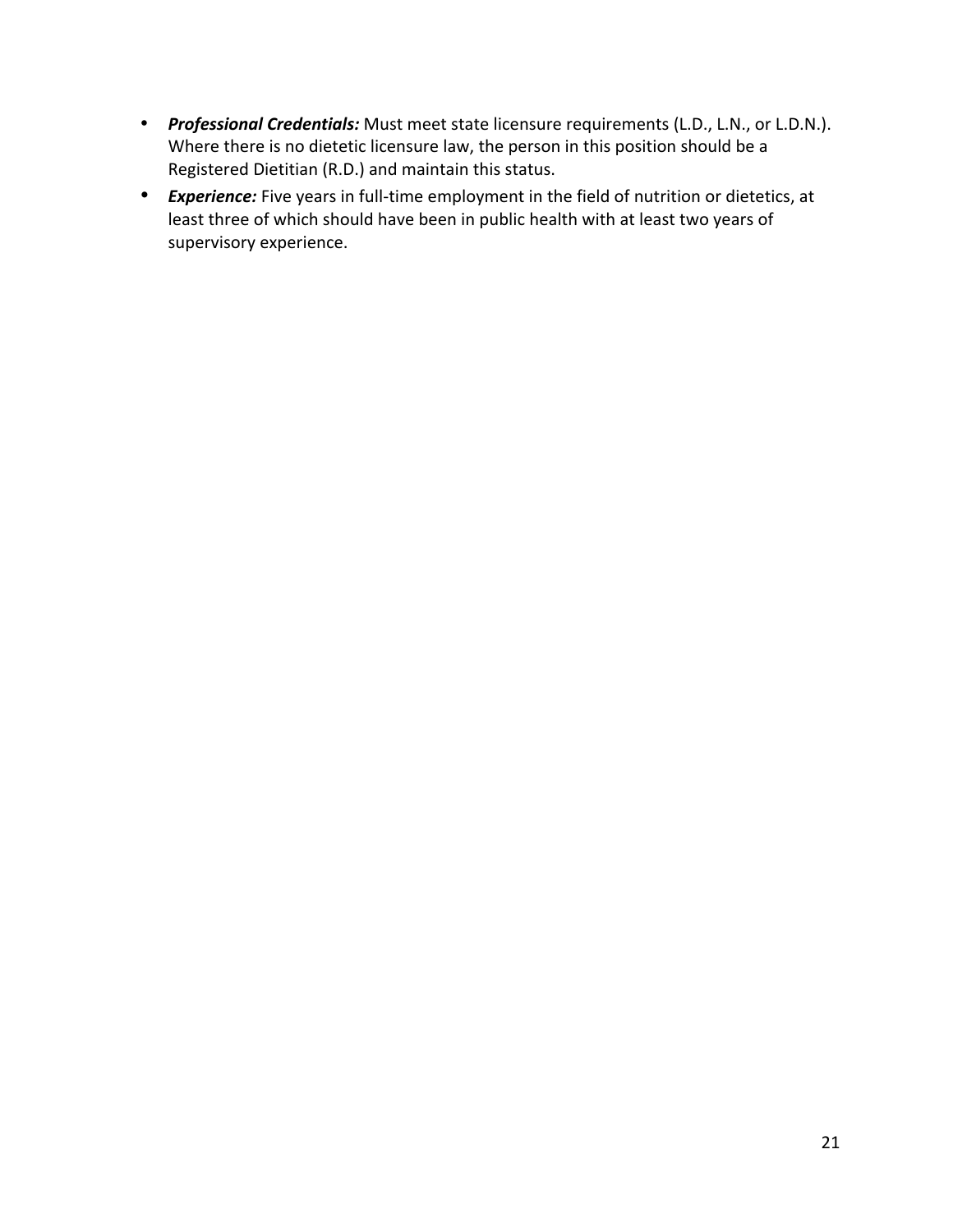- *Professional Credentials:* Must meet state licensure requirements (L.D., L.N., or L.D.N.). Where there is no dietetic licensure law, the person in this position should be a Registered Dietitian (R.D.) and maintain this status.
- *Experience:* Five years in full-time employment in the field of nutrition or dietetics, at least three of which should have been in public health with at least two years of supervisory experience.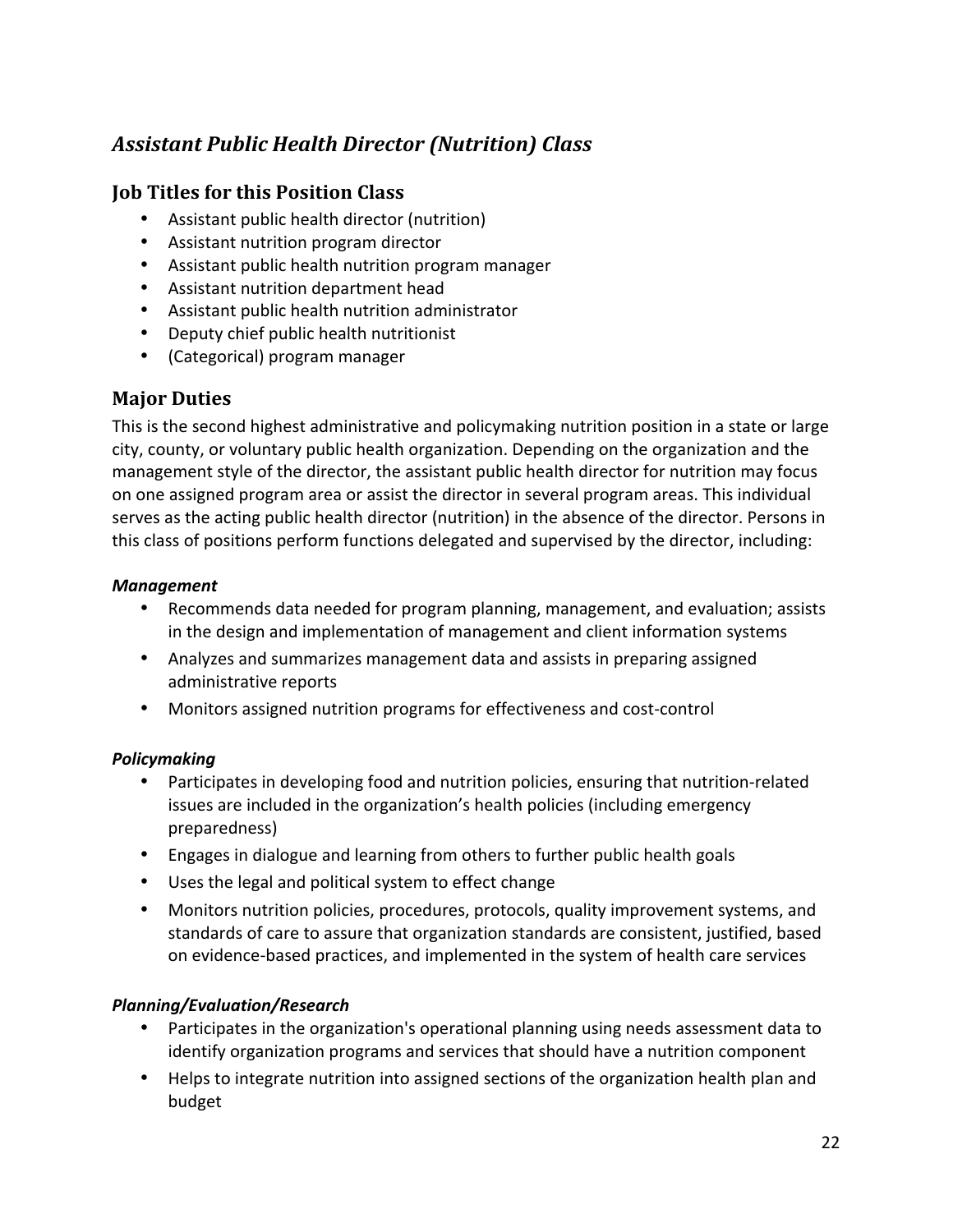# *Assistant Public Health Director (Nutrition) Class*

### **Job Titles for this Position Class**

- Assistant public health director (nutrition)
- Assistant nutrition program director
- Assistant public health nutrition program manager
- Assistant nutrition department head
- Assistant public health nutrition administrator
- Deputy chief public health nutritionist
- (Categorical) program manager

#### **Major Duties**

This is the second highest administrative and policymaking nutrition position in a state or large city, county, or voluntary public health organization. Depending on the organization and the management style of the director, the assistant public health director for nutrition may focus on one assigned program area or assist the director in several program areas. This individual serves as the acting public health director (nutrition) in the absence of the director. Persons in this class of positions perform functions delegated and supervised by the director, including:

#### *Management*

- Recommends data needed for program planning, management, and evaluation; assists in the design and implementation of management and client information systems
- Analyzes and summarizes management data and assists in preparing assigned administrative reports
- Monitors assigned nutrition programs for effectiveness and cost-control

#### *Policymaking*

- Participates in developing food and nutrition policies, ensuring that nutrition-related issues are included in the organization's health policies (including emergency preparedness)
- Engages in dialogue and learning from others to further public health goals
- Uses the legal and political system to effect change
- Monitors nutrition policies, procedures, protocols, quality improvement systems, and standards of care to assure that organization standards are consistent, justified, based on evidence‐based practices, and implemented in the system of health care services

#### *Planning/Evaluation/Research*

- Participates in the organization's operational planning using needs assessment data to identify organization programs and services that should have a nutrition component
- Helps to integrate nutrition into assigned sections of the organization health plan and budget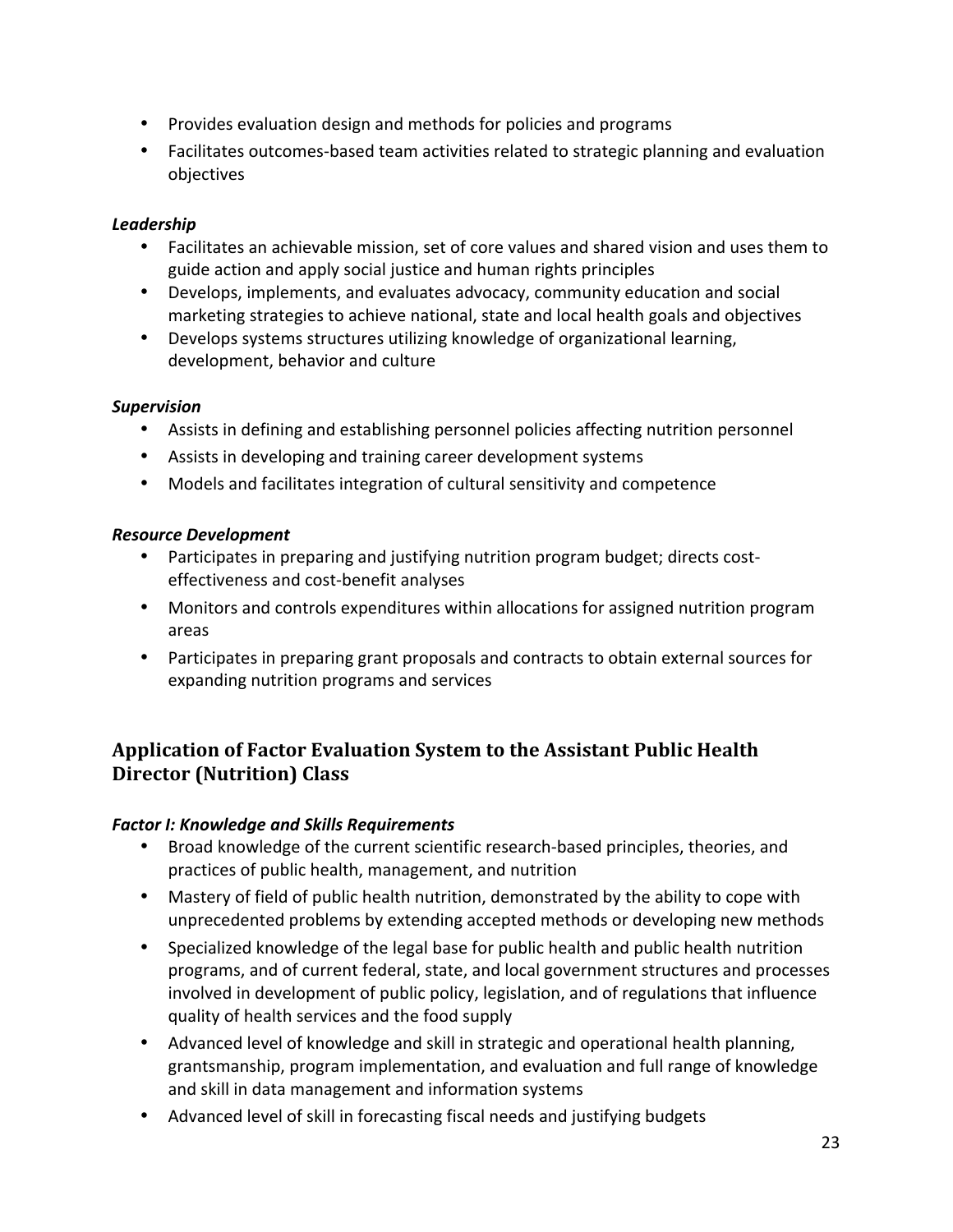- Provides evaluation design and methods for policies and programs
- Facilitates outcomes-based team activities related to strategic planning and evaluation objectives

#### *Leadership*

- Facilitates an achievable mission, set of core values and shared vision and uses them to guide action and apply social justice and human rights principles
- Develops, implements, and evaluates advocacy, community education and social marketing strategies to achieve national, state and local health goals and objectives
- Develops systems structures utilizing knowledge of organizational learning, development, behavior and culture

#### *Supervision*

- Assists in defining and establishing personnel policies affecting nutrition personnel
- Assists in developing and training career development systems
- Models and facilitates integration of cultural sensitivity and competence

#### *Resource Development*

- Participates in preparing and justifying nutrition program budget; directs costeffectiveness and cost‐benefit analyses
- Monitors and controls expenditures within allocations for assigned nutrition program areas
- Participates in preparing grant proposals and contracts to obtain external sources for expanding nutrition programs and services

# **Application of Factor Evaluation System to the Assistant Public Health Director (Nutrition) Class**

#### *Factor I: Knowledge and Skills Requirements*

- Broad knowledge of the current scientific research-based principles, theories, and practices of public health, management, and nutrition
- Mastery of field of public health nutrition, demonstrated by the ability to cope with unprecedented problems by extending accepted methods or developing new methods
- Specialized knowledge of the legal base for public health and public health nutrition programs, and of current federal, state, and local government structures and processes involved in development of public policy, legislation, and of regulations that influence quality of health services and the food supply
- Advanced level of knowledge and skill in strategic and operational health planning, grantsmanship, program implementation, and evaluation and full range of knowledge and skill in data management and information systems
- Advanced level of skill in forecasting fiscal needs and justifying budgets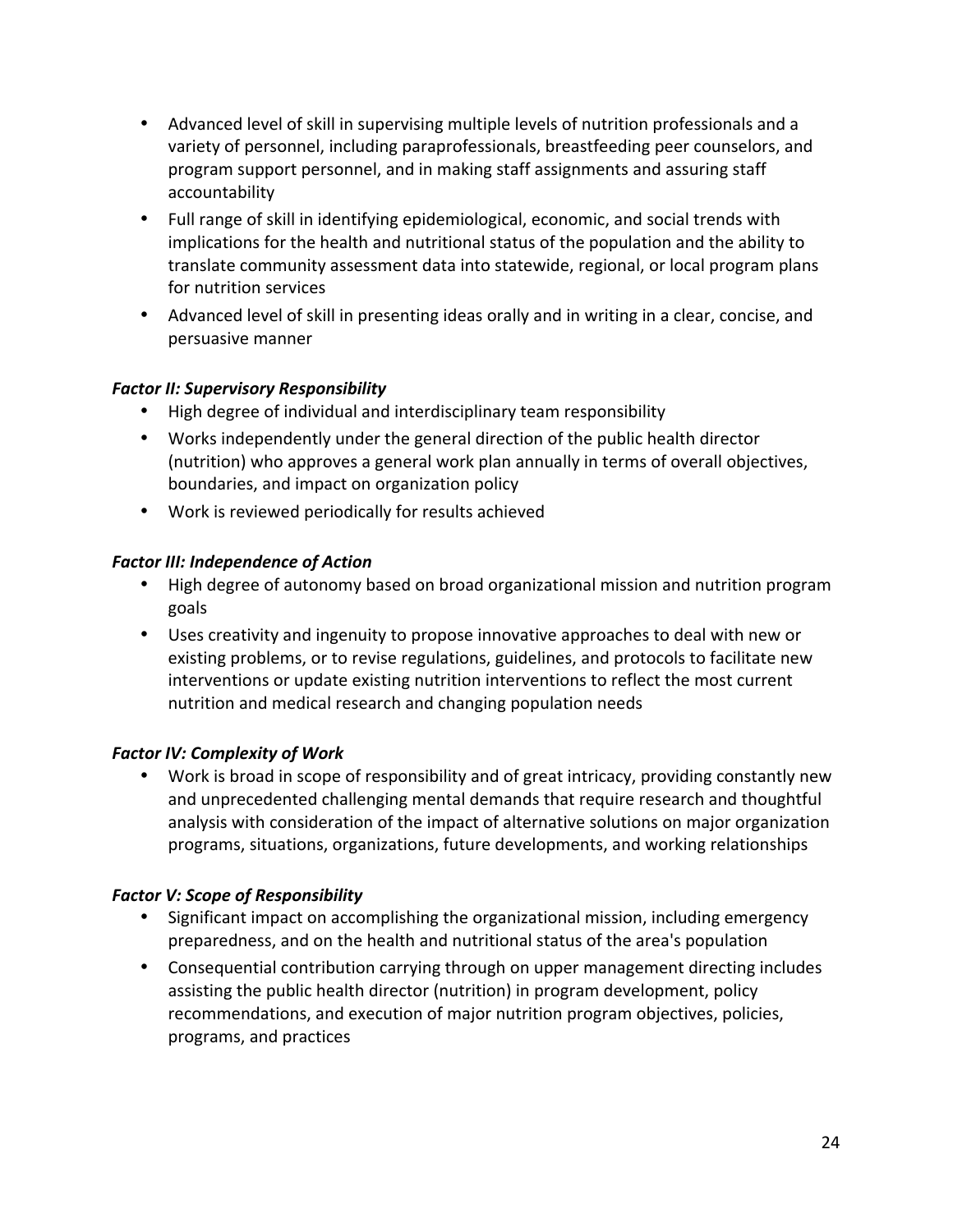- Advanced level of skill in supervising multiple levels of nutrition professionals and a variety of personnel, including paraprofessionals, breastfeeding peer counselors, and program support personnel, and in making staff assignments and assuring staff accountability
- Full range of skill in identifying epidemiological, economic, and social trends with implications for the health and nutritional status of the population and the ability to translate community assessment data into statewide, regional, or local program plans for nutrition services
- Advanced level of skill in presenting ideas orally and in writing in a clear, concise, and persuasive manner

#### *Factor II: Supervisory Responsibility*

- High degree of individual and interdisciplinary team responsibility
- Works independently under the general direction of the public health director (nutrition) who approves a general work plan annually in terms of overall objectives, boundaries, and impact on organization policy
- Work is reviewed periodically for results achieved

#### **Factor III: Independence of Action**

- High degree of autonomy based on broad organizational mission and nutrition program goals
- Uses creativity and ingenuity to propose innovative approaches to deal with new or existing problems, or to revise regulations, guidelines, and protocols to facilitate new interventions or update existing nutrition interventions to reflect the most current nutrition and medical research and changing population needs

#### **Factor IV: Complexity of Work**

• Work is broad in scope of responsibility and of great intricacy, providing constantly new and unprecedented challenging mental demands that require research and thoughtful analysis with consideration of the impact of alternative solutions on major organization programs, situations, organizations, future developments, and working relationships

#### **Factor V: Scope of Responsibility**

- Significant impact on accomplishing the organizational mission, including emergency preparedness, and on the health and nutritional status of the area's population
- Consequential contribution carrying through on upper management directing includes assisting the public health director (nutrition) in program development, policy recommendations, and execution of major nutrition program objectives, policies, programs, and practices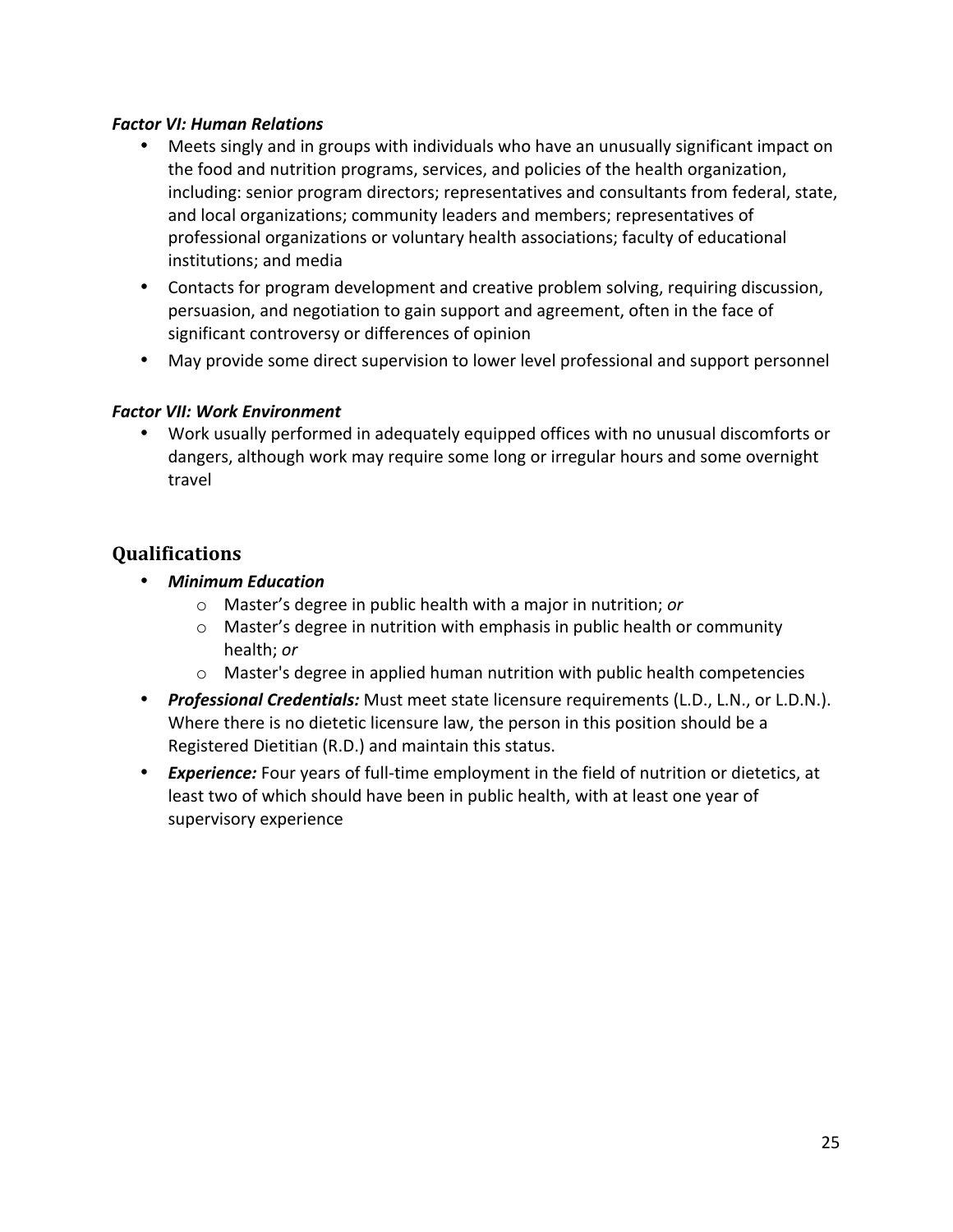#### *Factor VI: Human Relations*

- Meets singly and in groups with individuals who have an unusually significant impact on the food and nutrition programs, services, and policies of the health organization, including: senior program directors; representatives and consultants from federal, state, and local organizations; community leaders and members; representatives of professional organizations or voluntary health associations; faculty of educational institutions; and media
- Contacts for program development and creative problem solving, requiring discussion, persuasion, and negotiation to gain support and agreement, often in the face of significant controversy or differences of opinion
- May provide some direct supervision to lower level professional and support personnel

#### **Factor VII: Work Environment**

• Work usually performed in adequately equipped offices with no unusual discomforts or dangers, although work may require some long or irregular hours and some overnight travel

#### **Qualifications**

- *Minimum Education*
	- o Master's degree in public health with a major in nutrition; *or*
	- $\circ$  Master's degree in nutrition with emphasis in public health or community health; *or*
	- $\circ$  Master's degree in applied human nutrition with public health competencies
- *Professional Credentials:* Must meet state licensure requirements (L.D., L.N., or L.D.N.). Where there is no dietetic licensure law, the person in this position should be a Registered Dietitian (R.D.) and maintain this status.
- **Experience:** Four years of full-time employment in the field of nutrition or dietetics, at least two of which should have been in public health, with at least one year of supervisory experience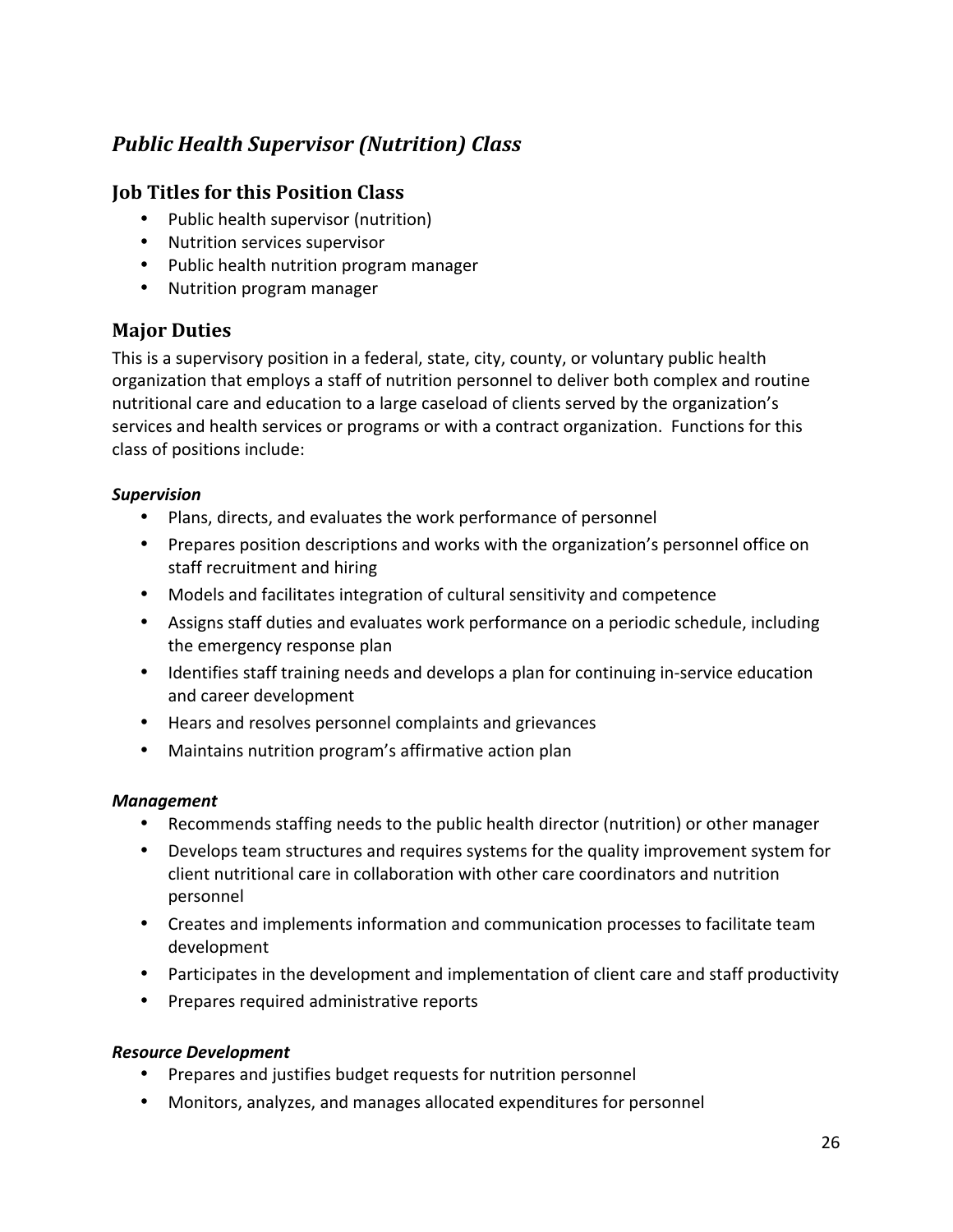# *Public Health Supervisor (Nutrition) Class*

#### **Job Titles for this Position Class**

- Public health supervisor (nutrition)
- Nutrition services supervisor
- Public health nutrition program manager
- Nutrition program manager

#### **Major Duties**

This is a supervisory position in a federal, state, city, county, or voluntary public health organization that employs a staff of nutrition personnel to deliver both complex and routine nutritional care and education to a large caseload of clients served by the organization's services and health services or programs or with a contract organization. Functions for this class of positions include:

#### *Supervision*

- Plans, directs, and evaluates the work performance of personnel
- Prepares position descriptions and works with the organization's personnel office on staff recruitment and hiring
- Models and facilitates integration of cultural sensitivity and competence
- Assigns staff duties and evaluates work performance on a periodic schedule, including the emergency response plan
- Identifies staff training needs and develops a plan for continuing in-service education and career development
- Hears and resolves personnel complaints and grievances
- Maintains nutrition program's affirmative action plan

#### *Management*

- Recommends staffing needs to the public health director (nutrition) or other manager
- Develops team structures and requires systems for the quality improvement system for client nutritional care in collaboration with other care coordinators and nutrition personnel
- Creates and implements information and communication processes to facilitate team development
- Participates in the development and implementation of client care and staff productivity
- Prepares required administrative reports

#### *Resource Development*

- Prepares and justifies budget requests for nutrition personnel
- Monitors, analyzes, and manages allocated expenditures for personnel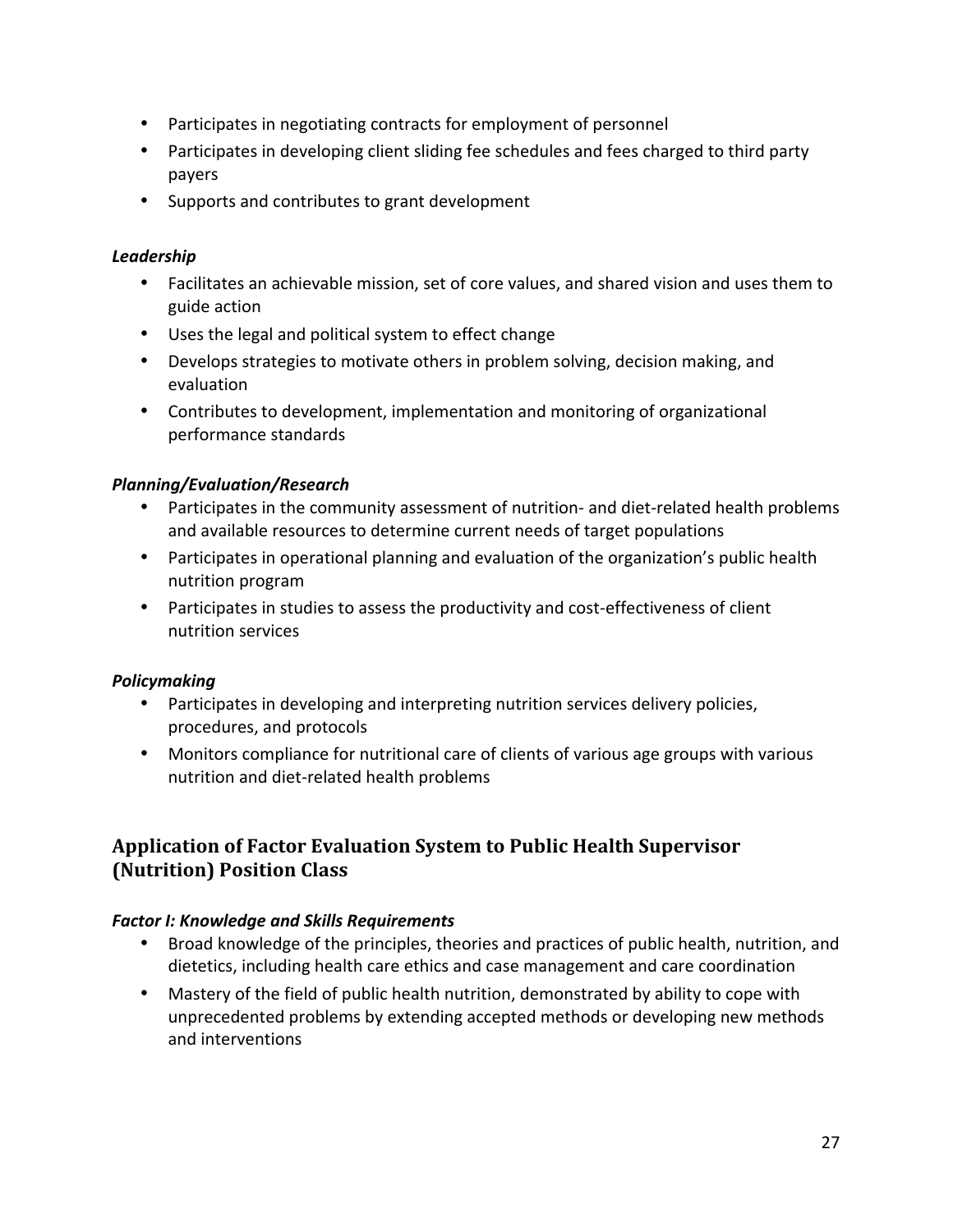- Participates in negotiating contracts for employment of personnel
- Participates in developing client sliding fee schedules and fees charged to third party payers
- Supports and contributes to grant development

#### *Leadership*

- Facilitates an achievable mission, set of core values, and shared vision and uses them to guide action
- Uses the legal and political system to effect change
- Develops strategies to motivate others in problem solving, decision making, and evaluation
- Contributes to development, implementation and monitoring of organizational performance standards

#### *Planning/Evaluation/Research*

- Participates in the community assessment of nutrition- and diet-related health problems and available resources to determine current needs of target populations
- Participates in operational planning and evaluation of the organization's public health nutrition program
- Participates in studies to assess the productivity and cost-effectiveness of client nutrition services

#### *Policymaking*

- Participates in developing and interpreting nutrition services delivery policies, procedures, and protocols
- Monitors compliance for nutritional care of clients of various age groups with various nutrition and diet‐related health problems

# **Application of Factor Evaluation System to Public Health Supervisor (Nutrition) Position Class**

#### *Factor I: Knowledge and Skills Requirements*

- Broad knowledge of the principles, theories and practices of public health, nutrition, and dietetics, including health care ethics and case management and care coordination
- Mastery of the field of public health nutrition, demonstrated by ability to cope with unprecedented problems by extending accepted methods or developing new methods and interventions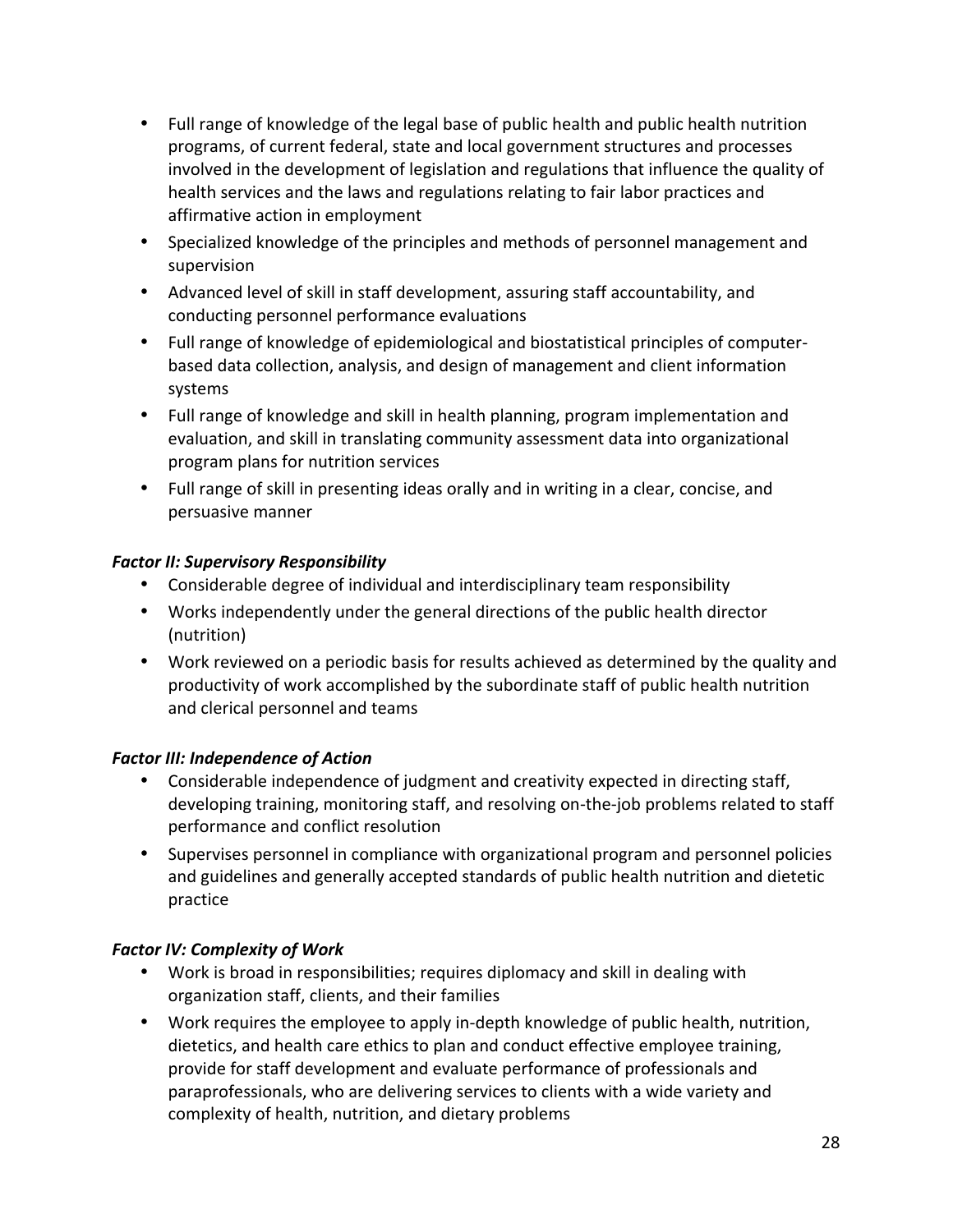- Full range of knowledge of the legal base of public health and public health nutrition programs, of current federal, state and local government structures and processes involved in the development of legislation and regulations that influence the quality of health services and the laws and regulations relating to fair labor practices and affirmative action in employment
- Specialized knowledge of the principles and methods of personnel management and supervision
- Advanced level of skill in staff development, assuring staff accountability, and conducting personnel performance evaluations
- Full range of knowledge of epidemiological and biostatistical principles of computer‐ based data collection, analysis, and design of management and client information systems
- Full range of knowledge and skill in health planning, program implementation and evaluation, and skill in translating community assessment data into organizational program plans for nutrition services
- Full range of skill in presenting ideas orally and in writing in a clear, concise, and persuasive manner

#### *Factor II: Supervisory Responsibility*

- Considerable degree of individual and interdisciplinary team responsibility
- Works independently under the general directions of the public health director (nutrition)
- Work reviewed on a periodic basis for results achieved as determined by the quality and productivity of work accomplished by the subordinate staff of public health nutrition and clerical personnel and teams

#### *Factor III: Independence of Action*

- Considerable independence of judgment and creativity expected in directing staff, developing training, monitoring staff, and resolving on‐the‐job problems related to staff performance and conflict resolution
- Supervises personnel in compliance with organizational program and personnel policies and guidelines and generally accepted standards of public health nutrition and dietetic practice

#### **Factor IV: Complexity of Work**

- Work is broad in responsibilities; requires diplomacy and skill in dealing with organization staff, clients, and their families
- Work requires the employee to apply in-depth knowledge of public health, nutrition, dietetics, and health care ethics to plan and conduct effective employee training, provide for staff development and evaluate performance of professionals and paraprofessionals, who are delivering services to clients with a wide variety and complexity of health, nutrition, and dietary problems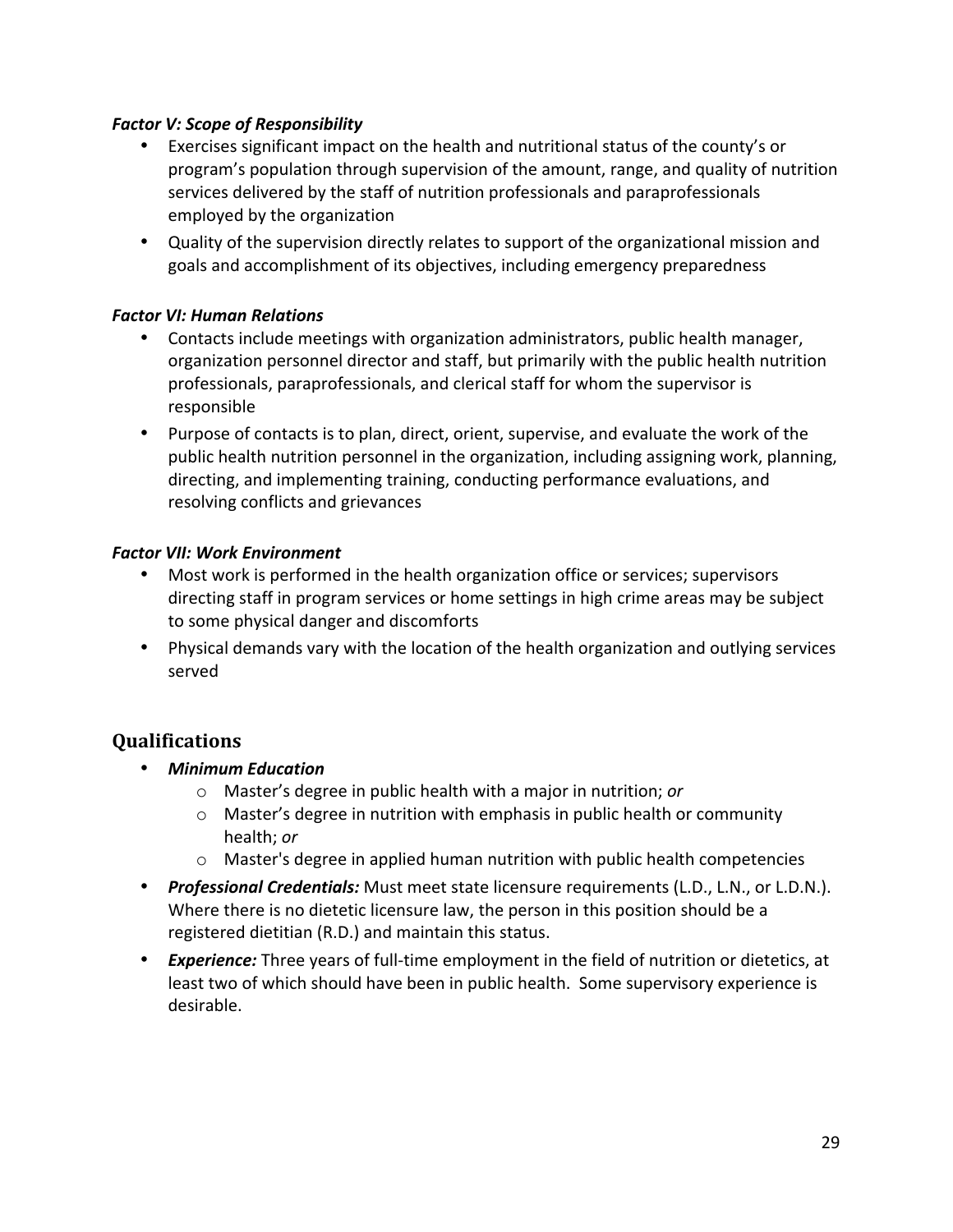#### *Factor V: Scope of Responsibility*

- Exercises significant impact on the health and nutritional status of the county's or program's population through supervision of the amount, range, and quality of nutrition services delivered by the staff of nutrition professionals and paraprofessionals employed by the organization
- Quality of the supervision directly relates to support of the organizational mission and goals and accomplishment of its objectives, including emergency preparedness

#### *Factor VI: Human Relations*

- Contacts include meetings with organization administrators, public health manager, organization personnel director and staff, but primarily with the public health nutrition professionals, paraprofessionals, and clerical staff for whom the supervisor is responsible
- Purpose of contacts is to plan, direct, orient, supervise, and evaluate the work of the public health nutrition personnel in the organization, including assigning work, planning, directing, and implementing training, conducting performance evaluations, and resolving conflicts and grievances

#### *Factor VII: Work Environment*

- Most work is performed in the health organization office or services; supervisors directing staff in program services or home settings in high crime areas may be subject to some physical danger and discomforts
- Physical demands vary with the location of the health organization and outlying services served

#### **Qualifications**

- *Minimum Education*
	- o Master's degree in public health with a major in nutrition; *or*
	- $\circ$  Master's degree in nutrition with emphasis in public health or community health; *or*
	- $\circ$  Master's degree in applied human nutrition with public health competencies
- *Professional Credentials:* Must meet state licensure requirements (L.D., L.N., or L.D.N.). Where there is no dietetic licensure law, the person in this position should be a registered dietitian (R.D.) and maintain this status.
- **Experience:** Three years of full-time employment in the field of nutrition or dietetics, at least two of which should have been in public health. Some supervisory experience is desirable.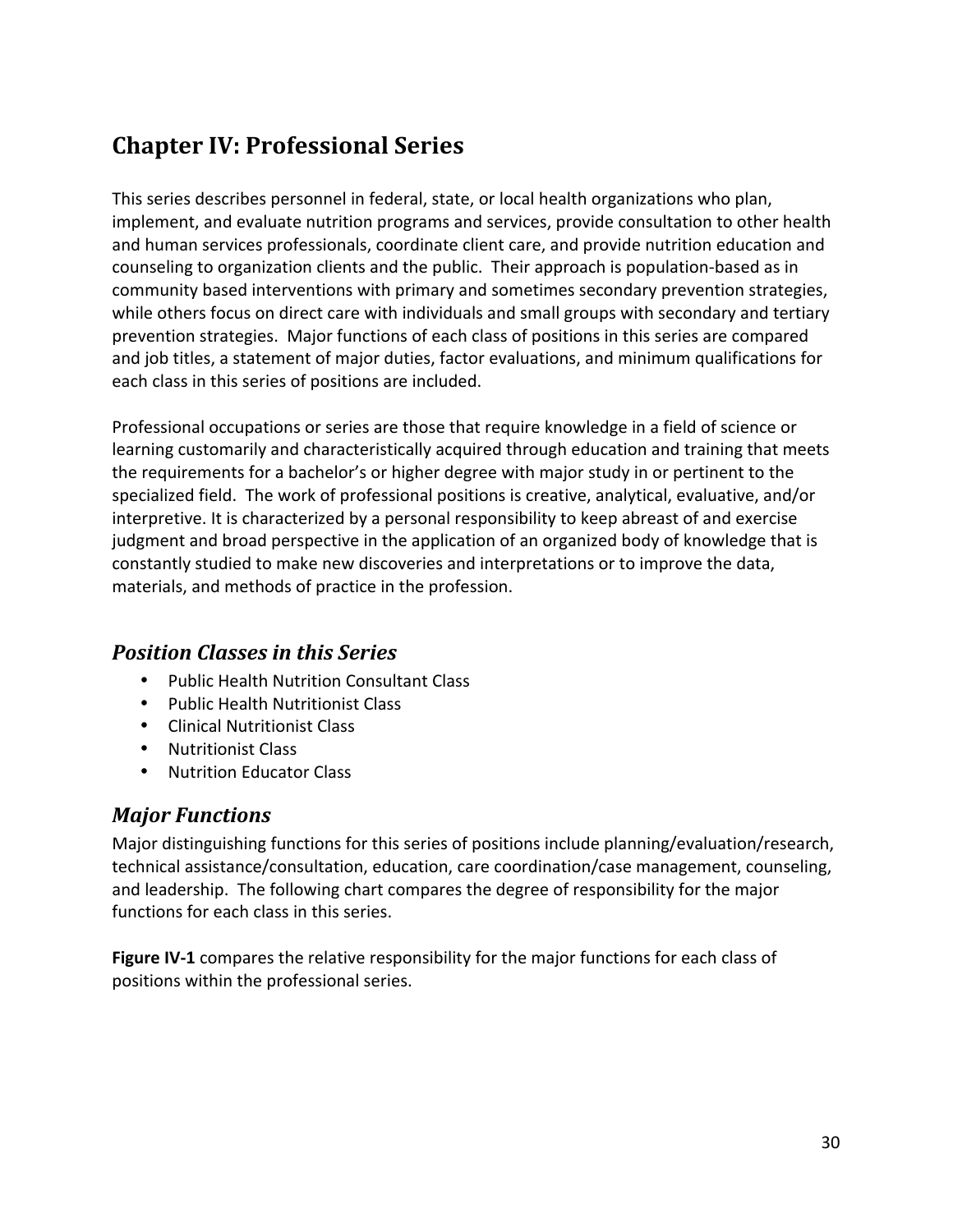# **Chapter IV: Professional Series**

This series describes personnel in federal, state, or local health organizations who plan, implement, and evaluate nutrition programs and services, provide consultation to other health and human services professionals, coordinate client care, and provide nutrition education and counseling to organization clients and the public. Their approach is population‐based as in community based interventions with primary and sometimes secondary prevention strategies, while others focus on direct care with individuals and small groups with secondary and tertiary prevention strategies. Major functions of each class of positions in this series are compared and job titles, a statement of major duties, factor evaluations, and minimum qualifications for each class in this series of positions are included.

Professional occupations or series are those that require knowledge in a field of science or learning customarily and characteristically acquired through education and training that meets the requirements for a bachelor's or higher degree with major study in or pertinent to the specialized field. The work of professional positions is creative, analytical, evaluative, and/or interpretive. It is characterized by a personal responsibility to keep abreast of and exercise judgment and broad perspective in the application of an organized body of knowledge that is constantly studied to make new discoveries and interpretations or to improve the data, materials, and methods of practice in the profession.

# *Position Classes in this Series*

- Public Health Nutrition Consultant Class
- Public Health Nutritionist Class
- Clinical Nutritionist Class
- Nutritionist Class
- Nutrition Educator Class

# *Major Functions*

Major distinguishing functions for this series of positions include planning/evaluation/research, technical assistance/consultation, education, care coordination/case management, counseling, and leadership. The following chart compares the degree of responsibility for the major functions for each class in this series.

Figure IV-1 compares the relative responsibility for the major functions for each class of positions within the professional series.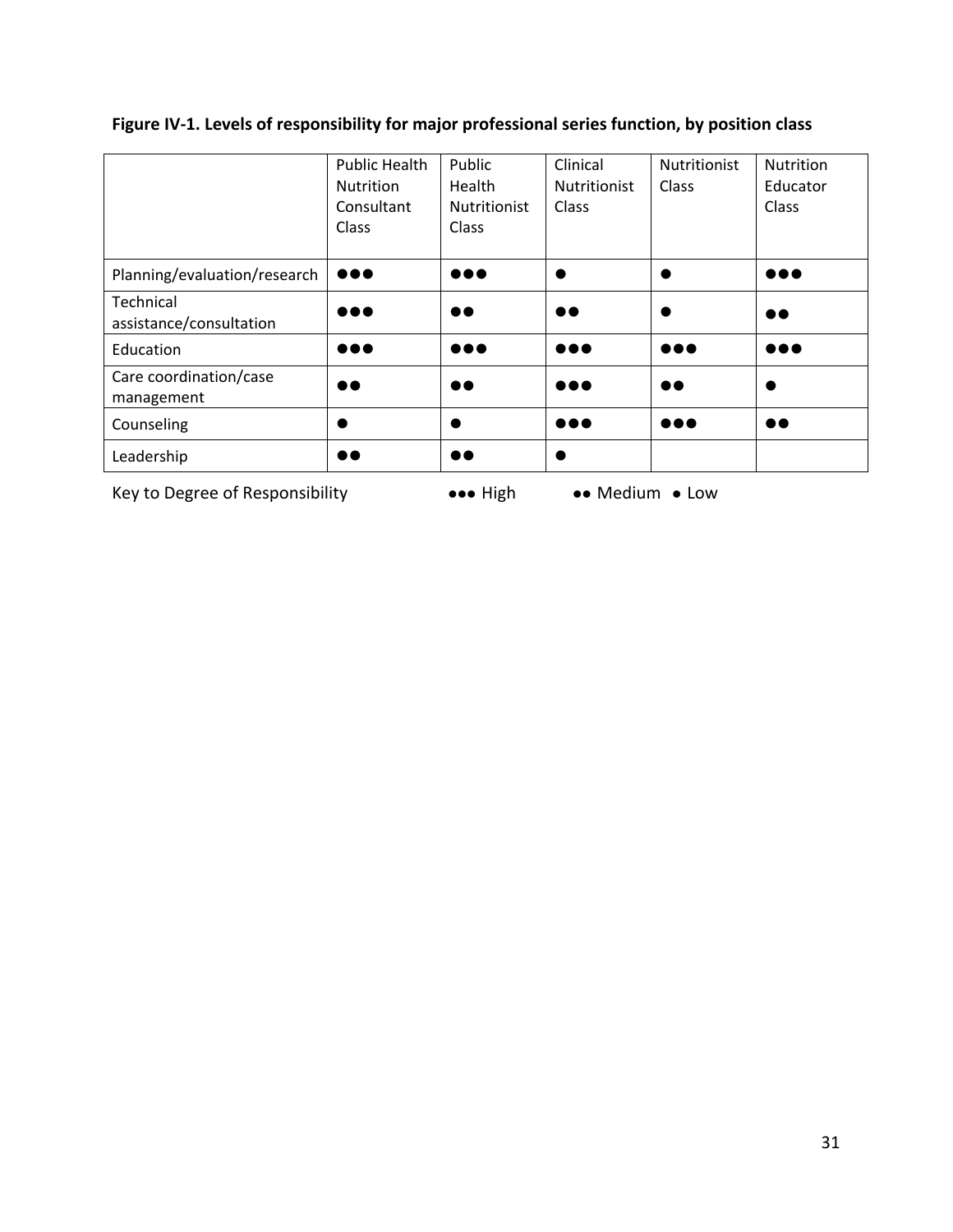# **Figure IV‐1. Levels of responsibility for major professional series function, by position class**

|                                      | <b>Public Health</b><br><b>Nutrition</b><br>Consultant<br>Class | Public<br>Health<br><b>Nutritionist</b><br>Class | Clinical<br><b>Nutritionist</b><br>Class | <b>Nutritionist</b><br>Class | <b>Nutrition</b><br>Educator<br>Class |
|--------------------------------------|-----------------------------------------------------------------|--------------------------------------------------|------------------------------------------|------------------------------|---------------------------------------|
| Planning/evaluation/research         | $\bullet\bullet\bullet$                                         | $\bullet\bullet\bullet$                          | $\bullet$                                |                              | $\bullet\bullet\bullet$               |
| Technical<br>assistance/consultation | $\bullet\bullet\bullet$                                         | $\bullet\bullet$                                 | $\bullet\bullet$                         |                              | $\bullet\bullet$                      |
| Education                            | $\bullet\bullet\bullet$                                         | $\bullet\bullet\bullet$                          | $\bullet\bullet\bullet$                  | $\bullet\bullet\bullet$      | $\bullet\bullet\bullet$               |
| Care coordination/case<br>management | $\bullet\bullet$                                                | $\bullet\bullet$                                 | $\bullet\bullet\bullet$                  | $\bullet\bullet$             |                                       |
| Counseling                           |                                                                 |                                                  | $\bullet\bullet\bullet$                  | $\bullet\bullet\bullet$      | $\bullet\bullet$                      |
| Leadership                           |                                                                 | $\bullet\bullet$                                 |                                          |                              |                                       |

Key to Degree of Responsibility High Medium Low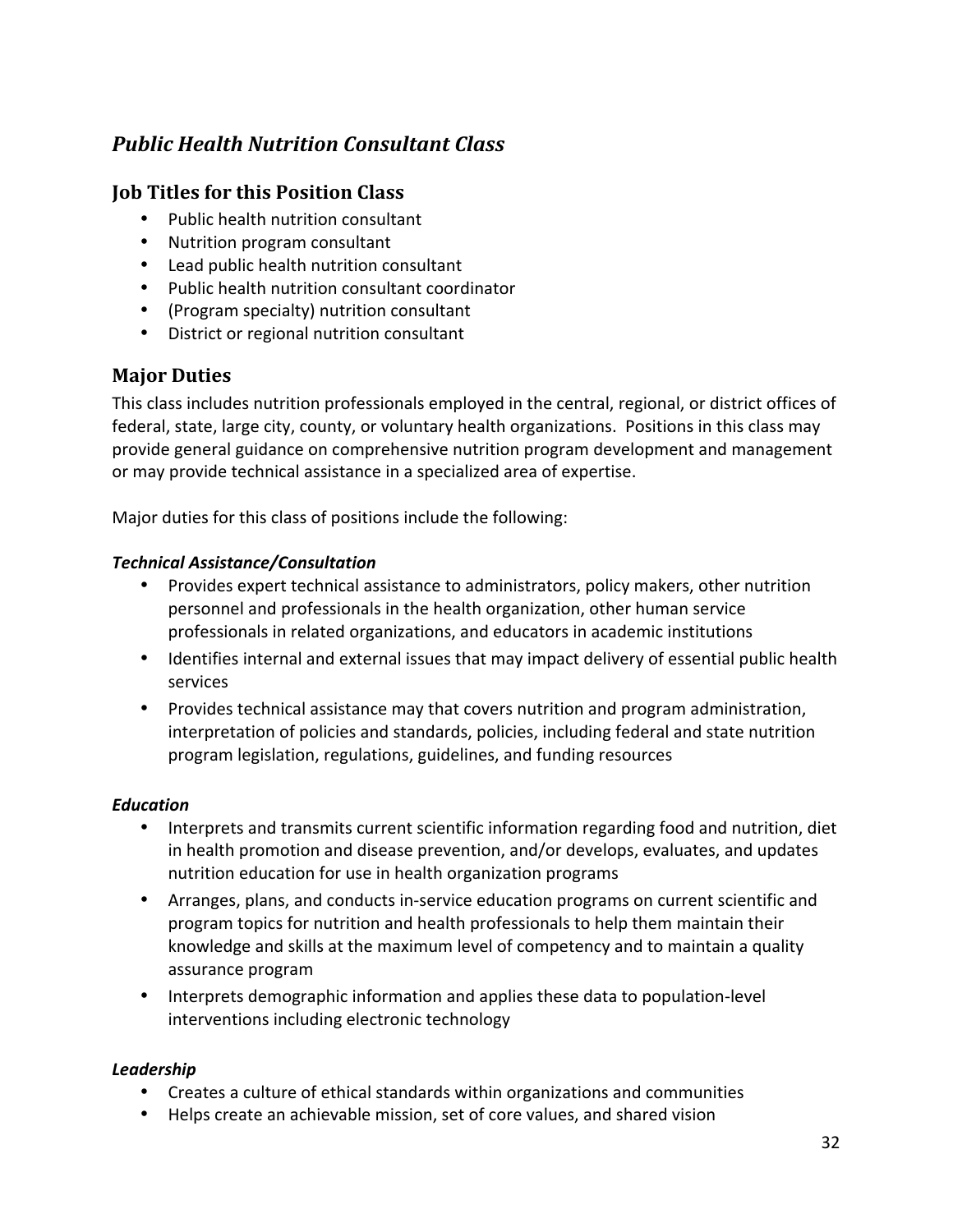# *Public Health Nutrition Consultant Class*

#### **Job Titles for this Position Class**

- Public health nutrition consultant
- Nutrition program consultant
- Lead public health nutrition consultant
- Public health nutrition consultant coordinator
- (Program specialty) nutrition consultant
- District or regional nutrition consultant

#### **Major Duties**

This class includes nutrition professionals employed in the central, regional, or district offices of federal, state, large city, county, or voluntary health organizations. Positions in this class may provide general guidance on comprehensive nutrition program development and management or may provide technical assistance in a specialized area of expertise.

Major duties for this class of positions include the following:

#### *Technical Assistance/Consultation*

- Provides expert technical assistance to administrators, policy makers, other nutrition personnel and professionals in the health organization, other human service professionals in related organizations, and educators in academic institutions
- Identifies internal and external issues that may impact delivery of essential public health services
- Provides technical assistance may that covers nutrition and program administration, interpretation of policies and standards, policies, including federal and state nutrition program legislation, regulations, guidelines, and funding resources

#### *Education*

- Interprets and transmits current scientific information regarding food and nutrition, diet in health promotion and disease prevention, and/or develops, evaluates, and updates nutrition education for use in health organization programs
- Arranges, plans, and conducts in-service education programs on current scientific and program topics for nutrition and health professionals to help them maintain their knowledge and skills at the maximum level of competency and to maintain a quality assurance program
- Interprets demographic information and applies these data to population‐level interventions including electronic technology

#### *Leadership*

- Creates a culture of ethical standards within organizations and communities
- Helps create an achievable mission, set of core values, and shared vision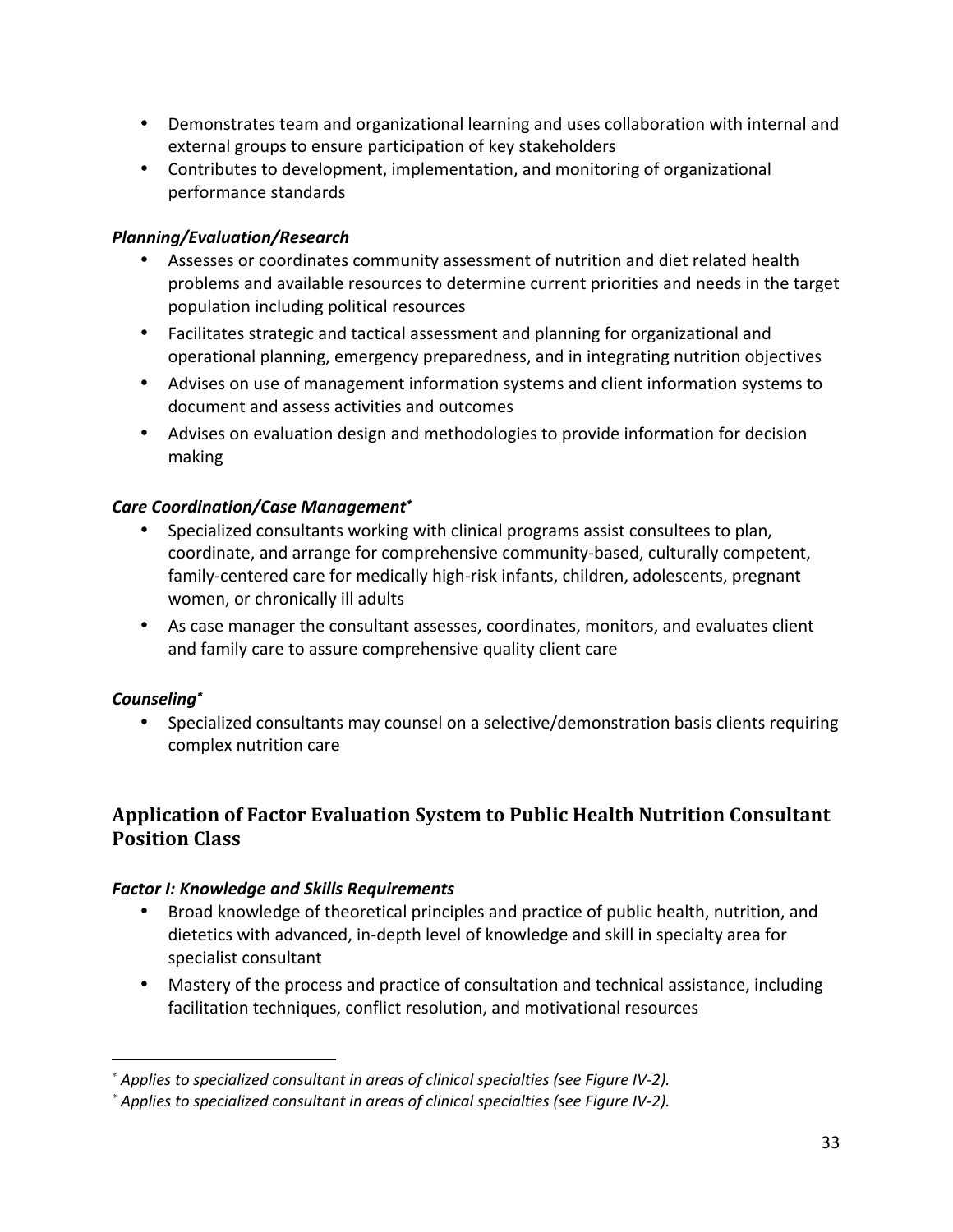- Demonstrates team and organizational learning and uses collaboration with internal and external groups to ensure participation of key stakeholders
- Contributes to development, implementation, and monitoring of organizational performance standards

#### *Planning/Evaluation/Research*

- Assesses or coordinates community assessment of nutrition and diet related health problems and available resources to determine current priorities and needs in the target population including political resources
- Facilitates strategic and tactical assessment and planning for organizational and operational planning, emergency preparedness, and in integrating nutrition objectives
- Advises on use of management information systems and client information systems to document and assess activities and outcomes
- Advises on evaluation design and methodologies to provide information for decision making

#### *Care Coordination/Case Management*<sup>∗</sup>

- Specialized consultants working with clinical programs assist consultees to plan, coordinate, and arrange for comprehensive community-based, culturally competent, family-centered care for medically high-risk infants, children, adolescents, pregnant women, or chronically ill adults
- As case manager the consultant assesses, coordinates, monitors, and evaluates client and family care to assure comprehensive quality client care

#### *Counseling*<sup>∗</sup>

• Specialized consultants may counsel on a selective/demonstration basis clients requiring complex nutrition care

# **Application of Factor Evaluation System to Public Health Nutrition Consultant Position Class**

#### *Factor I: Knowledge and Skills Requirements*

- Broad knowledge of theoretical principles and practice of public health, nutrition, and dietetics with advanced, in‐depth level of knowledge and skill in specialty area for specialist consultant
- Mastery of the process and practice of consultation and technical assistance, including facilitation techniques, conflict resolution, and motivational resources

<sup>∗</sup> *Applies to specialized consultant in areas of clinical specialties (see Figure IV‐2).*

<sup>∗</sup> *Applies to specialized consultant in areas of clinical specialties (see Figure IV‐2).*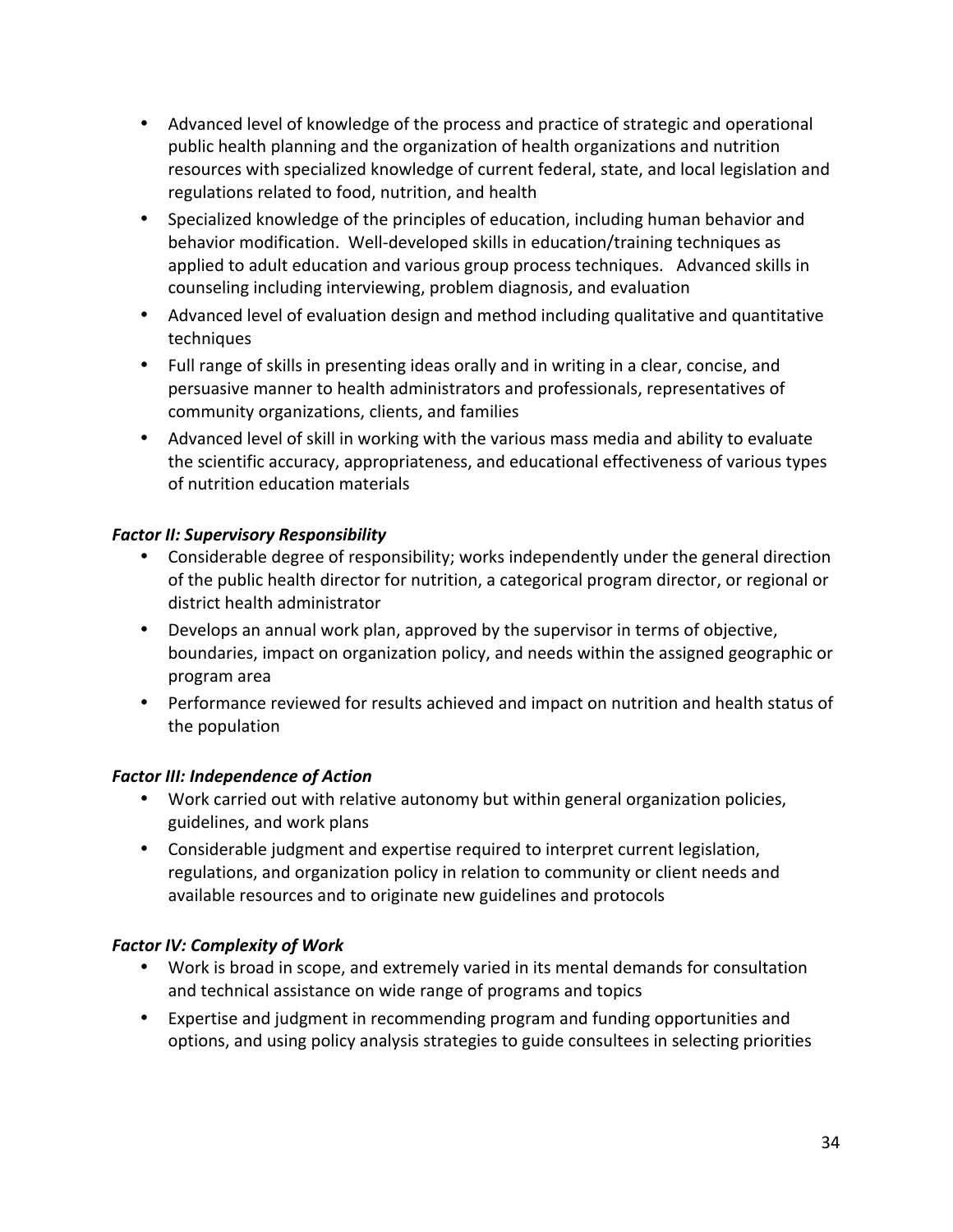- Advanced level of knowledge of the process and practice of strategic and operational public health planning and the organization of health organizations and nutrition resources with specialized knowledge of current federal, state, and local legislation and regulations related to food, nutrition, and health
- Specialized knowledge of the principles of education, including human behavior and behavior modification. Well‐developed skills in education/training techniques as applied to adult education and various group process techniques. Advanced skills in counseling including interviewing, problem diagnosis, and evaluation
- Advanced level of evaluation design and method including qualitative and quantitative techniques
- Full range of skills in presenting ideas orally and in writing in a clear, concise, and persuasive manner to health administrators and professionals, representatives of community organizations, clients, and families
- Advanced level of skill in working with the various mass media and ability to evaluate the scientific accuracy, appropriateness, and educational effectiveness of various types of nutrition education materials

### *Factor II: Supervisory Responsibility*

- Considerable degree of responsibility; works independently under the general direction of the public health director for nutrition, a categorical program director, or regional or district health administrator
- Develops an annual work plan, approved by the supervisor in terms of objective, boundaries, impact on organization policy, and needs within the assigned geographic or program area
- Performance reviewed for results achieved and impact on nutrition and health status of the population

#### **Factor III: Independence of Action**

- Work carried out with relative autonomy but within general organization policies, guidelines, and work plans
- Considerable judgment and expertise required to interpret current legislation, regulations, and organization policy in relation to community or client needs and available resources and to originate new guidelines and protocols

#### **Factor IV: Complexity of Work**

- Work is broad in scope, and extremely varied in its mental demands for consultation and technical assistance on wide range of programs and topics
- Expertise and judgment in recommending program and funding opportunities and options, and using policy analysis strategies to guide consultees in selecting priorities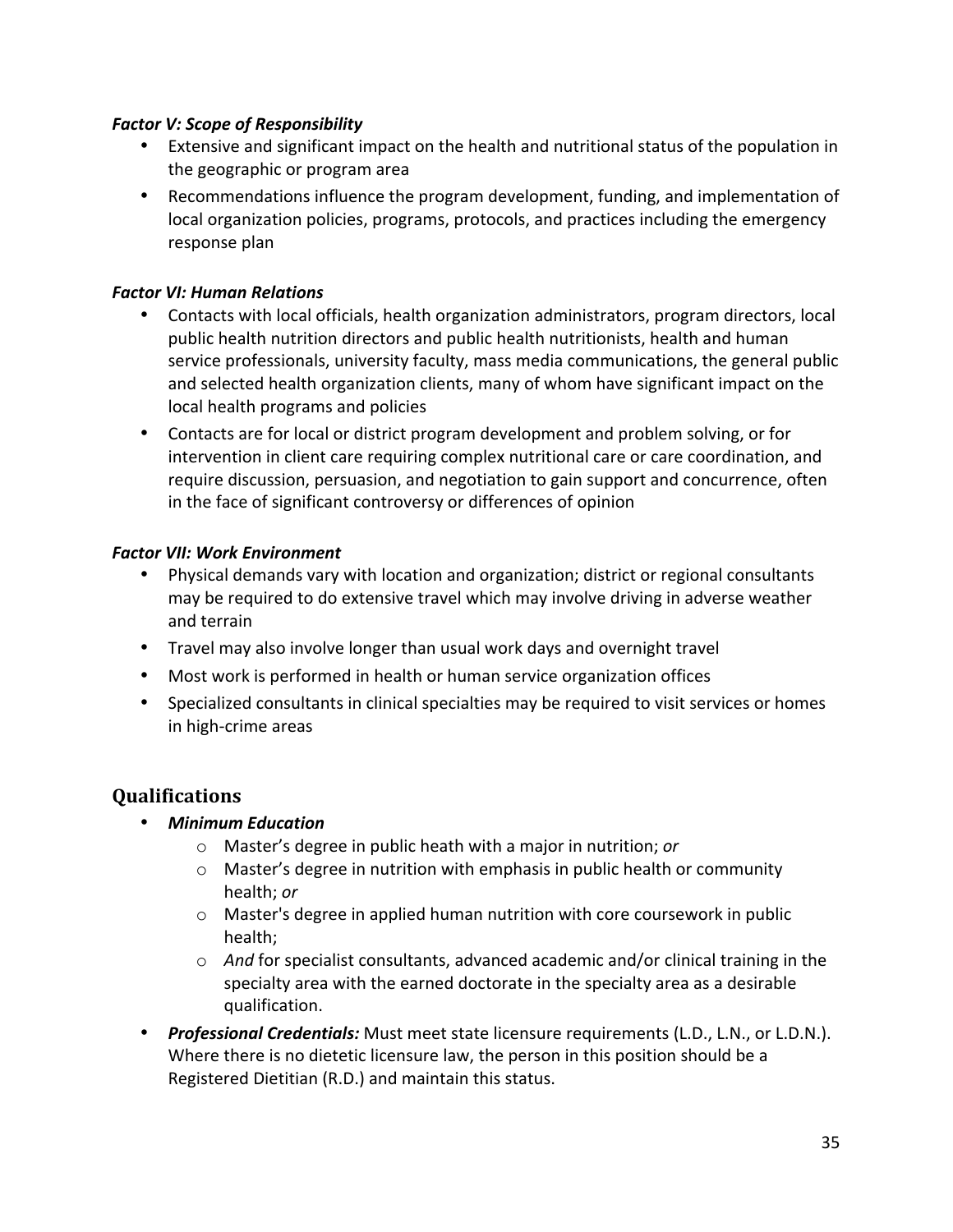#### **Factor V: Scope of Responsibility**

- Extensive and significant impact on the health and nutritional status of the population in the geographic or program area
- Recommendations influence the program development, funding, and implementation of local organization policies, programs, protocols, and practices including the emergency response plan

#### *Factor VI: Human Relations*

- Contacts with local officials, health organization administrators, program directors, local public health nutrition directors and public health nutritionists, health and human service professionals, university faculty, mass media communications, the general public and selected health organization clients, many of whom have significant impact on the local health programs and policies
- Contacts are for local or district program development and problem solving, or for intervention in client care requiring complex nutritional care or care coordination, and require discussion, persuasion, and negotiation to gain support and concurrence, often in the face of significant controversy or differences of opinion

#### *Factor VII: Work Environment*

- Physical demands vary with location and organization; district or regional consultants may be required to do extensive travel which may involve driving in adverse weather and terrain
- Travel may also involve longer than usual work days and overnight travel
- Most work is performed in health or human service organization offices
- Specialized consultants in clinical specialties may be required to visit services or homes in high‐crime areas

- *Minimum Education*
	- o Master's degree in public heath with a major in nutrition; *or*
	- $\circ$  Master's degree in nutrition with emphasis in public health or community health; *or*
	- o Master's degree in applied human nutrition with core coursework in public health;
	- o *And* for specialist consultants, advanced academic and/or clinical training in the specialty area with the earned doctorate in the specialty area as a desirable qualification.
- *Professional Credentials:* Must meet state licensure requirements (L.D., L.N., or L.D.N.). Where there is no dietetic licensure law, the person in this position should be a Registered Dietitian (R.D.) and maintain this status.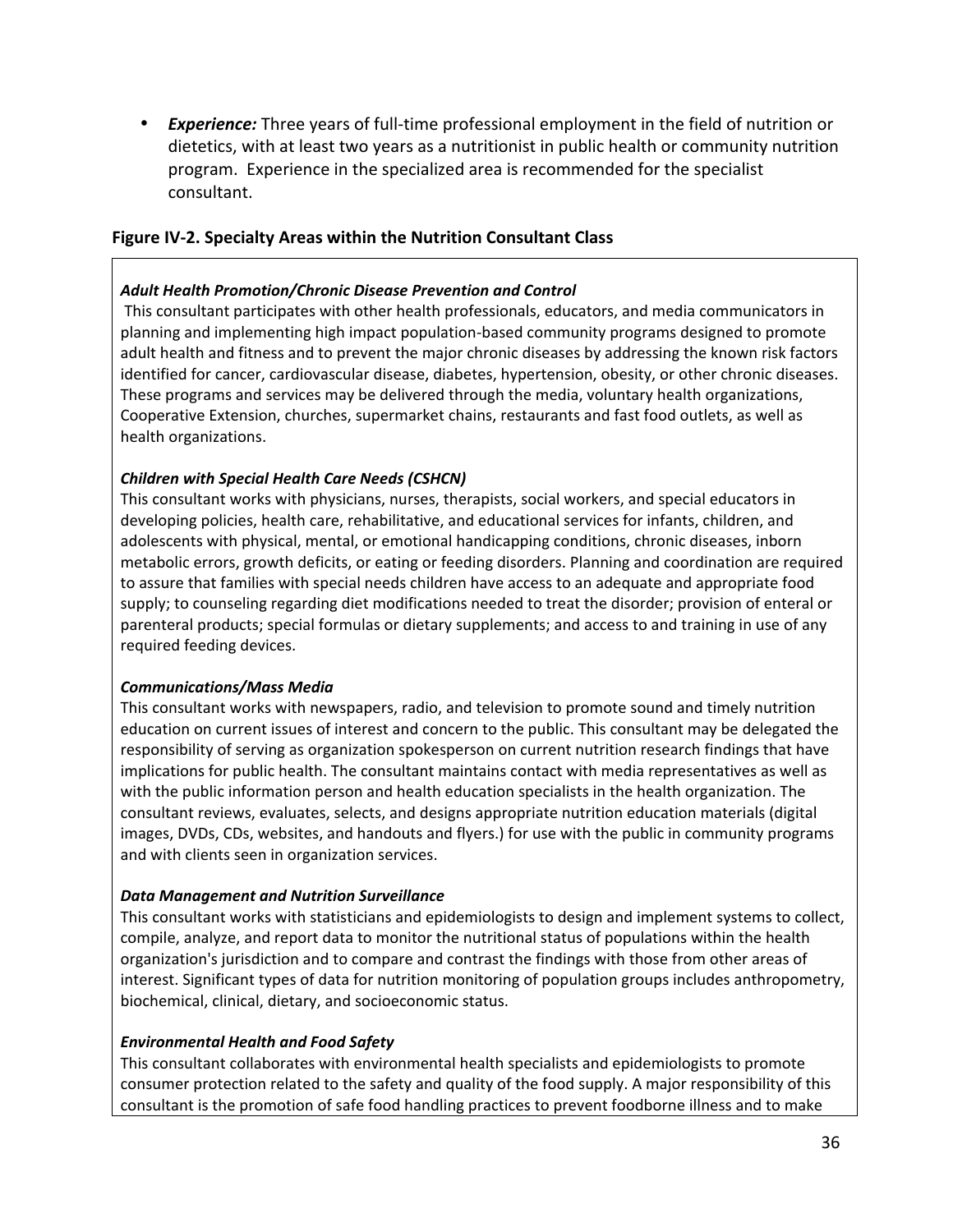• **Experience:** Three years of full-time professional employment in the field of nutrition or dietetics, with at least two years as a nutritionist in public health or community nutrition program. Experience in the specialized area is recommended for the specialist consultant.

#### **Figure IV‐2. Specialty Areas within the Nutrition Consultant Class**

#### *Adult Health Promotion/Chronic Disease Prevention and Control*

This consultant participates with other health professionals, educators, and media communicators in planning and implementing high impact population‐based community programs designed to promote adult health and fitness and to prevent the major chronic diseases by addressing the known risk factors identified for cancer, cardiovascular disease, diabetes, hypertension, obesity, or other chronic diseases. These programs and services may be delivered through the media, voluntary health organizations, Cooperative Extension, churches, supermarket chains, restaurants and fast food outlets, as well as health organizations.

#### *Children with Special Health Care Needs (CSHCN)*

This consultant works with physicians, nurses, therapists, social workers, and special educators in developing policies, health care, rehabilitative, and educational services for infants, children, and adolescents with physical, mental, or emotional handicapping conditions, chronic diseases, inborn metabolic errors, growth deficits, or eating or feeding disorders. Planning and coordination are required to assure that families with special needs children have access to an adequate and appropriate food supply; to counseling regarding diet modifications needed to treat the disorder; provision of enteral or parenteral products; special formulas or dietary supplements; and access to and training in use of any required feeding devices.

#### *Communications/Mass Media*

This consultant works with newspapers, radio, and television to promote sound and timely nutrition education on current issues of interest and concern to the public. This consultant may be delegated the responsibility of serving as organization spokesperson on current nutrition research findings that have implications for public health. The consultant maintains contact with media representatives as well as with the public information person and health education specialists in the health organization. The consultant reviews, evaluates, selects, and designs appropriate nutrition education materials (digital images, DVDs, CDs, websites, and handouts and flyers.) for use with the public in community programs and with clients seen in organization services.

#### *Data Management and Nutrition Surveillance*

This consultant works with statisticians and epidemiologists to design and implement systems to collect, compile, analyze, and report data to monitor the nutritional status of populations within the health organization's jurisdiction and to compare and contrast the findings with those from other areas of interest. Significant types of data for nutrition monitoring of population groups includes anthropometry, biochemical, clinical, dietary, and socioeconomic status.

#### *Environmental Health and Food Safety*

This consultant collaborates with environmental health specialists and epidemiologists to promote consumer protection related to the safety and quality of the food supply. A major responsibility of this consultant is the promotion of safe food handling practices to prevent foodborne illness and to make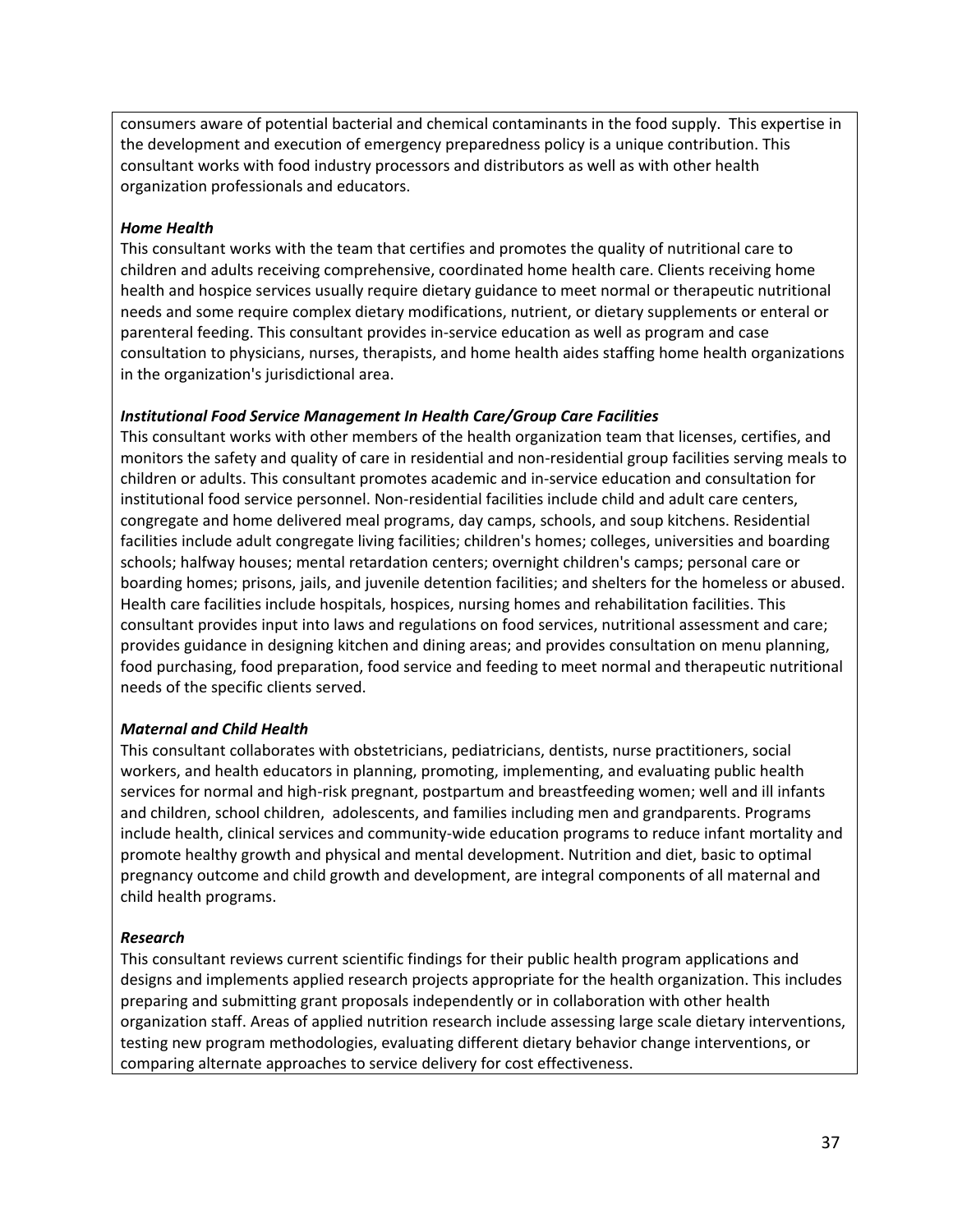consumers aware of potential bacterial and chemical contaminants in the food supply. This expertise in the development and execution of emergency preparedness policy is a unique contribution. This consultant works with food industry processors and distributors as well as with other health organization professionals and educators.

#### *Home Health*

This consultant works with the team that certifies and promotes the quality of nutritional care to children and adults receiving comprehensive, coordinated home health care. Clients receiving home health and hospice services usually require dietary guidance to meet normal or therapeutic nutritional needs and some require complex dietary modifications, nutrient, or dietary supplements or enteral or parenteral feeding. This consultant provides in‐service education as well as program and case consultation to physicians, nurses, therapists, and home health aides staffing home health organizations in the organization's jurisdictional area.

#### *Institutional Food Service Management In Health Care/Group Care Facilities*

This consultant works with other members of the health organization team that licenses, certifies, and monitors the safety and quality of care in residential and non‐residential group facilities serving meals to children or adults. This consultant promotes academic and in‐service education and consultation for institutional food service personnel. Non‐residential facilities include child and adult care centers, congregate and home delivered meal programs, day camps, schools, and soup kitchens. Residential facilities include adult congregate living facilities; children's homes; colleges, universities and boarding schools; halfway houses; mental retardation centers; overnight children's camps; personal care or boarding homes; prisons, jails, and juvenile detention facilities; and shelters for the homeless or abused. Health care facilities include hospitals, hospices, nursing homes and rehabilitation facilities. This consultant provides input into laws and regulations on food services, nutritional assessment and care; provides guidance in designing kitchen and dining areas; and provides consultation on menu planning, food purchasing, food preparation, food service and feeding to meet normal and therapeutic nutritional needs of the specific clients served.

#### *Maternal and Child Health*

This consultant collaborates with obstetricians, pediatricians, dentists, nurse practitioners, social workers, and health educators in planning, promoting, implementing, and evaluating public health services for normal and high‐risk pregnant, postpartum and breastfeeding women; well and ill infants and children, school children, adolescents, and families including men and grandparents. Programs include health, clinical services and community‐wide education programs to reduce infant mortality and promote healthy growth and physical and mental development. Nutrition and diet, basic to optimal pregnancy outcome and child growth and development, are integral components of all maternal and child health programs.

#### *Research*

This consultant reviews current scientific findings for their public health program applications and designs and implements applied research projects appropriate for the health organization. This includes preparing and submitting grant proposals independently or in collaboration with other health organization staff. Areas of applied nutrition research include assessing large scale dietary interventions, testing new program methodologies, evaluating different dietary behavior change interventions, or comparing alternate approaches to service delivery for cost effectiveness.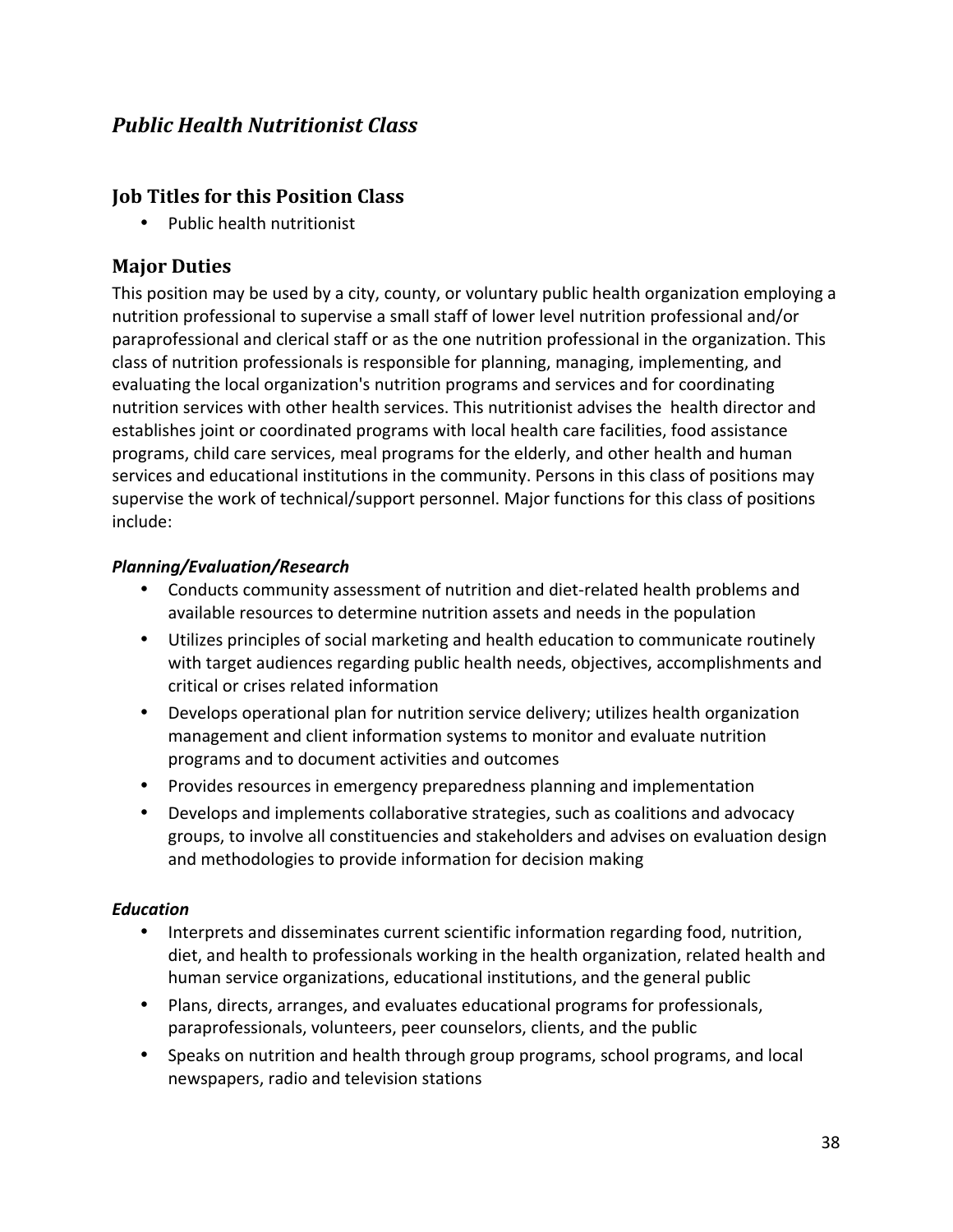# *Public Health Nutritionist Class*

# **Job Titles for this Position Class**

• Public health nutritionist

# **Major Duties**

This position may be used by a city, county, or voluntary public health organization employing a nutrition professional to supervise a small staff of lower level nutrition professional and/or paraprofessional and clerical staff or as the one nutrition professional in the organization. This class of nutrition professionals is responsible for planning, managing, implementing, and evaluating the local organization's nutrition programs and services and for coordinating nutrition services with other health services. This nutritionist advises the health director and establishes joint or coordinated programs with local health care facilities, food assistance programs, child care services, meal programs for the elderly, and other health and human services and educational institutions in the community. Persons in this class of positions may supervise the work of technical/support personnel. Major functions for this class of positions include:

#### *Planning/Evaluation/Research*

- Conducts community assessment of nutrition and diet-related health problems and available resources to determine nutrition assets and needs in the population
- Utilizes principles of social marketing and health education to communicate routinely with target audiences regarding public health needs, objectives, accomplishments and critical or crises related information
- Develops operational plan for nutrition service delivery; utilizes health organization management and client information systems to monitor and evaluate nutrition programs and to document activities and outcomes
- Provides resources in emergency preparedness planning and implementation
- Develops and implements collaborative strategies, such as coalitions and advocacy groups, to involve all constituencies and stakeholders and advises on evaluation design and methodologies to provide information for decision making

# *Education*

- Interprets and disseminates current scientific information regarding food, nutrition, diet, and health to professionals working in the health organization, related health and human service organizations, educational institutions, and the general public
- Plans, directs, arranges, and evaluates educational programs for professionals, paraprofessionals, volunteers, peer counselors, clients, and the public
- Speaks on nutrition and health through group programs, school programs, and local newspapers, radio and television stations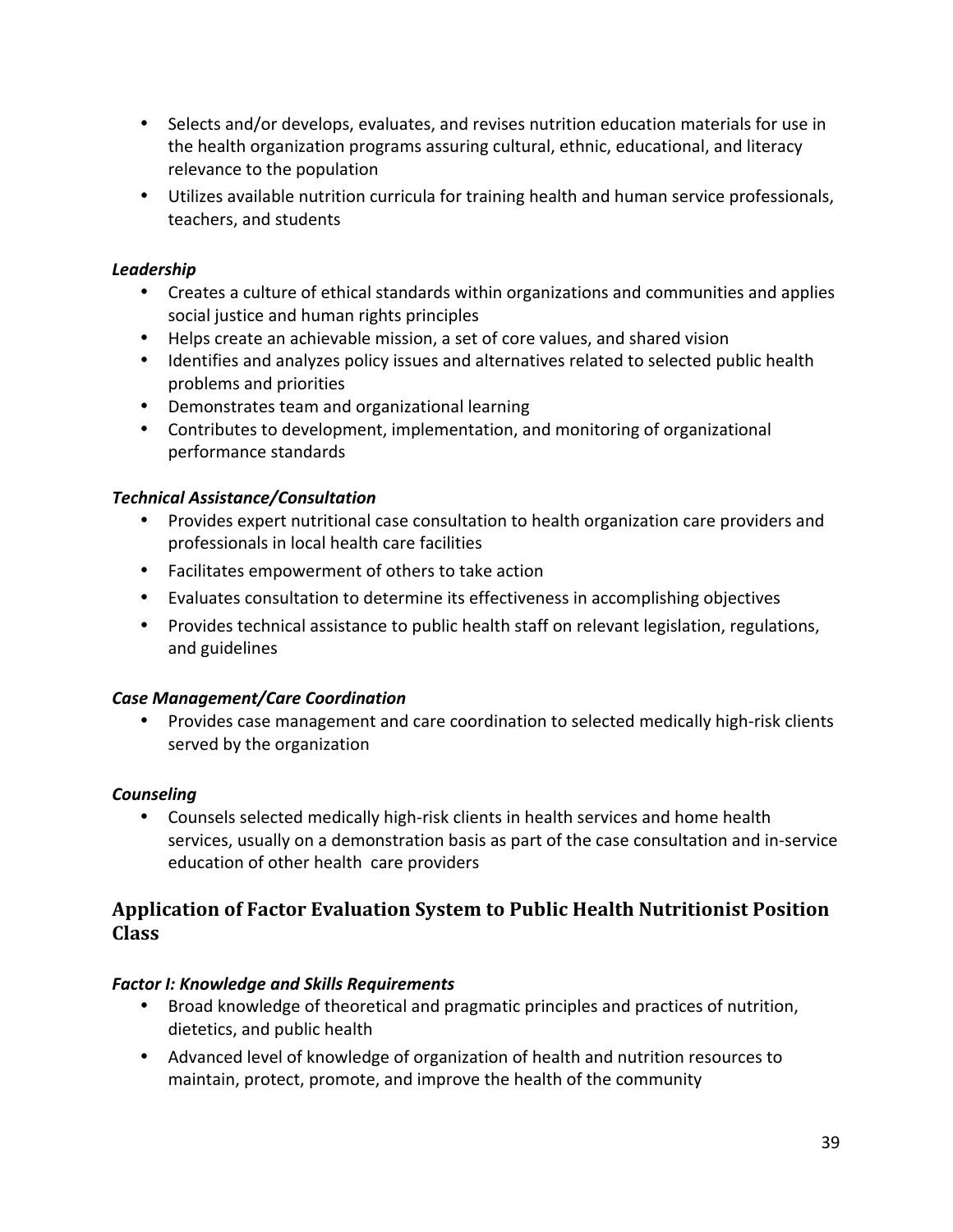- Selects and/or develops, evaluates, and revises nutrition education materials for use in the health organization programs assuring cultural, ethnic, educational, and literacy relevance to the population
- Utilizes available nutrition curricula for training health and human service professionals, teachers, and students

### *Leadership*

- Creates a culture of ethical standards within organizations and communities and applies social justice and human rights principles
- Helps create an achievable mission, a set of core values, and shared vision
- Identifies and analyzes policy issues and alternatives related to selected public health problems and priorities
- Demonstrates team and organizational learning
- Contributes to development, implementation, and monitoring of organizational performance standards

#### *Technical Assistance/Consultation*

- Provides expert nutritional case consultation to health organization care providers and professionals in local health care facilities
- Facilitates empowerment of others to take action
- Evaluates consultation to determine its effectiveness in accomplishing objectives
- Provides technical assistance to public health staff on relevant legislation, regulations, and guidelines

#### *Case Management/Care Coordination*

• Provides case management and care coordination to selected medically high‐risk clients served by the organization

#### *Counseling*

• Counsels selected medically high-risk clients in health services and home health services, usually on a demonstration basis as part of the case consultation and in‐service education of other health care providers

# **Application of Factor Evaluation System to Public Health Nutritionist Position Class**

#### *Factor I: Knowledge and Skills Requirements*

- Broad knowledge of theoretical and pragmatic principles and practices of nutrition, dietetics, and public health
- Advanced level of knowledge of organization of health and nutrition resources to maintain, protect, promote, and improve the health of the community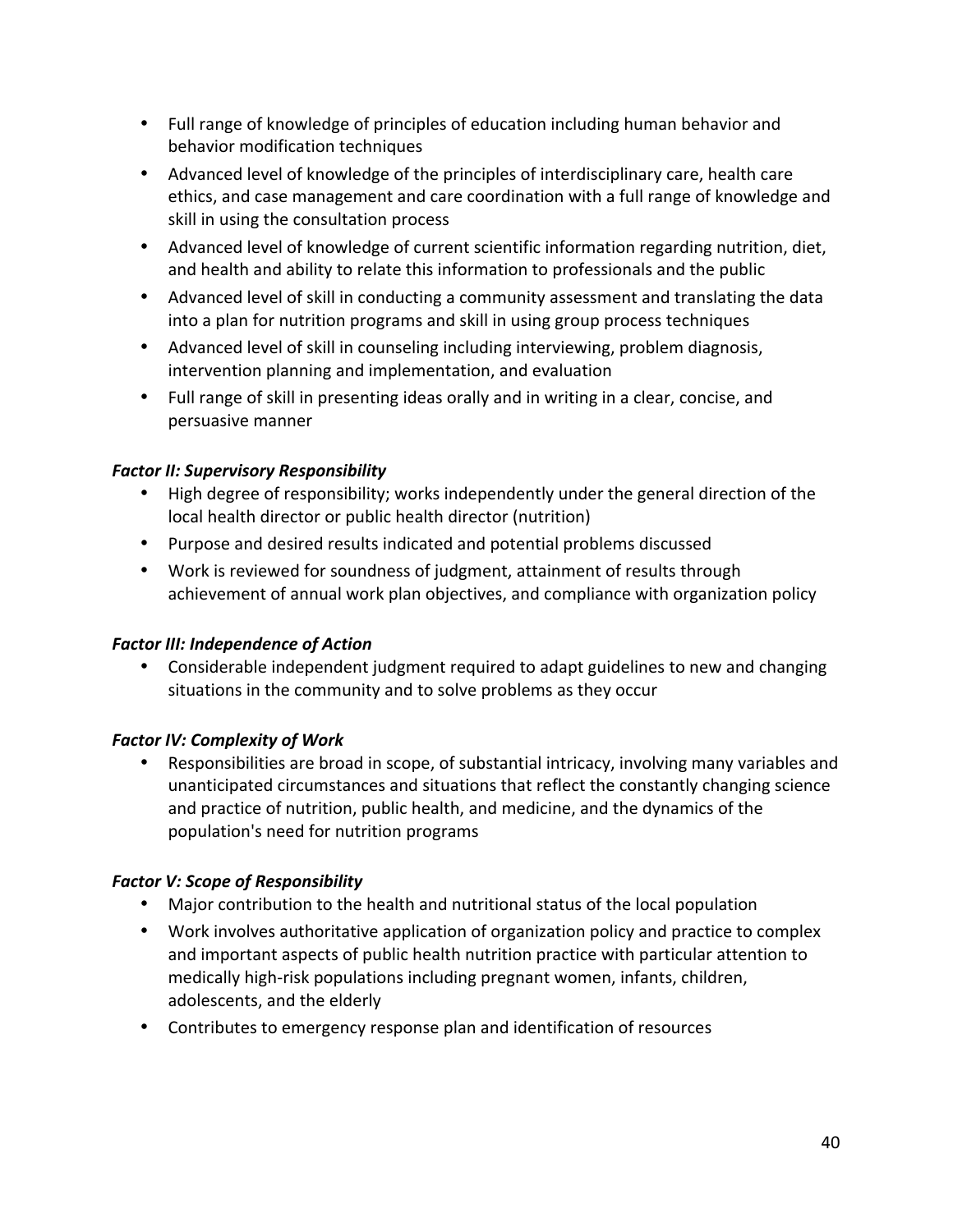- Full range of knowledge of principles of education including human behavior and behavior modification techniques
- Advanced level of knowledge of the principles of interdisciplinary care, health care ethics, and case management and care coordination with a full range of knowledge and skill in using the consultation process
- Advanced level of knowledge of current scientific information regarding nutrition, diet, and health and ability to relate this information to professionals and the public
- Advanced level of skill in conducting a community assessment and translating the data into a plan for nutrition programs and skill in using group process techniques
- Advanced level of skill in counseling including interviewing, problem diagnosis, intervention planning and implementation, and evaluation
- Full range of skill in presenting ideas orally and in writing in a clear, concise, and persuasive manner

### *Factor II: Supervisory Responsibility*

- High degree of responsibility; works independently under the general direction of the local health director or public health director (nutrition)
- Purpose and desired results indicated and potential problems discussed
- Work is reviewed for soundness of judgment, attainment of results through achievement of annual work plan objectives, and compliance with organization policy

#### **Factor III: Independence of Action**

• Considerable independent judgment required to adapt guidelines to new and changing situations in the community and to solve problems as they occur

# **Factor IV: Complexity of Work**

• Responsibilities are broad in scope, of substantial intricacy, involving many variables and unanticipated circumstances and situations that reflect the constantly changing science and practice of nutrition, public health, and medicine, and the dynamics of the population's need for nutrition programs

#### **Factor V: Scope of Responsibility**

- Major contribution to the health and nutritional status of the local population
- Work involves authoritative application of organization policy and practice to complex and important aspects of public health nutrition practice with particular attention to medically high‐risk populations including pregnant women, infants, children, adolescents, and the elderly
- Contributes to emergency response plan and identification of resources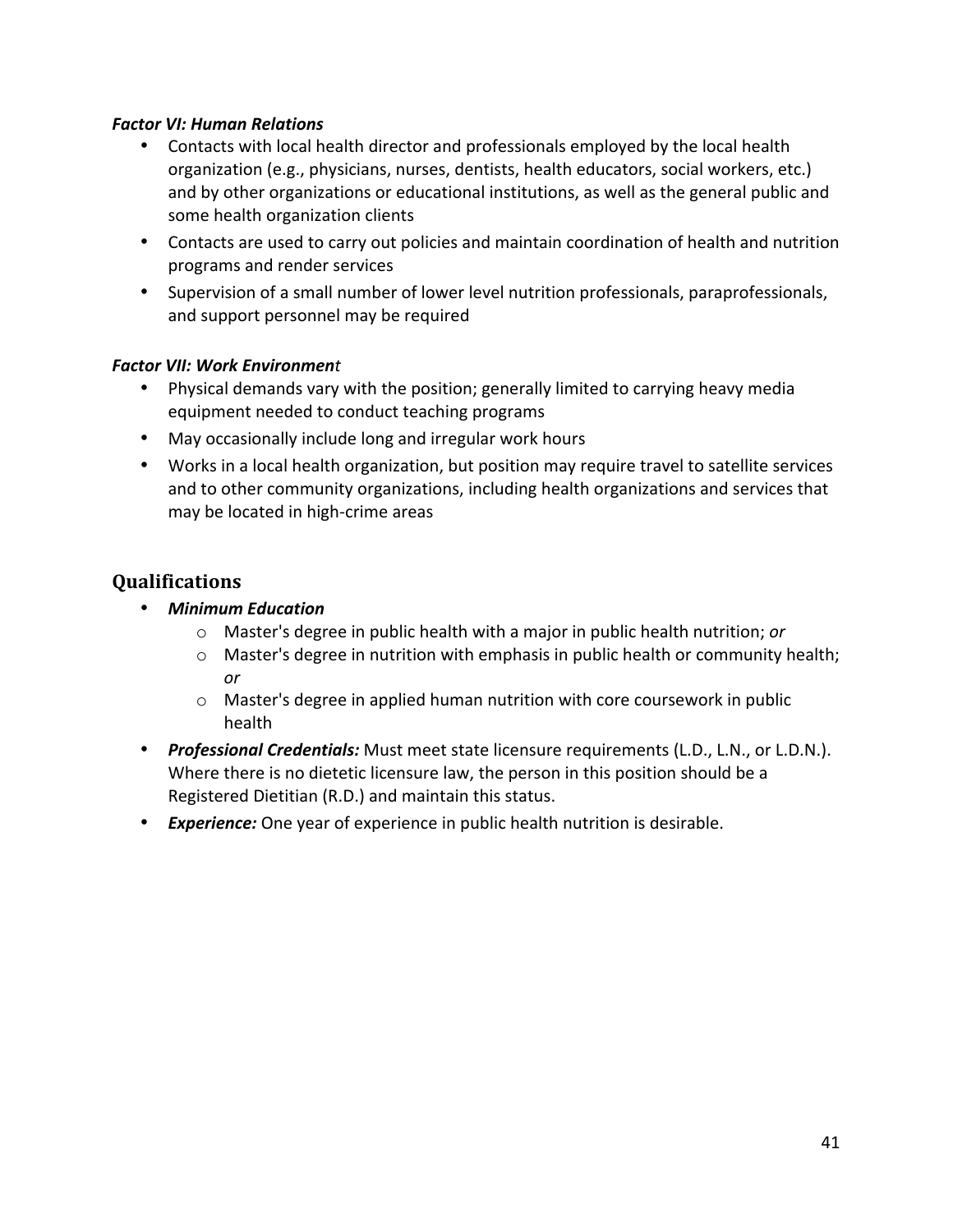#### *Factor VI: Human Relations*

- Contacts with local health director and professionals employed by the local health organization (e.g., physicians, nurses, dentists, health educators, social workers, etc.) and by other organizations or educational institutions, as well as the general public and some health organization clients
- Contacts are used to carry out policies and maintain coordination of health and nutrition programs and render services
- Supervision of a small number of lower level nutrition professionals, paraprofessionals, and support personnel may be required

#### *Factor VII: Work Environment*

- Physical demands vary with the position; generally limited to carrying heavy media equipment needed to conduct teaching programs
- May occasionally include long and irregular work hours
- Works in a local health organization, but position may require travel to satellite services and to other community organizations, including health organizations and services that may be located in high‐crime areas

- *Minimum Education*
	- o Master's degree in public health with a major in public health nutrition; *or*
	- $\circ$  Master's degree in nutrition with emphasis in public health or community health; *or*
	- $\circ$  Master's degree in applied human nutrition with core coursework in public health
- *Professional Credentials:* Must meet state licensure requirements (L.D., L.N., or L.D.N.). Where there is no dietetic licensure law, the person in this position should be a Registered Dietitian (R.D.) and maintain this status.
- *Experience:* One year of experience in public health nutrition is desirable.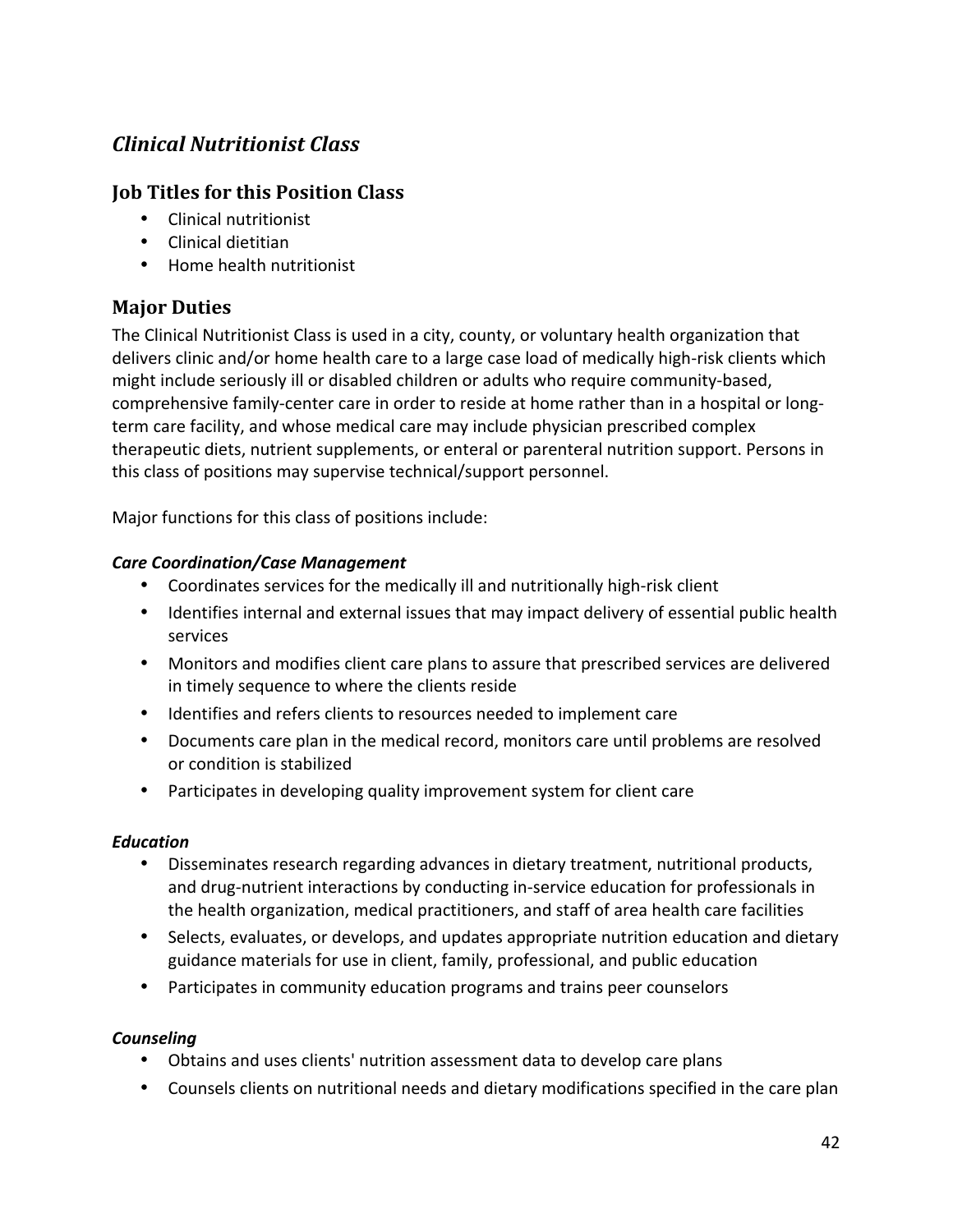# *Clinical Nutritionist Class*

# **Job Titles for this Position Class**

- Clinical nutritionist
- Clinical dietitian
- Home health nutritionist

# **Major Duties**

The Clinical Nutritionist Class is used in a city, county, or voluntary health organization that delivers clinic and/or home health care to a large case load of medically high‐risk clients which might include seriously ill or disabled children or adults who require community‐based, comprehensive family-center care in order to reside at home rather than in a hospital or longterm care facility, and whose medical care may include physician prescribed complex therapeutic diets, nutrient supplements, or enteral or parenteral nutrition support. Persons in this class of positions may supervise technical/support personnel.

Major functions for this class of positions include:

#### *Care Coordination/Case Management*

- Coordinates services for the medically ill and nutritionally high-risk client
- Identifies internal and external issues that may impact delivery of essential public health services
- Monitors and modifies client care plans to assure that prescribed services are delivered in timely sequence to where the clients reside
- Identifies and refers clients to resources needed to implement care
- Documents care plan in the medical record, monitors care until problems are resolved or condition is stabilized
- Participates in developing quality improvement system for client care

#### *Education*

- Disseminates research regarding advances in dietary treatment, nutritional products, and drug‐nutrient interactions by conducting in‐service education for professionals in the health organization, medical practitioners, and staff of area health care facilities
- Selects, evaluates, or develops, and updates appropriate nutrition education and dietary guidance materials for use in client, family, professional, and public education
- Participates in community education programs and trains peer counselors

#### *Counseling*

- Obtains and uses clients' nutrition assessment data to develop care plans
- Counsels clients on nutritional needs and dietary modifications specified in the care plan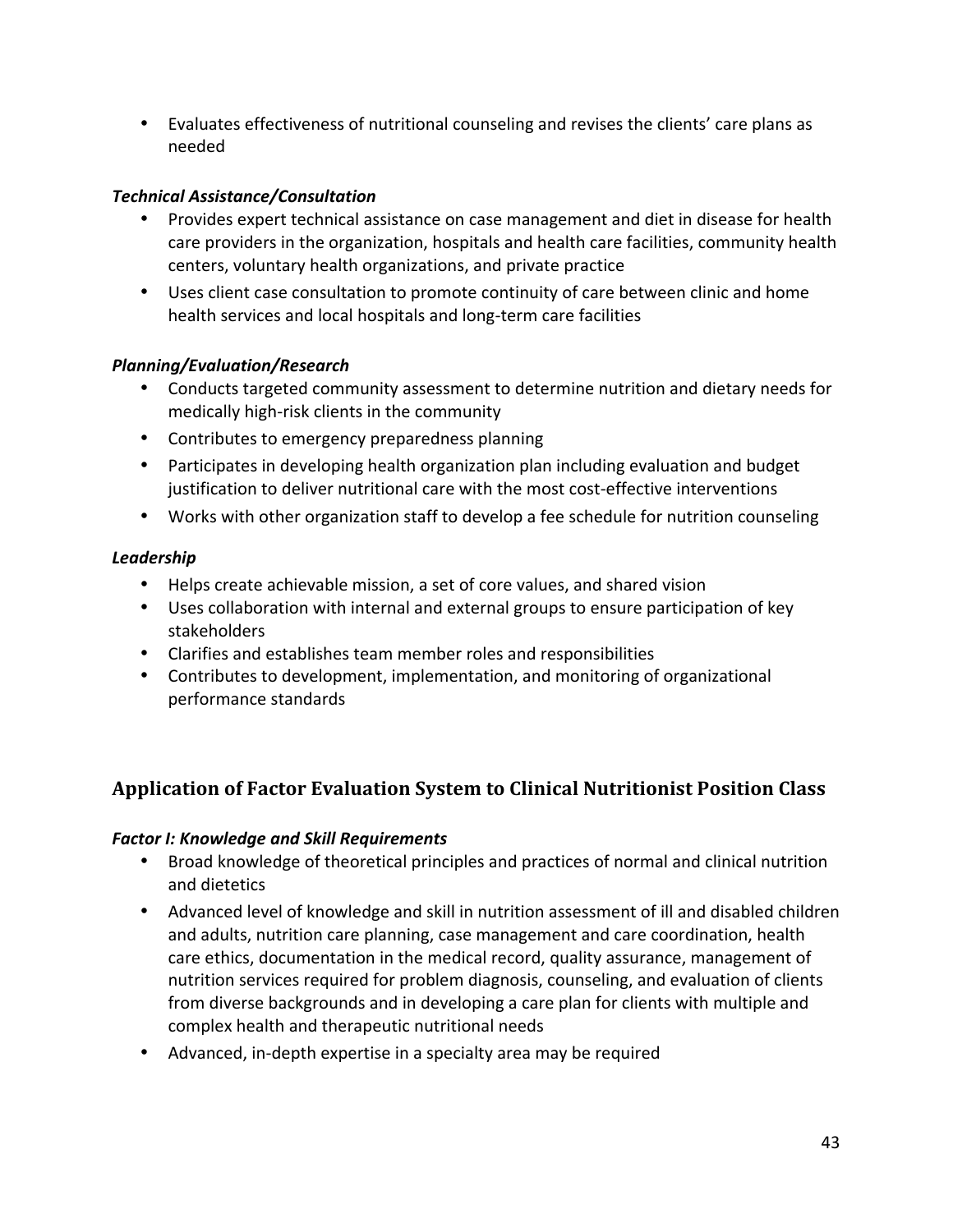• Evaluates effectiveness of nutritional counseling and revises the clients' care plans as needed

### *Technical Assistance/Consultation*

- Provides expert technical assistance on case management and diet in disease for health care providers in the organization, hospitals and health care facilities, community health centers, voluntary health organizations, and private practice
- Uses client case consultation to promote continuity of care between clinic and home health services and local hospitals and long‐term care facilities

#### *Planning/Evaluation/Research*

- Conducts targeted community assessment to determine nutrition and dietary needs for medically high‐risk clients in the community
- Contributes to emergency preparedness planning
- Participates in developing health organization plan including evaluation and budget justification to deliver nutritional care with the most cost-effective interventions
- Works with other organization staff to develop a fee schedule for nutrition counseling

### *Leadership*

- Helps create achievable mission, a set of core values, and shared vision
- Uses collaboration with internal and external groups to ensure participation of key stakeholders
- Clarifies and establishes team member roles and responsibilities
- Contributes to development, implementation, and monitoring of organizational performance standards

# **Application of Factor Evaluation System to Clinical Nutritionist Position Class**

#### *Factor I: Knowledge and Skill Requirements*

- Broad knowledge of theoretical principles and practices of normal and clinical nutrition and dietetics
- Advanced level of knowledge and skill in nutrition assessment of ill and disabled children and adults, nutrition care planning, case management and care coordination, health care ethics, documentation in the medical record, quality assurance, management of nutrition services required for problem diagnosis, counseling, and evaluation of clients from diverse backgrounds and in developing a care plan for clients with multiple and complex health and therapeutic nutritional needs
- Advanced, in-depth expertise in a specialty area may be required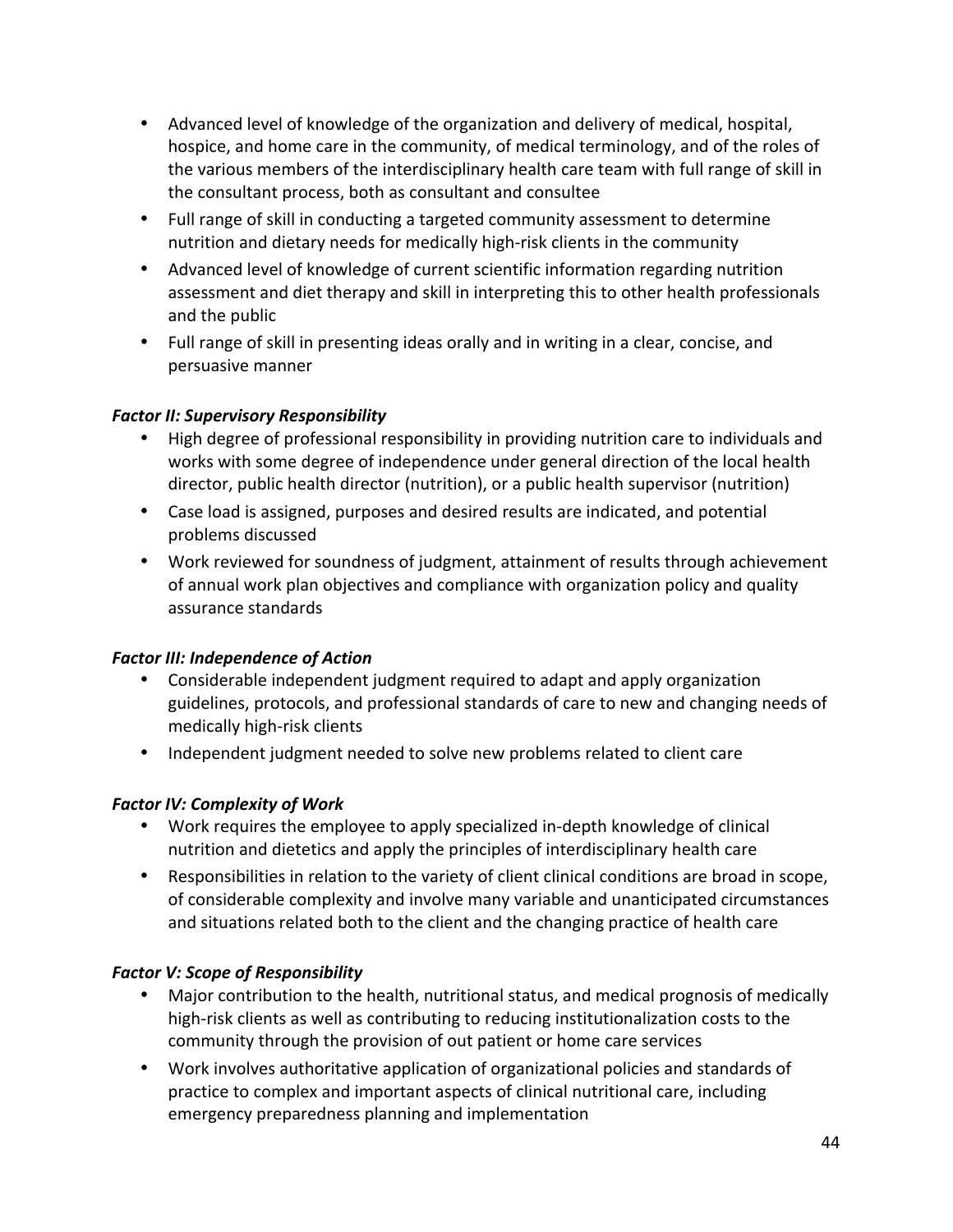- Advanced level of knowledge of the organization and delivery of medical, hospital, hospice, and home care in the community, of medical terminology, and of the roles of the various members of the interdisciplinary health care team with full range of skill in the consultant process, both as consultant and consultee
- Full range of skill in conducting a targeted community assessment to determine nutrition and dietary needs for medically high‐risk clients in the community
- Advanced level of knowledge of current scientific information regarding nutrition assessment and diet therapy and skill in interpreting this to other health professionals and the public
- Full range of skill in presenting ideas orally and in writing in a clear, concise, and persuasive manner

### *Factor II: Supervisory Responsibility*

- High degree of professional responsibility in providing nutrition care to individuals and works with some degree of independence under general direction of the local health director, public health director (nutrition), or a public health supervisor (nutrition)
- Case load is assigned, purposes and desired results are indicated, and potential problems discussed
- Work reviewed for soundness of judgment, attainment of results through achievement of annual work plan objectives and compliance with organization policy and quality assurance standards

#### **Factor III: Independence of Action**

- Considerable independent judgment required to adapt and apply organization guidelines, protocols, and professional standards of care to new and changing needs of medically high‐risk clients
- Independent judgment needed to solve new problems related to client care

# **Factor IV: Complexity of Work**

- Work requires the employee to apply specialized in-depth knowledge of clinical nutrition and dietetics and apply the principles of interdisciplinary health care
- Responsibilities in relation to the variety of client clinical conditions are broad in scope, of considerable complexity and involve many variable and unanticipated circumstances and situations related both to the client and the changing practice of health care

# **Factor V: Scope of Responsibility**

- Major contribution to the health, nutritional status, and medical prognosis of medically high‐risk clients as well as contributing to reducing institutionalization costs to the community through the provision of out patient or home care services
- Work involves authoritative application of organizational policies and standards of practice to complex and important aspects of clinical nutritional care, including emergency preparedness planning and implementation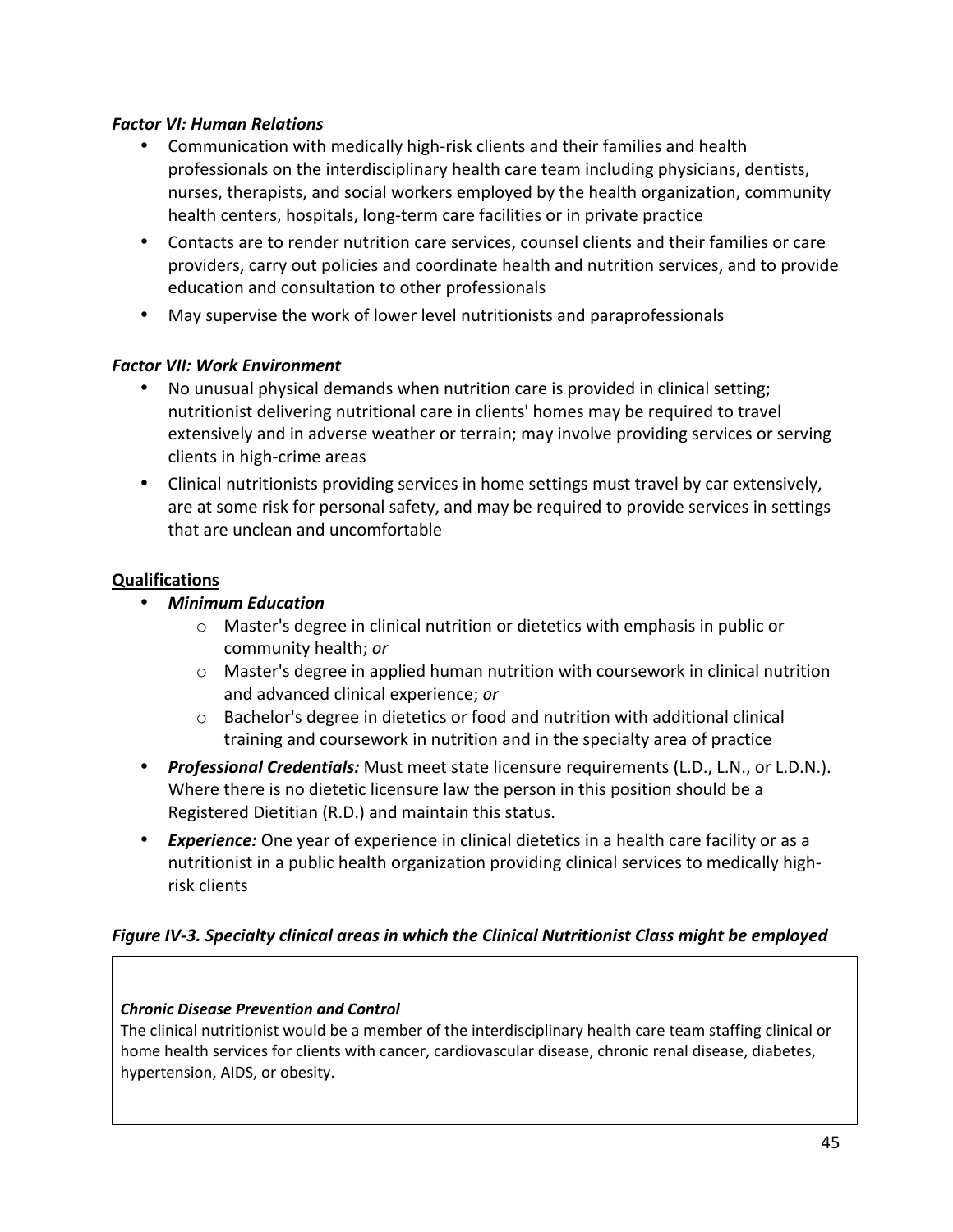#### *Factor VI: Human Relations*

- Communication with medically high-risk clients and their families and health professionals on the interdisciplinary health care team including physicians, dentists, nurses, therapists, and social workers employed by the health organization, community health centers, hospitals, long‐term care facilities or in private practice
- Contacts are to render nutrition care services, counsel clients and their families or care providers, carry out policies and coordinate health and nutrition services, and to provide education and consultation to other professionals
- May supervise the work of lower level nutritionists and paraprofessionals

#### *Factor VII: Work Environment*

- No unusual physical demands when nutrition care is provided in clinical setting; nutritionist delivering nutritional care in clients' homes may be required to travel extensively and in adverse weather or terrain; may involve providing services or serving clients in high‐crime areas
- Clinical nutritionists providing services in home settings must travel by car extensively, are at some risk for personal safety, and may be required to provide services in settings that are unclean and uncomfortable

#### **Qualifications**

- *Minimum Education*
	- o Master's degree in clinical nutrition or dietetics with emphasis in public or community health; *or*
	- $\circ$  Master's degree in applied human nutrition with coursework in clinical nutrition and advanced clinical experience; *or*
	- $\circ$  Bachelor's degree in dietetics or food and nutrition with additional clinical training and coursework in nutrition and in the specialty area of practice
- *Professional Credentials:* Must meet state licensure requirements (L.D., L.N., or L.D.N.). Where there is no dietetic licensure law the person in this position should be a Registered Dietitian (R.D.) and maintain this status.
- *Experience:* One year of experience in clinical dietetics in a health care facility or as a nutritionist in a public health organization providing clinical services to medically high‐ risk clients

#### *Figure IV‐3. Specialty clinical areas in which the Clinical Nutritionist Class might be employed*

#### *Chronic Disease Prevention and Control*

The clinical nutritionist would be a member of the interdisciplinary health care team staffing clinical or home health services for clients with cancer, cardiovascular disease, chronic renal disease, diabetes, hypertension, AIDS, or obesity.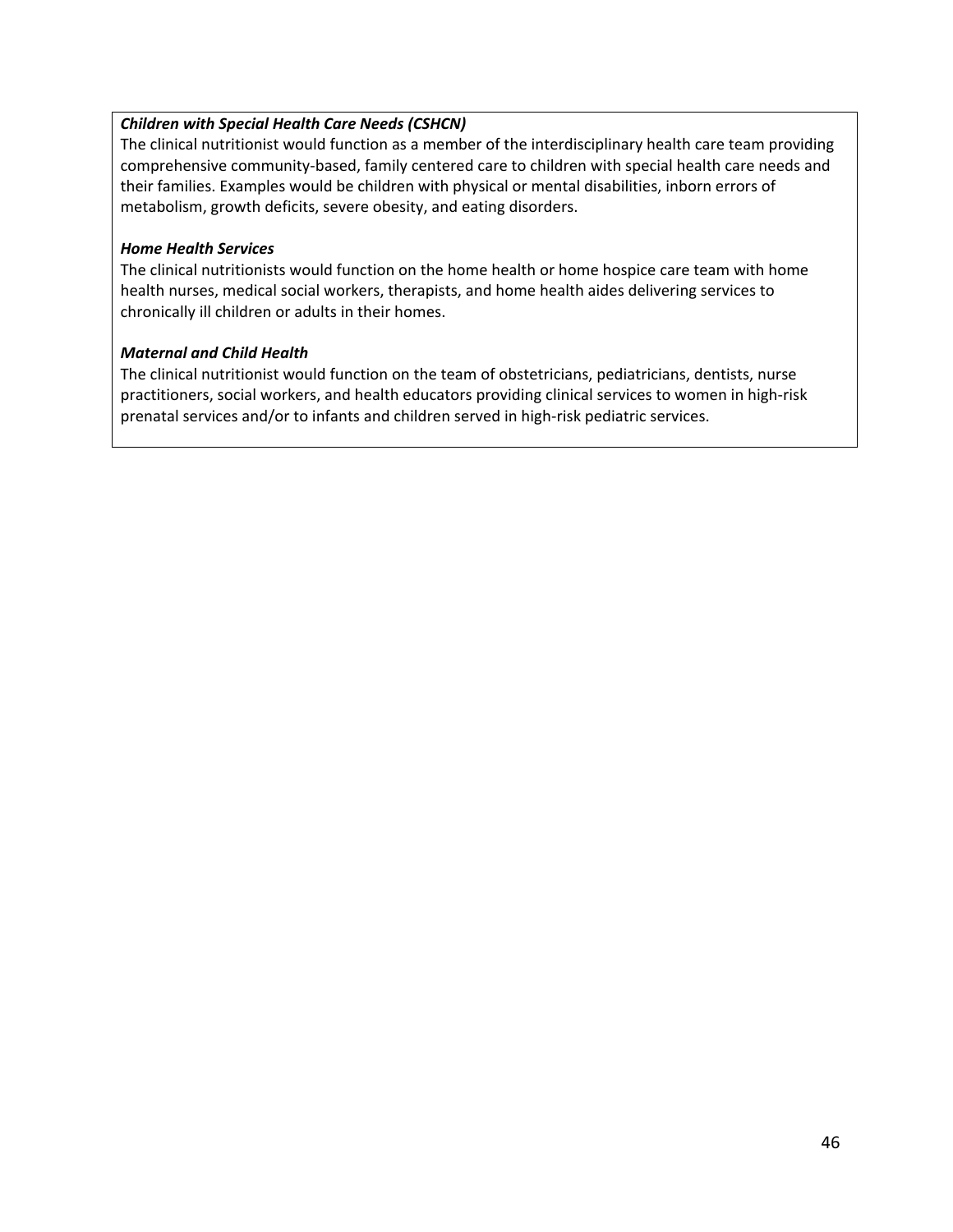#### *Children with Special Health Care Needs (CSHCN)*

The clinical nutritionist would function as a member of the interdisciplinary health care team providing comprehensive community‐based, family centered care to children with special health care needs and their families. Examples would be children with physical or mental disabilities, inborn errors of metabolism, growth deficits, severe obesity, and eating disorders.

#### *Home Health Services*

The clinical nutritionists would function on the home health or home hospice care team with home health nurses, medical social workers, therapists, and home health aides delivering services to chronically ill children or adults in their homes.

#### *Maternal and Child Health*

The clinical nutritionist would function on the team of obstetricians, pediatricians, dentists, nurse practitioners, social workers, and health educators providing clinical services to women in high‐risk prenatal services and/or to infants and children served in high-risk pediatric services.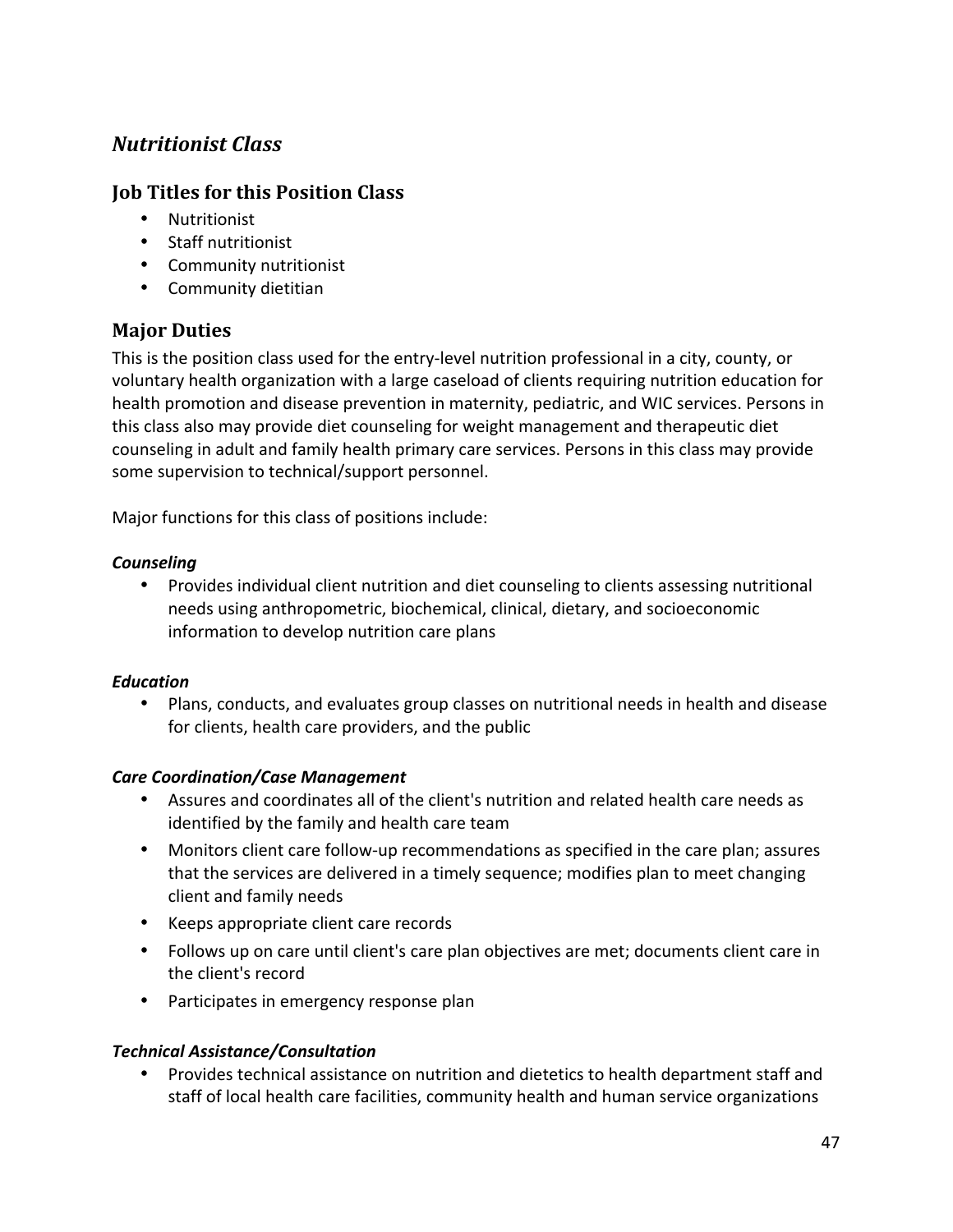# *Nutritionist Class*

# **Job Titles for this Position Class**

- Nutritionist
- Staff nutritionist
- Community nutritionist
- Community dietitian

# **Major Duties**

This is the position class used for the entry‐level nutrition professional in a city, county, or voluntary health organization with a large caseload of clients requiring nutrition education for health promotion and disease prevention in maternity, pediatric, and WIC services. Persons in this class also may provide diet counseling for weight management and therapeutic diet counseling in adult and family health primary care services. Persons in this class may provide some supervision to technical/support personnel.

Major functions for this class of positions include:

#### *Counseling*

• Provides individual client nutrition and diet counseling to clients assessing nutritional needs using anthropometric, biochemical, clinical, dietary, and socioeconomic information to develop nutrition care plans

#### *Education*

• Plans, conducts, and evaluates group classes on nutritional needs in health and disease for clients, health care providers, and the public

#### *Care Coordination/Case Management*

- Assures and coordinates all of the client's nutrition and related health care needs as identified by the family and health care team
- Monitors client care follow-up recommendations as specified in the care plan; assures that the services are delivered in a timely sequence; modifies plan to meet changing client and family needs
- Keeps appropriate client care records
- Follows up on care until client's care plan objectives are met; documents client care in the client's record
- Participates in emergency response plan

#### *Technical Assistance/Consultation*

• Provides technical assistance on nutrition and dietetics to health department staff and staff of local health care facilities, community health and human service organizations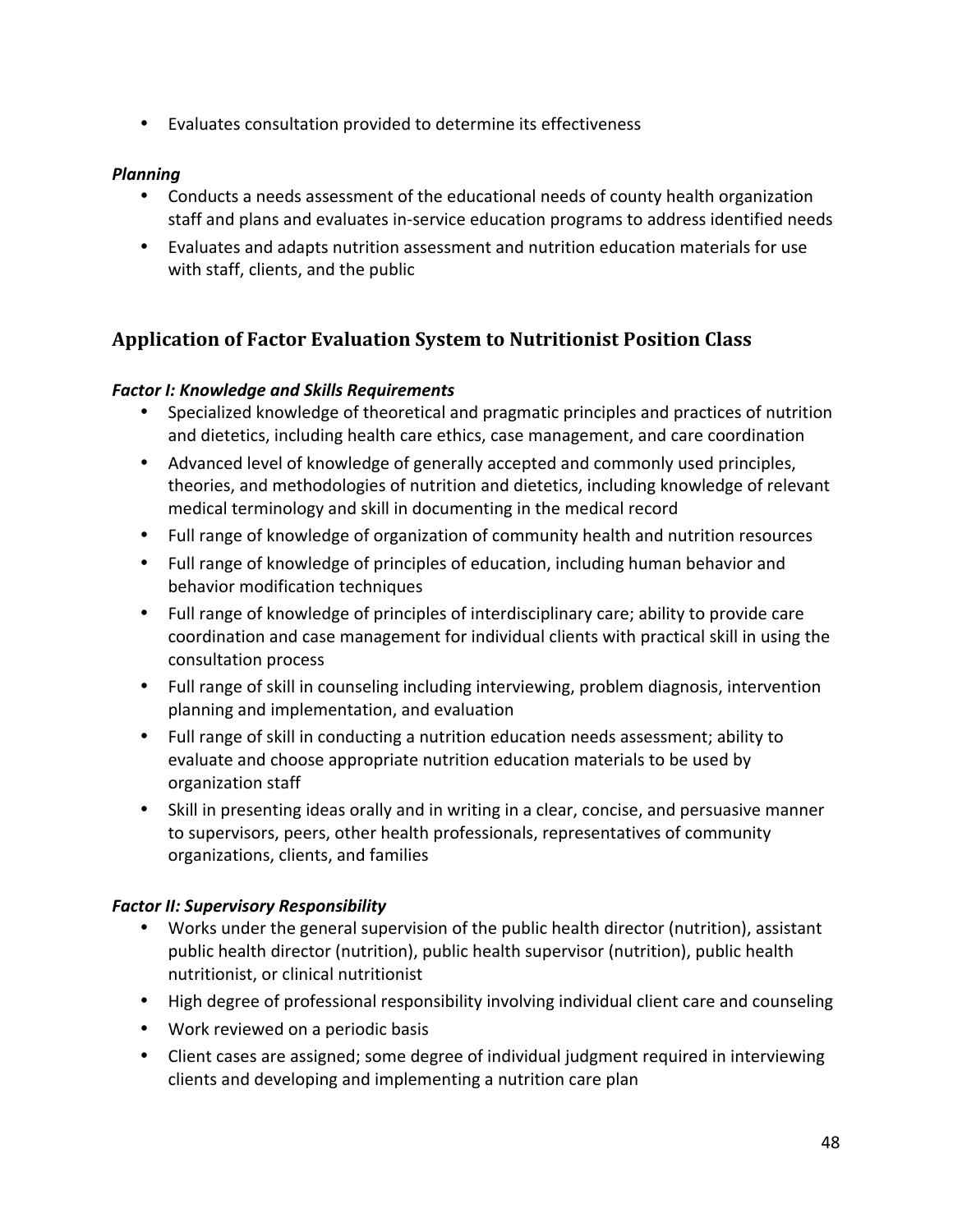• Evaluates consultation provided to determine its effectiveness

#### *Planning*

- Conducts a needs assessment of the educational needs of county health organization staff and plans and evaluates in‐service education programs to address identified needs
- Evaluates and adapts nutrition assessment and nutrition education materials for use with staff, clients, and the public

# **Application of Factor Evaluation System to Nutritionist Position Class**

#### *Factor I: Knowledge and Skills Requirements*

- Specialized knowledge of theoretical and pragmatic principles and practices of nutrition and dietetics, including health care ethics, case management, and care coordination
- Advanced level of knowledge of generally accepted and commonly used principles, theories, and methodologies of nutrition and dietetics, including knowledge of relevant medical terminology and skill in documenting in the medical record
- Full range of knowledge of organization of community health and nutrition resources
- Full range of knowledge of principles of education, including human behavior and behavior modification techniques
- Full range of knowledge of principles of interdisciplinary care; ability to provide care coordination and case management for individual clients with practical skill in using the consultation process
- Full range of skill in counseling including interviewing, problem diagnosis, intervention planning and implementation, and evaluation
- Full range of skill in conducting a nutrition education needs assessment; ability to evaluate and choose appropriate nutrition education materials to be used by organization staff
- Skill in presenting ideas orally and in writing in a clear, concise, and persuasive manner to supervisors, peers, other health professionals, representatives of community organizations, clients, and families

#### *Factor II: Supervisory Responsibility*

- Works under the general supervision of the public health director (nutrition), assistant public health director (nutrition), public health supervisor (nutrition), public health nutritionist, or clinical nutritionist
- High degree of professional responsibility involving individual client care and counseling
- Work reviewed on a periodic basis
- Client cases are assigned; some degree of individual judgment required in interviewing clients and developing and implementing a nutrition care plan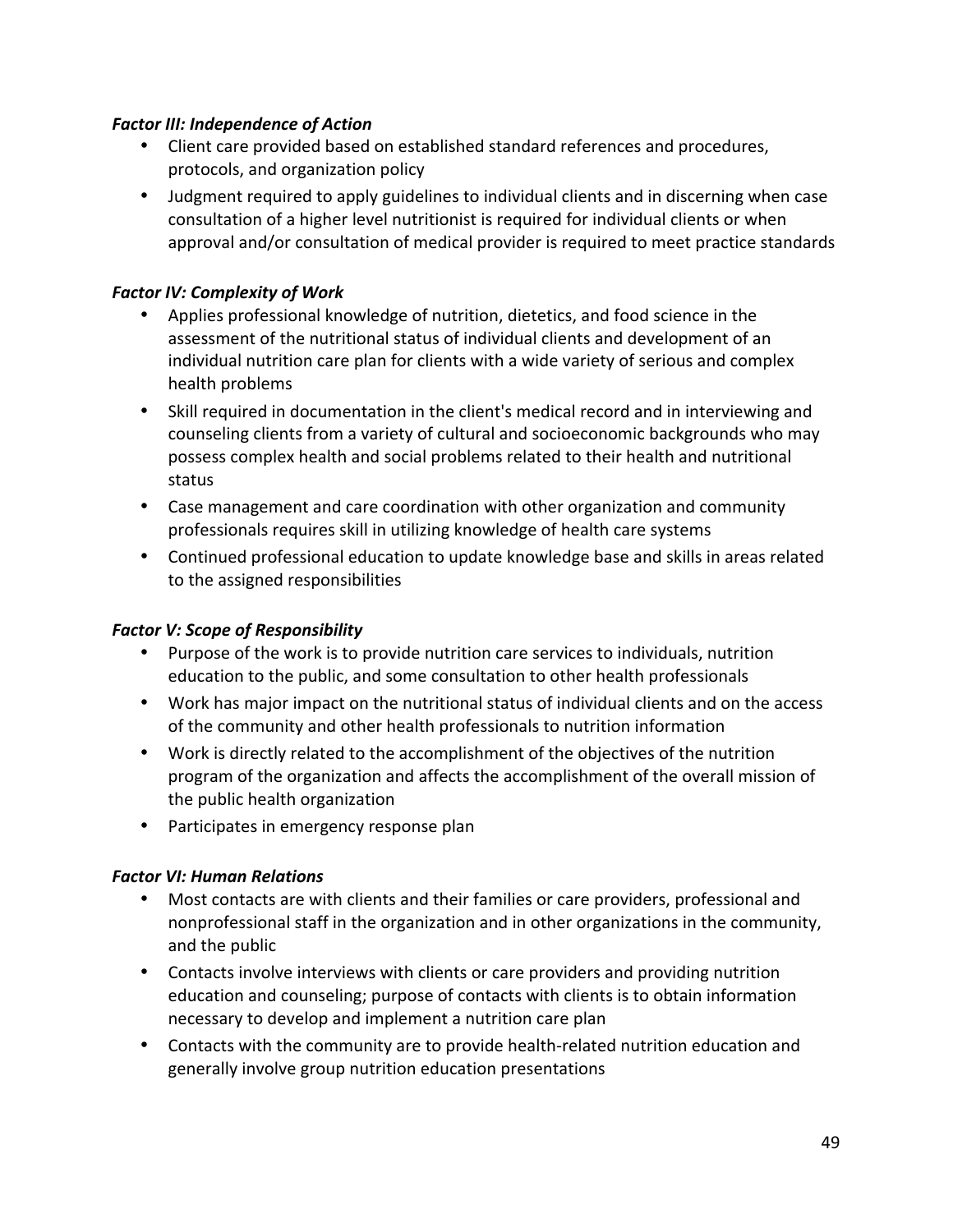#### **Factor III: Independence of Action**

- Client care provided based on established standard references and procedures, protocols, and organization policy
- Judgment required to apply guidelines to individual clients and in discerning when case consultation of a higher level nutritionist is required for individual clients or when approval and/or consultation of medical provider is required to meet practice standards

#### **Factor IV: Complexity of Work**

- Applies professional knowledge of nutrition, dietetics, and food science in the assessment of the nutritional status of individual clients and development of an individual nutrition care plan for clients with a wide variety of serious and complex health problems
- Skill required in documentation in the client's medical record and in interviewing and counseling clients from a variety of cultural and socioeconomic backgrounds who may possess complex health and social problems related to their health and nutritional status
- Case management and care coordination with other organization and community professionals requires skill in utilizing knowledge of health care systems
- Continued professional education to update knowledge base and skills in areas related to the assigned responsibilities

#### *Factor V: Scope of Responsibility*

- Purpose of the work is to provide nutrition care services to individuals, nutrition education to the public, and some consultation to other health professionals
- Work has major impact on the nutritional status of individual clients and on the access of the community and other health professionals to nutrition information
- Work is directly related to the accomplishment of the objectives of the nutrition program of the organization and affects the accomplishment of the overall mission of the public health organization
- Participates in emergency response plan

#### *Factor VI: Human Relations*

- Most contacts are with clients and their families or care providers, professional and nonprofessional staff in the organization and in other organizations in the community, and the public
- Contacts involve interviews with clients or care providers and providing nutrition education and counseling; purpose of contacts with clients is to obtain information necessary to develop and implement a nutrition care plan
- Contacts with the community are to provide health‐related nutrition education and generally involve group nutrition education presentations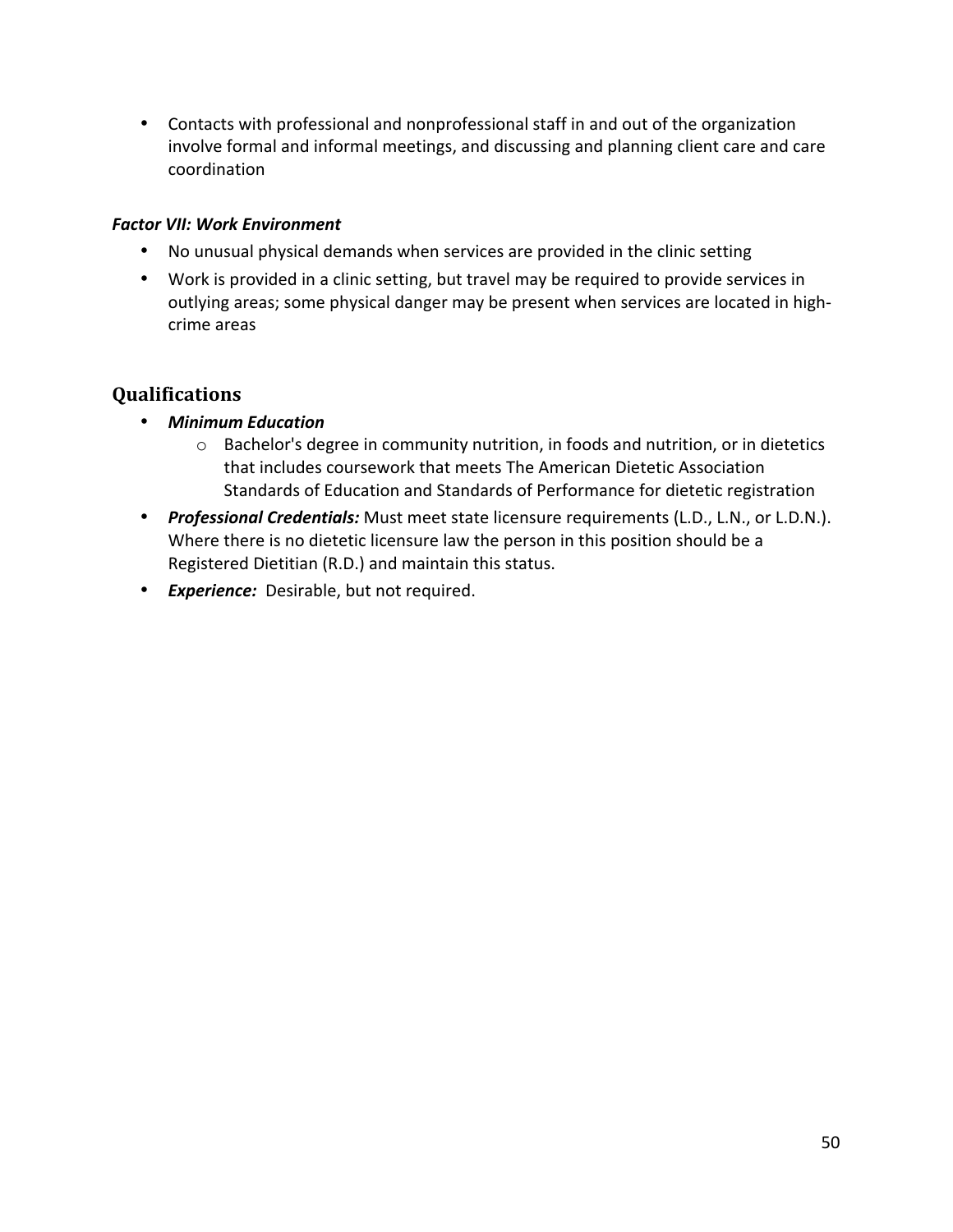• Contacts with professional and nonprofessional staff in and out of the organization involve formal and informal meetings, and discussing and planning client care and care coordination

#### **Factor VII: Work Environment**

- No unusual physical demands when services are provided in the clinic setting
- Work is provided in a clinic setting, but travel may be required to provide services in outlying areas; some physical danger may be present when services are located in high‐ crime areas

- *Minimum Education*
	- o Bachelor's degree in community nutrition, in foods and nutrition, or in dietetics that includes coursework that meets The American Dietetic Association Standards of Education and Standards of Performance for dietetic registration
- *Professional Credentials:* Must meet state licensure requirements (L.D., L.N., or L.D.N.). Where there is no dietetic licensure law the person in this position should be a Registered Dietitian (R.D.) and maintain this status.
- *Experience:*  Desirable, but not required.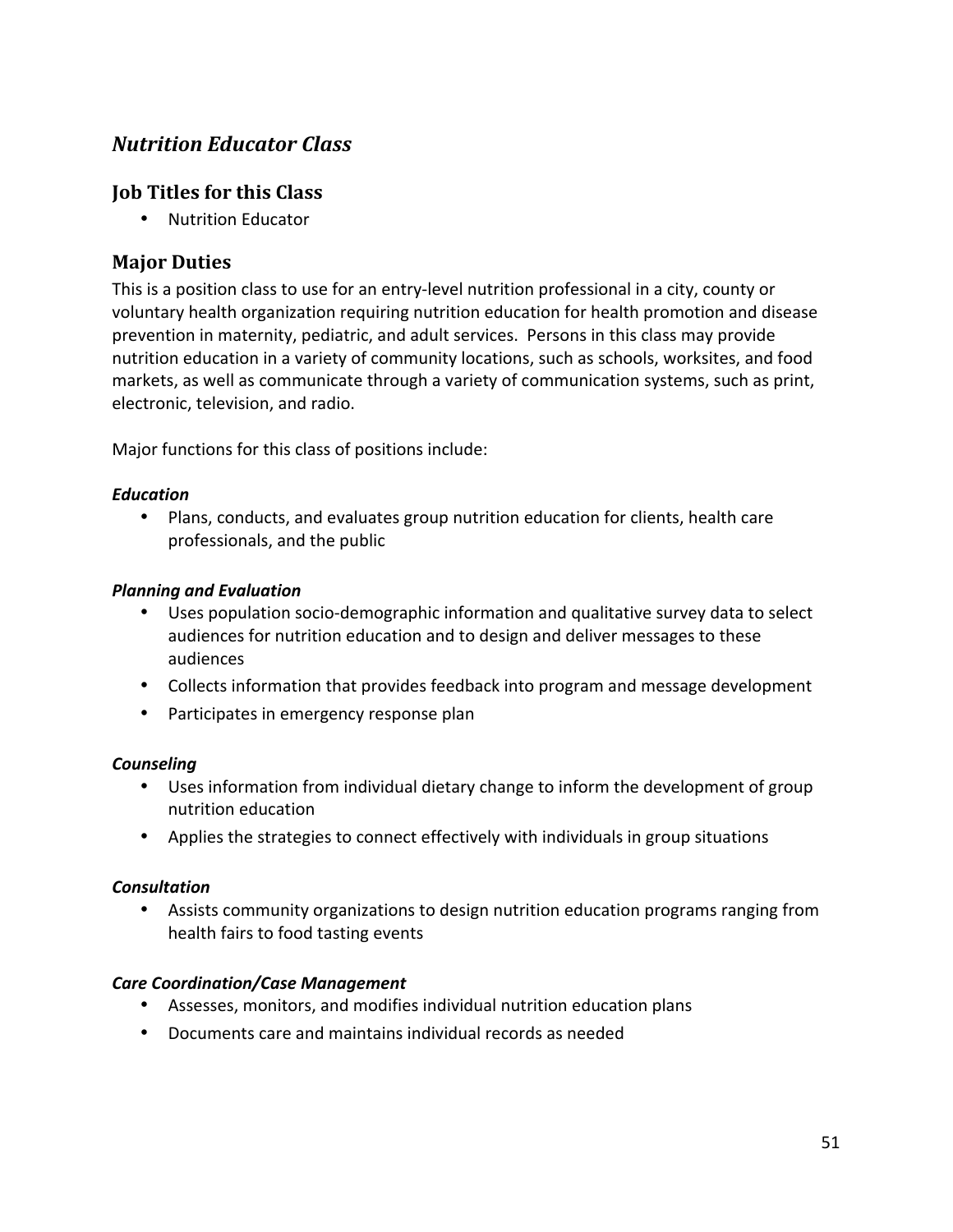# *Nutrition Educator Class*

# **Job Titles for this Class**

• Nutrition Educator

# **Major Duties**

This is a position class to use for an entry‐level nutrition professional in a city, county or voluntary health organization requiring nutrition education for health promotion and disease prevention in maternity, pediatric, and adult services. Persons in this class may provide nutrition education in a variety of community locations, such as schools, worksites, and food markets, as well as communicate through a variety of communication systems, such as print, electronic, television, and radio.

Major functions for this class of positions include:

#### *Education*

• Plans, conducts, and evaluates group nutrition education for clients, health care professionals, and the public

#### *Planning and Evaluation*

- Uses population socio-demographic information and qualitative survey data to select audiences for nutrition education and to design and deliver messages to these audiences
- Collects information that provides feedback into program and message development
- Participates in emergency response plan

#### *Counseling*

- Uses information from individual dietary change to inform the development of group nutrition education
- Applies the strategies to connect effectively with individuals in group situations

#### *Consultation*

• Assists community organizations to design nutrition education programs ranging from health fairs to food tasting events

#### *Care Coordination/Case Management*

- Assesses, monitors, and modifies individual nutrition education plans
- Documents care and maintains individual records as needed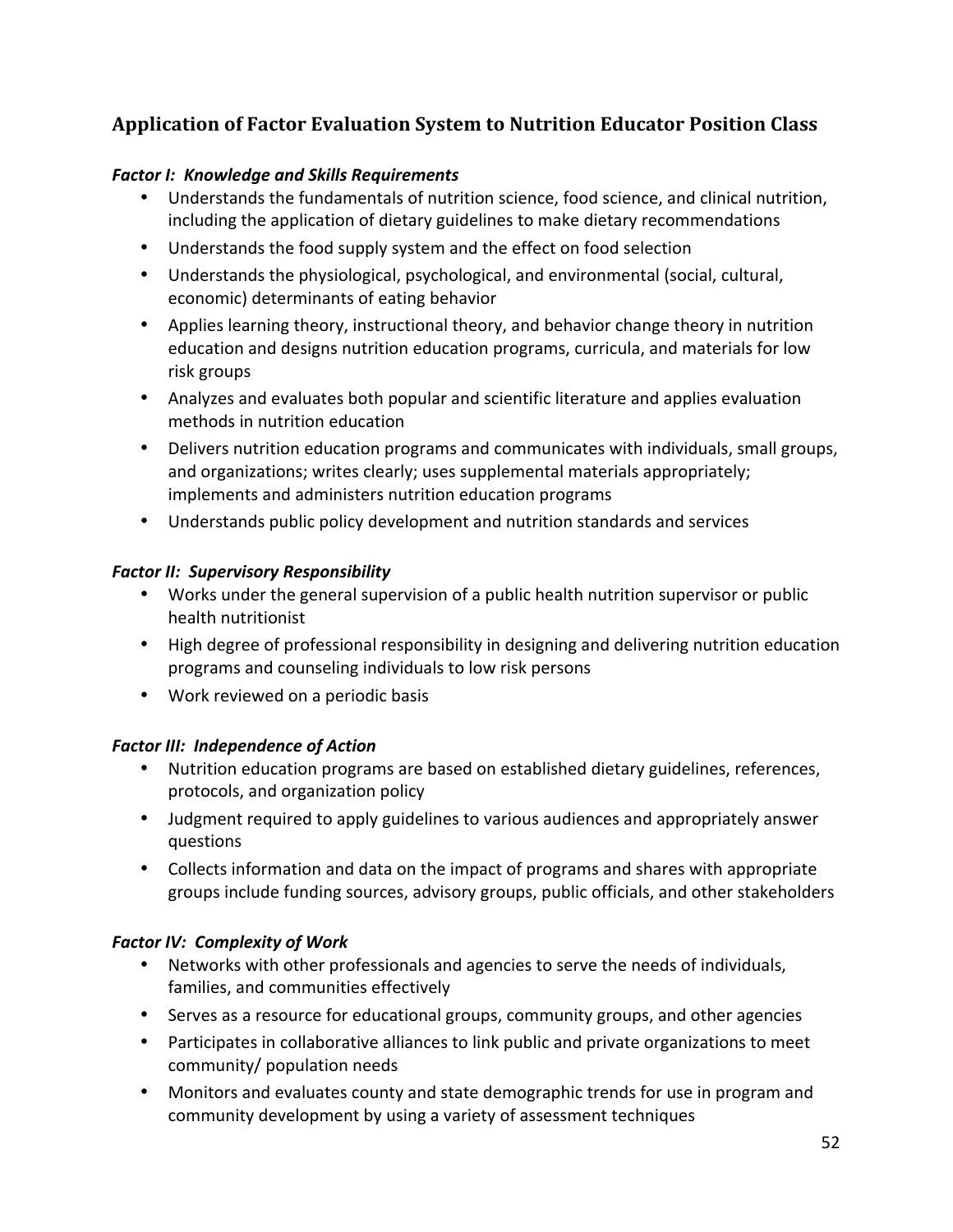# **Application of Factor Evaluation System to Nutrition Educator Position Class**

#### *Factor I: Knowledge and Skills Requirements*

- Understands the fundamentals of nutrition science, food science, and clinical nutrition, including the application of dietary guidelines to make dietary recommendations
- Understands the food supply system and the effect on food selection
- Understands the physiological, psychological, and environmental (social, cultural, economic) determinants of eating behavior
- Applies learning theory, instructional theory, and behavior change theory in nutrition education and designs nutrition education programs, curricula, and materials for low risk groups
- Analyzes and evaluates both popular and scientific literature and applies evaluation methods in nutrition education
- Delivers nutrition education programs and communicates with individuals, small groups, and organizations; writes clearly; uses supplemental materials appropriately; implements and administers nutrition education programs
- Understands public policy development and nutrition standards and services

#### *Factor II: Supervisory Responsibility*

- Works under the general supervision of a public health nutrition supervisor or public health nutritionist
- High degree of professional responsibility in designing and delivering nutrition education programs and counseling individuals to low risk persons
- Work reviewed on a periodic basis

#### *Factor III: Independence of Action*

- Nutrition education programs are based on established dietary guidelines, references, protocols, and organization policy
- Judgment required to apply guidelines to various audiences and appropriately answer questions
- Collects information and data on the impact of programs and shares with appropriate groups include funding sources, advisory groups, public officials, and other stakeholders

#### *Factor IV: Complexity of Work*

- Networks with other professionals and agencies to serve the needs of individuals, families, and communities effectively
- Serves as a resource for educational groups, community groups, and other agencies
- Participates in collaborative alliances to link public and private organizations to meet community/ population needs
- Monitors and evaluates county and state demographic trends for use in program and community development by using a variety of assessment techniques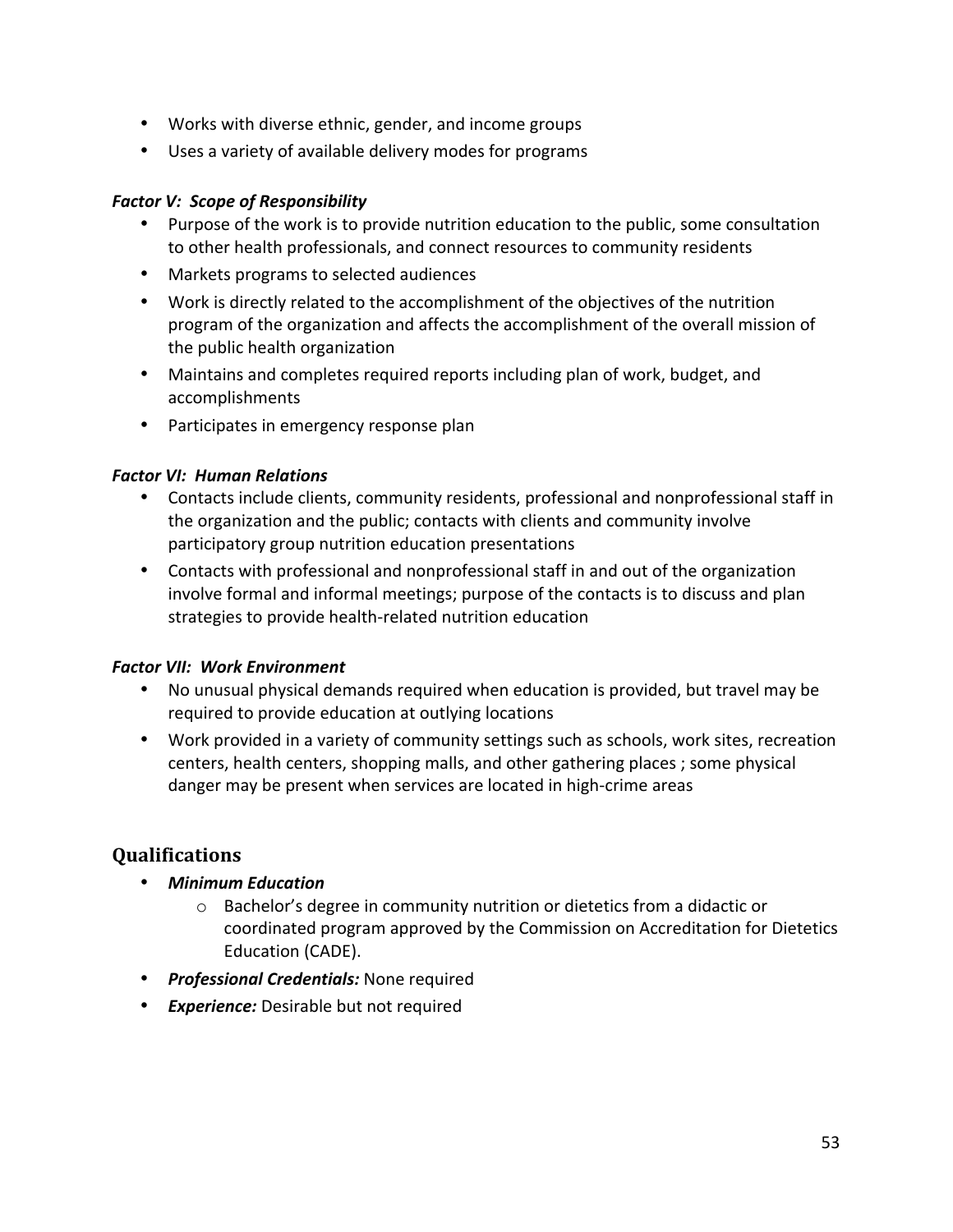- Works with diverse ethnic, gender, and income groups
- Uses a variety of available delivery modes for programs

#### *Factor V: Scope of Responsibility*

- Purpose of the work is to provide nutrition education to the public, some consultation to other health professionals, and connect resources to community residents
- Markets programs to selected audiences
- Work is directly related to the accomplishment of the objectives of the nutrition program of the organization and affects the accomplishment of the overall mission of the public health organization
- Maintains and completes required reports including plan of work, budget, and accomplishments
- Participates in emergency response plan

### *Factor VI: Human Relations*

- Contacts include clients, community residents, professional and nonprofessional staff in the organization and the public; contacts with clients and community involve participatory group nutrition education presentations
- Contacts with professional and nonprofessional staff in and out of the organization involve formal and informal meetings; purpose of the contacts is to discuss and plan strategies to provide health‐related nutrition education

# *Factor VII: Work Environment*

- No unusual physical demands required when education is provided, but travel may be required to provide education at outlying locations
- Work provided in a variety of community settings such as schools, work sites, recreation centers, health centers, shopping malls, and other gathering places ; some physical danger may be present when services are located in high‐crime areas

- *Minimum Education* 
	- o Bachelor's degree in community nutrition or dietetics from a didactic or coordinated program approved by the Commission on Accreditation for Dietetics Education (CADE).
- *Professional Credentials:* None required
- *Experience:* Desirable but not required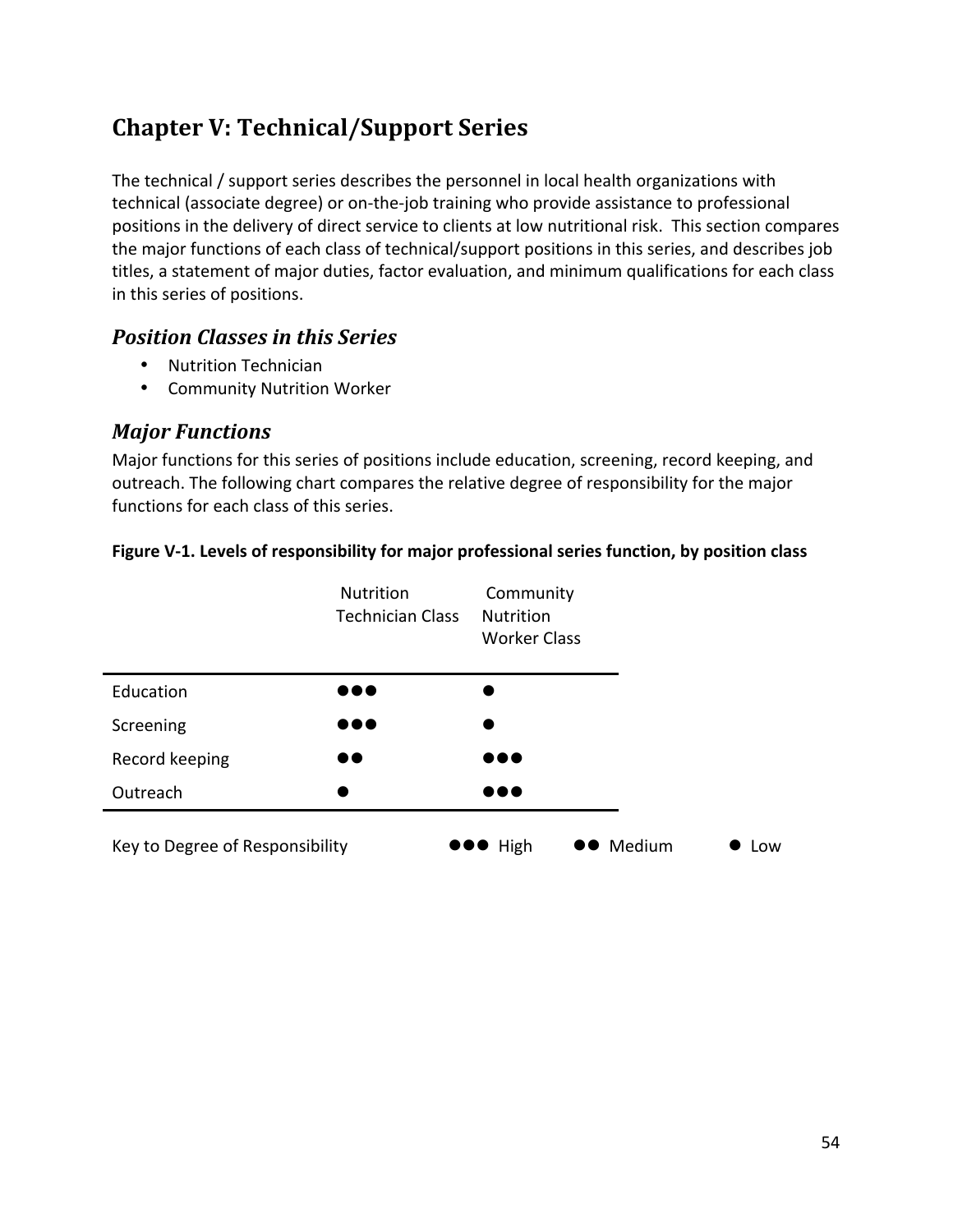# **Chapter V: Technical/Support Series**

The technical / support series describes the personnel in local health organizations with technical (associate degree) or on‐the‐job training who provide assistance to professional positions in the delivery of direct service to clients at low nutritional risk. This section compares the major functions of each class of technical/support positions in this series, and describes job titles, a statement of major duties, factor evaluation, and minimum qualifications for each class in this series of positions.

# *Position Classes in this Series*

- Nutrition Technician
- Community Nutrition Worker

# *Major Functions*

Major functions for this series of positions include education, screening, record keeping, and outreach. The following chart compares the relative degree of responsibility for the major functions for each class of this series.



#### **Figure V‐1. Levels of responsibility for major professional series function, by position class**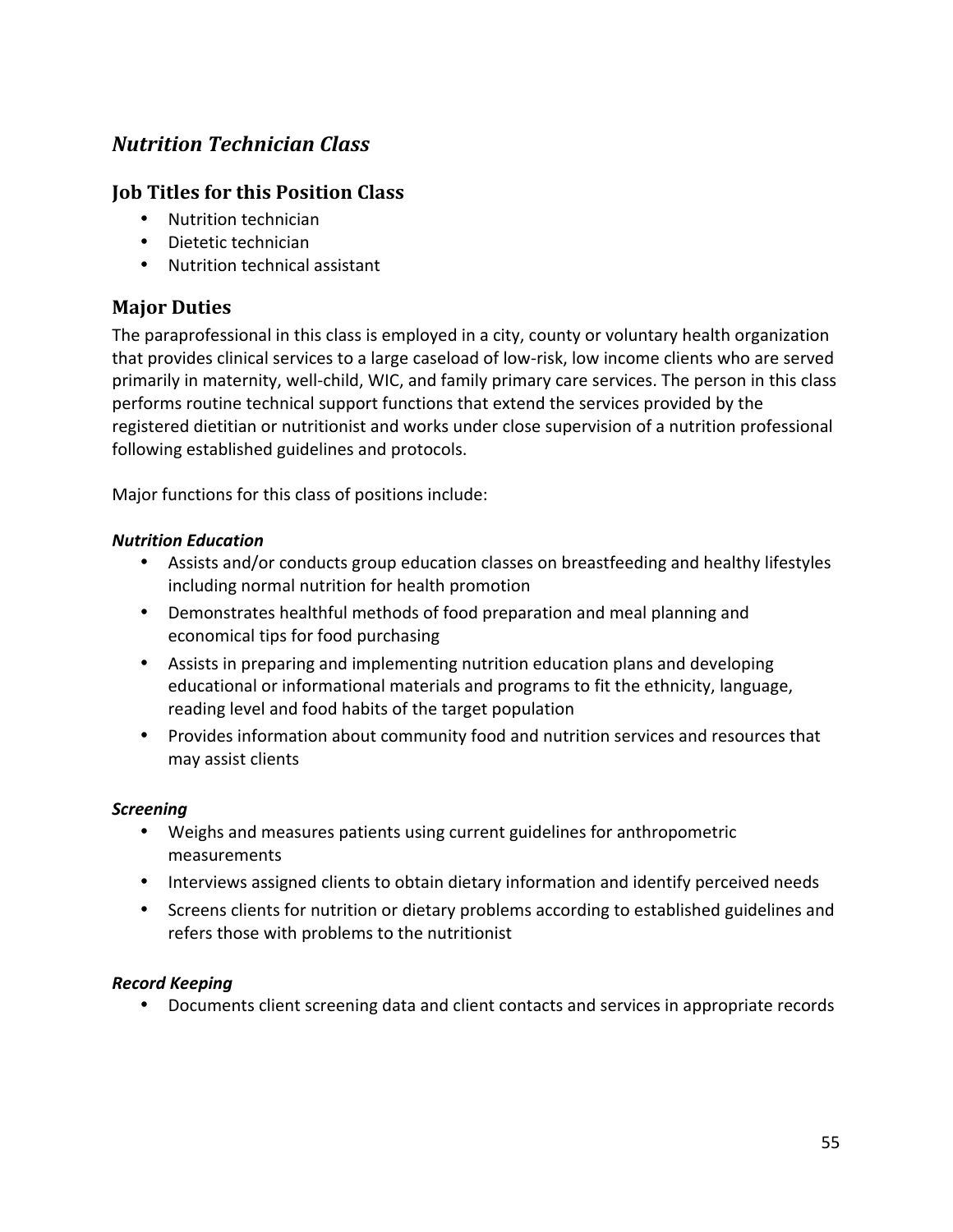# *Nutrition Technician Class*

# **Job Titles for this Position Class**

- Nutrition technician
- Dietetic technician
- Nutrition technical assistant

# **Major Duties**

The paraprofessional in this class is employed in a city, county or voluntary health organization that provides clinical services to a large caseload of low‐risk, low income clients who are served primarily in maternity, well‐child, WIC, and family primary care services. The person in this class performs routine technical support functions that extend the services provided by the registered dietitian or nutritionist and works under close supervision of a nutrition professional following established guidelines and protocols.

Major functions for this class of positions include:

#### *Nutrition Education*

- Assists and/or conducts group education classes on breastfeeding and healthy lifestyles including normal nutrition for health promotion
- Demonstrates healthful methods of food preparation and meal planning and economical tips for food purchasing
- Assists in preparing and implementing nutrition education plans and developing educational or informational materials and programs to fit the ethnicity, language, reading level and food habits of the target population
- Provides information about community food and nutrition services and resources that may assist clients

#### *Screening*

- Weighs and measures patients using current guidelines for anthropometric measurements
- Interviews assigned clients to obtain dietary information and identify perceived needs
- Screens clients for nutrition or dietary problems according to established guidelines and refers those with problems to the nutritionist

#### *Record Keeping*

• Documents client screening data and client contacts and services in appropriate records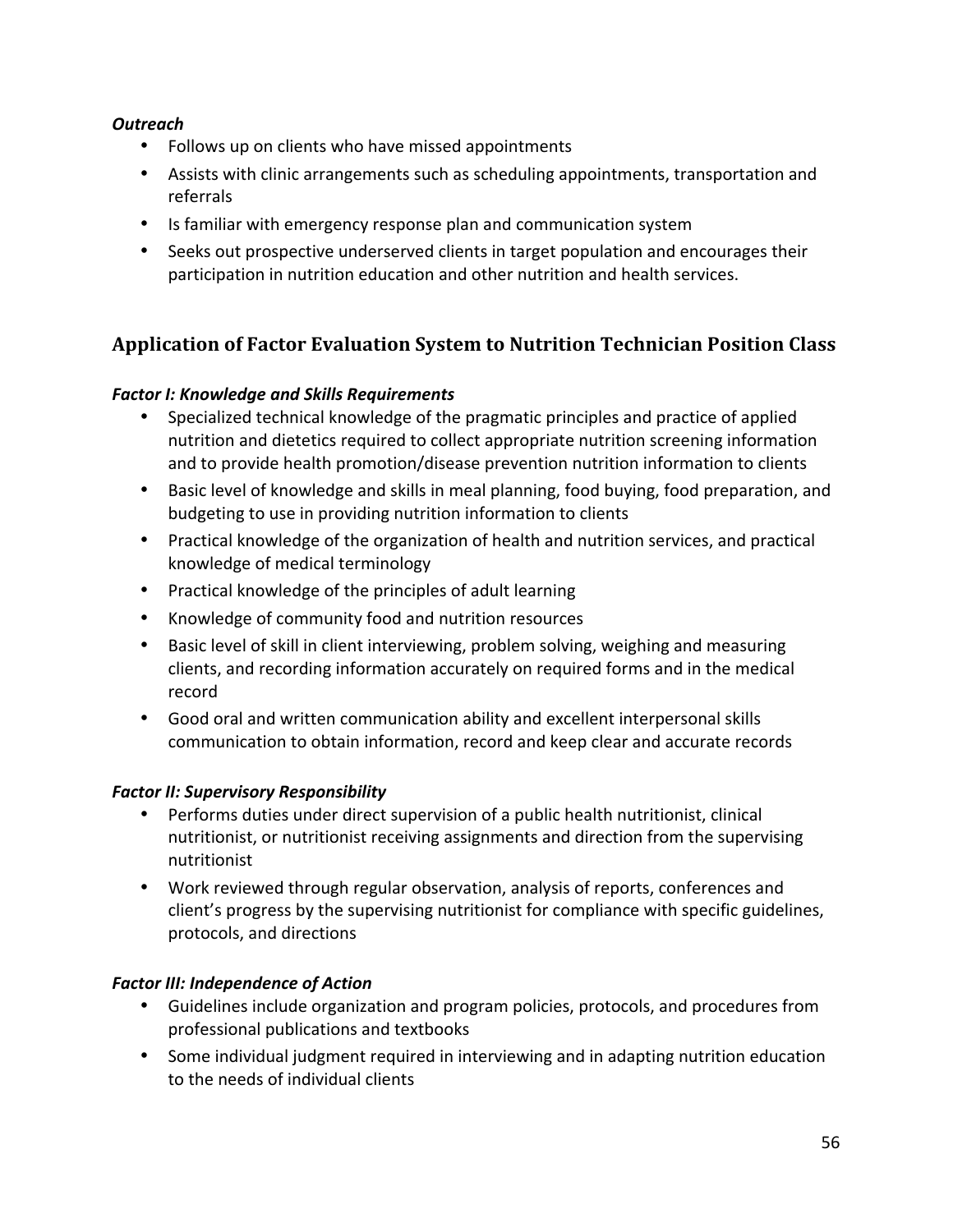#### *Outreach*

- Follows up on clients who have missed appointments
- Assists with clinic arrangements such as scheduling appointments, transportation and referrals
- Is familiar with emergency response plan and communication system
- Seeks out prospective underserved clients in target population and encourages their participation in nutrition education and other nutrition and health services.

# **Application of Factor Evaluation System to Nutrition Technician Position Class**

### *Factor I: Knowledge and Skills Requirements*

- Specialized technical knowledge of the pragmatic principles and practice of applied nutrition and dietetics required to collect appropriate nutrition screening information and to provide health promotion/disease prevention nutrition information to clients
- Basic level of knowledge and skills in meal planning, food buying, food preparation, and budgeting to use in providing nutrition information to clients
- Practical knowledge of the organization of health and nutrition services, and practical knowledge of medical terminology
- Practical knowledge of the principles of adult learning
- Knowledge of community food and nutrition resources
- Basic level of skill in client interviewing, problem solving, weighing and measuring clients, and recording information accurately on required forms and in the medical record
- Good oral and written communication ability and excellent interpersonal skills communication to obtain information, record and keep clear and accurate records

#### *Factor II: Supervisory Responsibility*

- Performs duties under direct supervision of a public health nutritionist, clinical nutritionist, or nutritionist receiving assignments and direction from the supervising nutritionist
- Work reviewed through regular observation, analysis of reports, conferences and client's progress by the supervising nutritionist for compliance with specific guidelines, protocols, and directions

# **Factor III: Independence of Action**

- Guidelines include organization and program policies, protocols, and procedures from professional publications and textbooks
- Some individual judgment required in interviewing and in adapting nutrition education to the needs of individual clients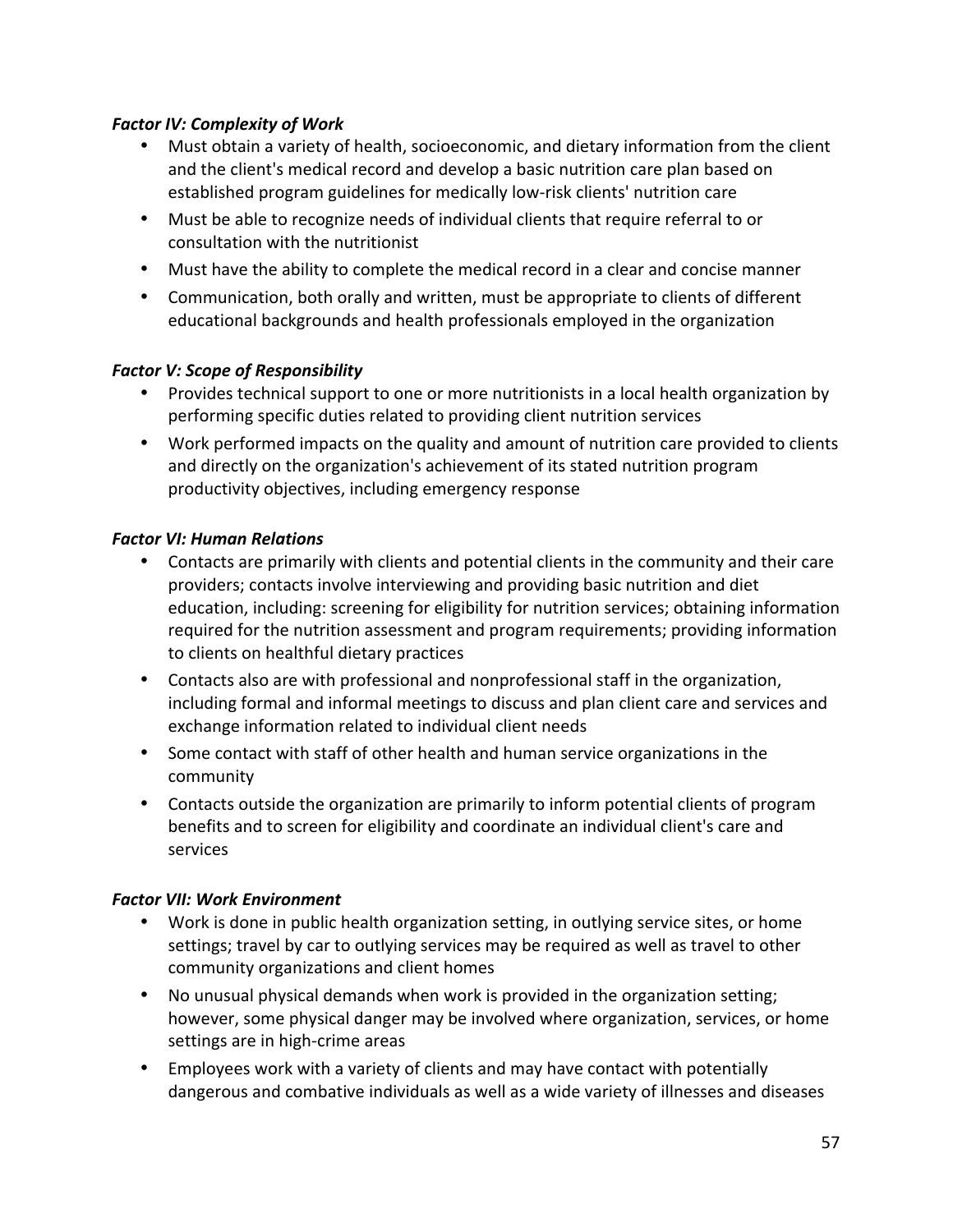#### **Factor IV: Complexity of Work**

- Must obtain a variety of health, socioeconomic, and dietary information from the client and the client's medical record and develop a basic nutrition care plan based on established program guidelines for medically low‐risk clients' nutrition care
- Must be able to recognize needs of individual clients that require referral to or consultation with the nutritionist
- Must have the ability to complete the medical record in a clear and concise manner
- Communication, both orally and written, must be appropriate to clients of different educational backgrounds and health professionals employed in the organization

#### **Factor V: Scope of Responsibility**

- Provides technical support to one or more nutritionists in a local health organization by performing specific duties related to providing client nutrition services
- Work performed impacts on the quality and amount of nutrition care provided to clients and directly on the organization's achievement of its stated nutrition program productivity objectives, including emergency response

#### **Factor VI: Human Relations**

- Contacts are primarily with clients and potential clients in the community and their care providers; contacts involve interviewing and providing basic nutrition and diet education, including: screening for eligibility for nutrition services; obtaining information required for the nutrition assessment and program requirements; providing information to clients on healthful dietary practices
- Contacts also are with professional and nonprofessional staff in the organization, including formal and informal meetings to discuss and plan client care and services and exchange information related to individual client needs
- Some contact with staff of other health and human service organizations in the community
- Contacts outside the organization are primarily to inform potential clients of program benefits and to screen for eligibility and coordinate an individual client's care and services

#### *Factor VII: Work Environment*

- Work is done in public health organization setting, in outlying service sites, or home settings; travel by car to outlying services may be required as well as travel to other community organizations and client homes
- No unusual physical demands when work is provided in the organization setting; however, some physical danger may be involved where organization, services, or home settings are in high‐crime areas
- Employees work with a variety of clients and may have contact with potentially dangerous and combative individuals as well as a wide variety of illnesses and diseases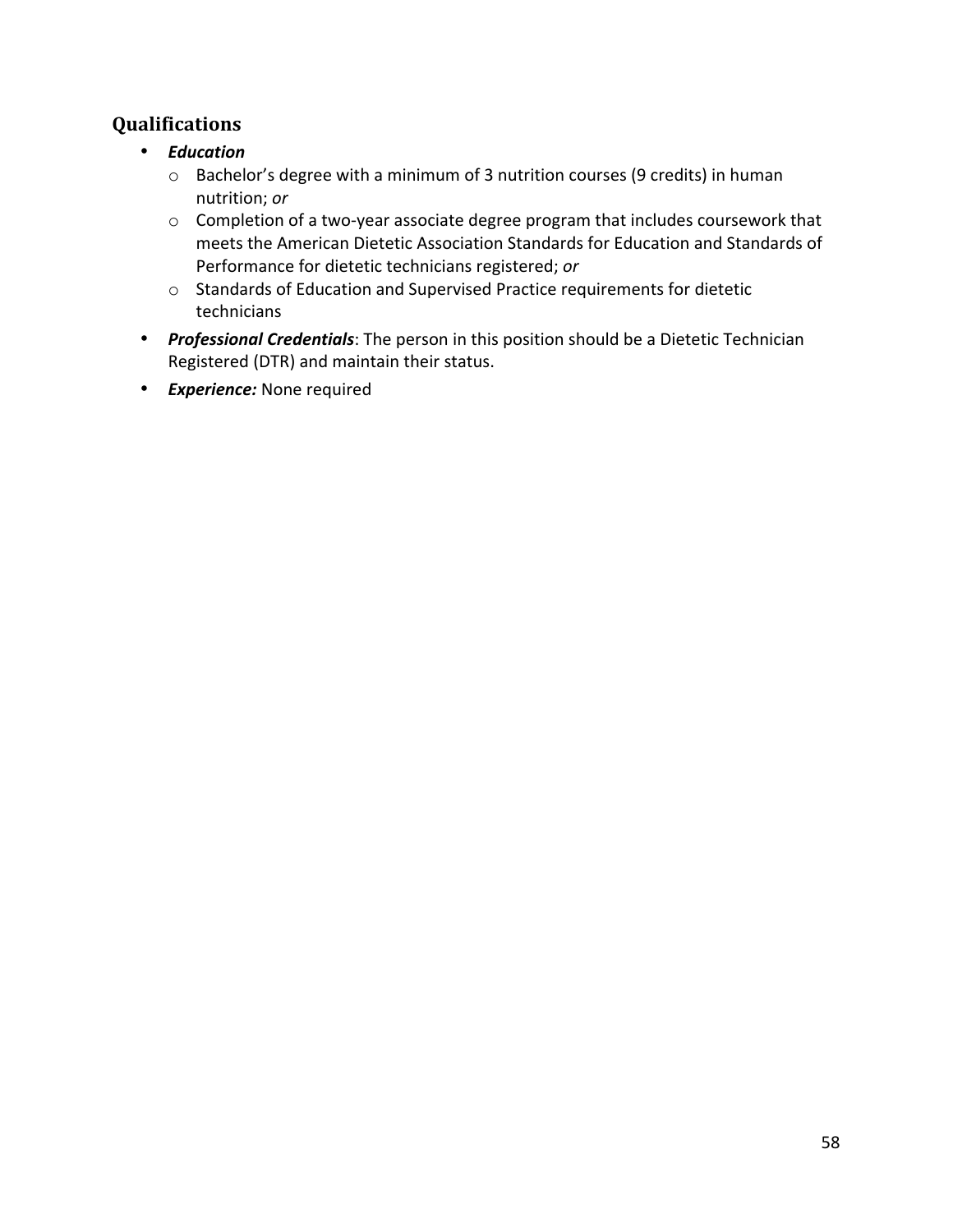- *Education*
	- o Bachelor's degree with a minimum of 3 nutrition courses (9 credits) in human nutrition; *or*
	- o Completion of a two‐year associate degree program that includes coursework that meets the American Dietetic Association Standards for Education and Standards of Performance for dietetic technicians registered; *or*
	- o Standards of Education and Supervised Practice requirements for dietetic technicians
- *Professional Credentials*: The person in this position should be a Dietetic Technician Registered (DTR) and maintain their status.
- *Experience:* None required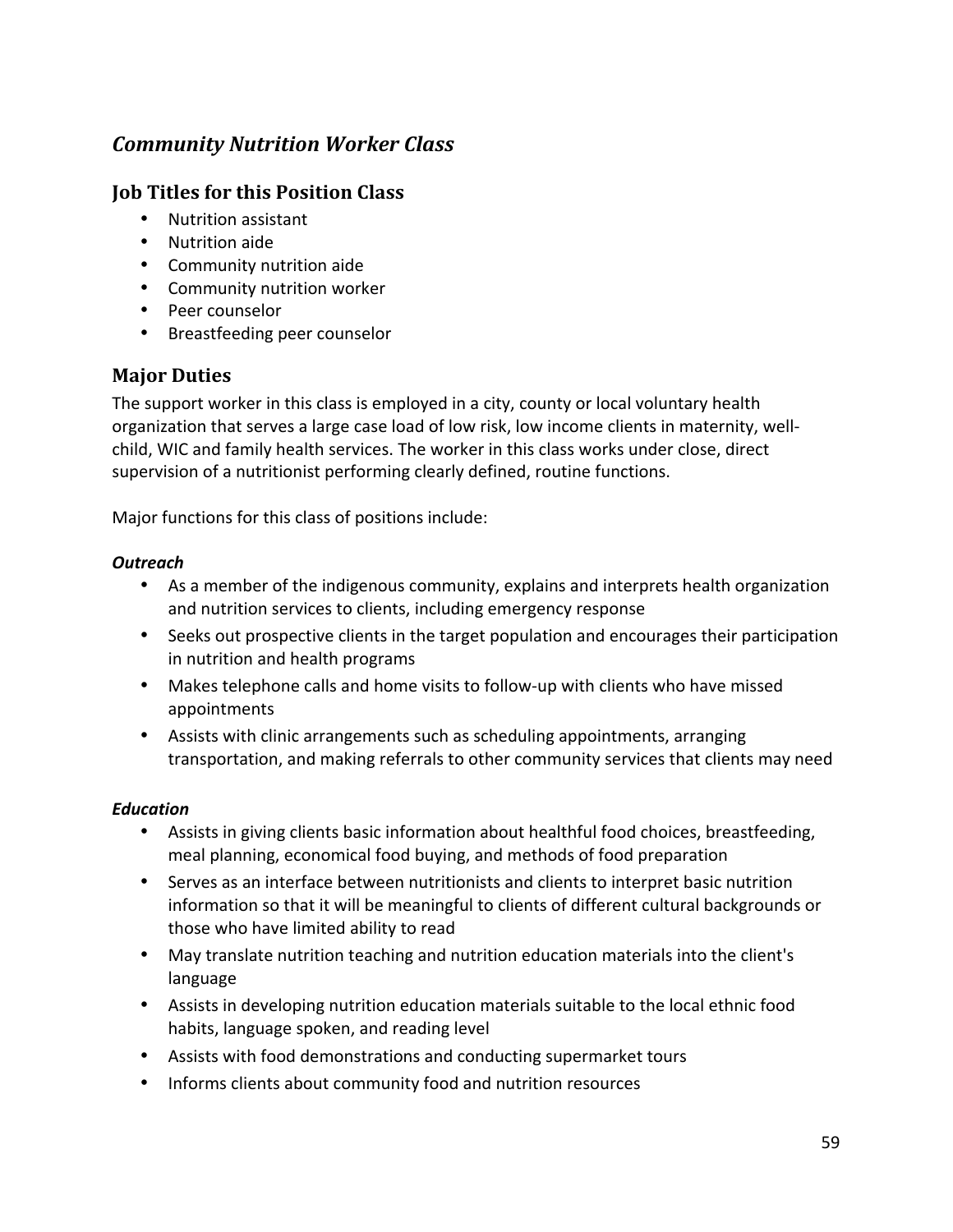# *Community Nutrition Worker Class*

# **Job Titles for this Position Class**

- Nutrition assistant
- Nutrition aide
- Community nutrition aide
- Community nutrition worker
- Peer counselor
- Breastfeeding peer counselor

# **Major Duties**

The support worker in this class is employed in a city, county or local voluntary health organization that serves a large case load of low risk, low income clients in maternity, well‐ child, WIC and family health services. The worker in this class works under close, direct supervision of a nutritionist performing clearly defined, routine functions.

Major functions for this class of positions include:

#### *Outreach*

- As a member of the indigenous community, explains and interprets health organization and nutrition services to clients, including emergency response
- Seeks out prospective clients in the target population and encourages their participation in nutrition and health programs
- Makes telephone calls and home visits to follow-up with clients who have missed appointments
- Assists with clinic arrangements such as scheduling appointments, arranging transportation, and making referrals to other community services that clients may need

#### *Education*

- Assists in giving clients basic information about healthful food choices, breastfeeding, meal planning, economical food buying, and methods of food preparation
- Serves as an interface between nutritionists and clients to interpret basic nutrition information so that it will be meaningful to clients of different cultural backgrounds or those who have limited ability to read
- May translate nutrition teaching and nutrition education materials into the client's language
- Assists in developing nutrition education materials suitable to the local ethnic food habits, language spoken, and reading level
- Assists with food demonstrations and conducting supermarket tours
- Informs clients about community food and nutrition resources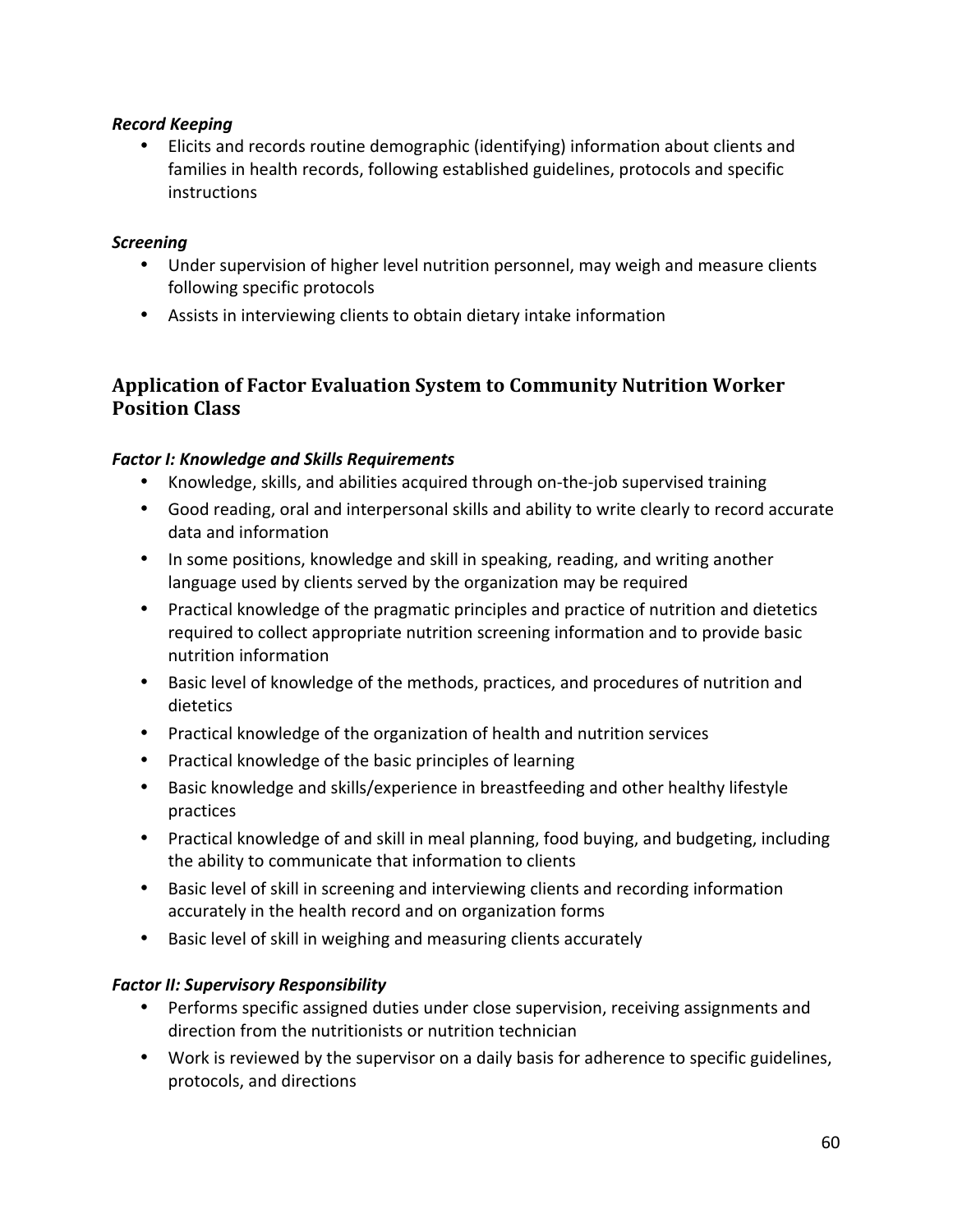#### *Record Keeping*

• Elicits and records routine demographic (identifying) information about clients and families in health records, following established guidelines, protocols and specific instructions

#### *Screening*

- Under supervision of higher level nutrition personnel, may weigh and measure clients following specific protocols
- Assists in interviewing clients to obtain dietary intake information

# **Application of Factor Evaluation System to Community Nutrition Worker Position Class**

### *Factor I: Knowledge and Skills Requirements*

- Knowledge, skills, and abilities acquired through on-the-job supervised training
- Good reading, oral and interpersonal skills and ability to write clearly to record accurate data and information
- In some positions, knowledge and skill in speaking, reading, and writing another language used by clients served by the organization may be required
- Practical knowledge of the pragmatic principles and practice of nutrition and dietetics required to collect appropriate nutrition screening information and to provide basic nutrition information
- Basic level of knowledge of the methods, practices, and procedures of nutrition and dietetics
- Practical knowledge of the organization of health and nutrition services
- Practical knowledge of the basic principles of learning
- Basic knowledge and skills/experience in breastfeeding and other healthy lifestyle practices
- Practical knowledge of and skill in meal planning, food buying, and budgeting, including the ability to communicate that information to clients
- Basic level of skill in screening and interviewing clients and recording information accurately in the health record and on organization forms
- Basic level of skill in weighing and measuring clients accurately

#### *Factor II: Supervisory Responsibility*

- Performs specific assigned duties under close supervision, receiving assignments and direction from the nutritionists or nutrition technician
- Work is reviewed by the supervisor on a daily basis for adherence to specific guidelines, protocols, and directions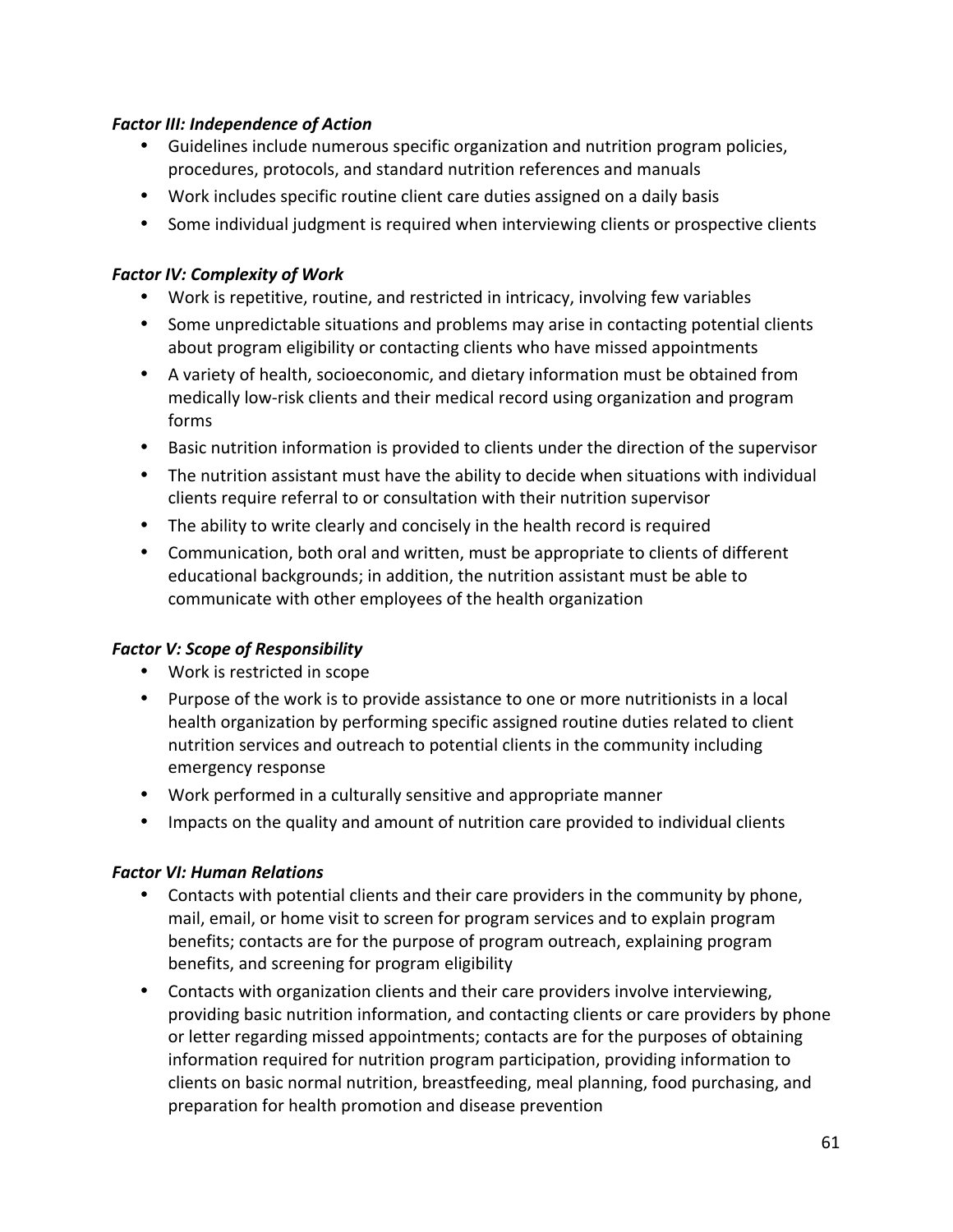#### *Factor III: Independence of Action*

- Guidelines include numerous specific organization and nutrition program policies, procedures, protocols, and standard nutrition references and manuals
- Work includes specific routine client care duties assigned on a daily basis
- Some individual judgment is required when interviewing clients or prospective clients

### **Factor IV: Complexity of Work**

- Work is repetitive, routine, and restricted in intricacy, involving few variables
- Some unpredictable situations and problems may arise in contacting potential clients about program eligibility or contacting clients who have missed appointments
- A variety of health, socioeconomic, and dietary information must be obtained from medically low‐risk clients and their medical record using organization and program forms
- Basic nutrition information is provided to clients under the direction of the supervisor
- The nutrition assistant must have the ability to decide when situations with individual clients require referral to or consultation with their nutrition supervisor
- The ability to write clearly and concisely in the health record is required
- Communication, both oral and written, must be appropriate to clients of different educational backgrounds; in addition, the nutrition assistant must be able to communicate with other employees of the health organization

#### **Factor V: Scope of Responsibility**

- Work is restricted in scope
- Purpose of the work is to provide assistance to one or more nutritionists in a local health organization by performing specific assigned routine duties related to client nutrition services and outreach to potential clients in the community including emergency response
- Work performed in a culturally sensitive and appropriate manner
- Impacts on the quality and amount of nutrition care provided to individual clients

#### *Factor VI: Human Relations*

- Contacts with potential clients and their care providers in the community by phone, mail, email, or home visit to screen for program services and to explain program benefits; contacts are for the purpose of program outreach, explaining program benefits, and screening for program eligibility
- Contacts with organization clients and their care providers involve interviewing, providing basic nutrition information, and contacting clients or care providers by phone or letter regarding missed appointments; contacts are for the purposes of obtaining information required for nutrition program participation, providing information to clients on basic normal nutrition, breastfeeding, meal planning, food purchasing, and preparation for health promotion and disease prevention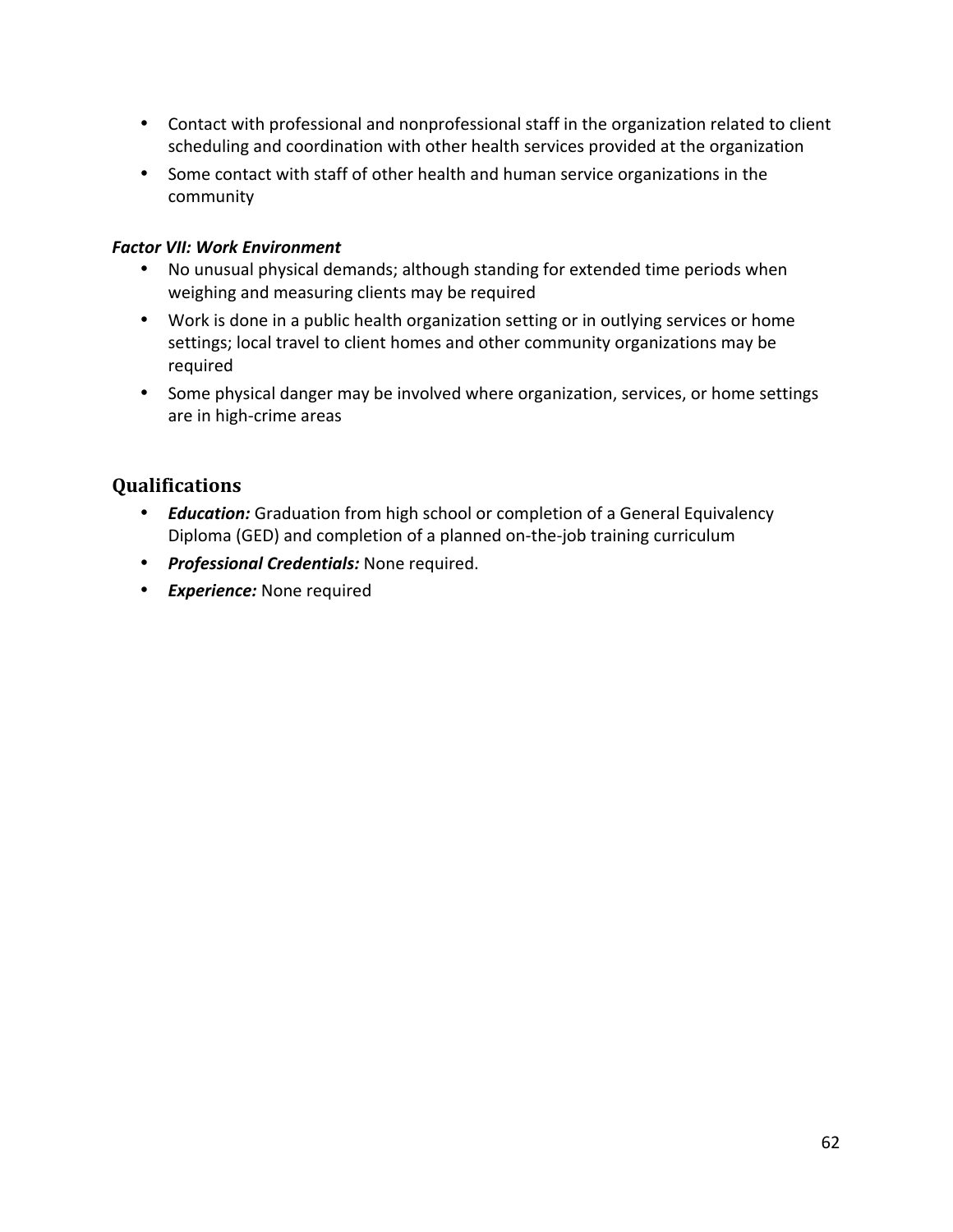- Contact with professional and nonprofessional staff in the organization related to client scheduling and coordination with other health services provided at the organization
- Some contact with staff of other health and human service organizations in the community

### *Factor VII: Work Environment*

- No unusual physical demands; although standing for extended time periods when weighing and measuring clients may be required
- Work is done in a public health organization setting or in outlying services or home settings; local travel to client homes and other community organizations may be required
- Some physical danger may be involved where organization, services, or home settings are in high‐crime areas

- *Education:* Graduation from high school or completion of a General Equivalency Diploma (GED) and completion of a planned on‐the‐job training curriculum
- *Professional Credentials:* None required.
- *Experience:* None required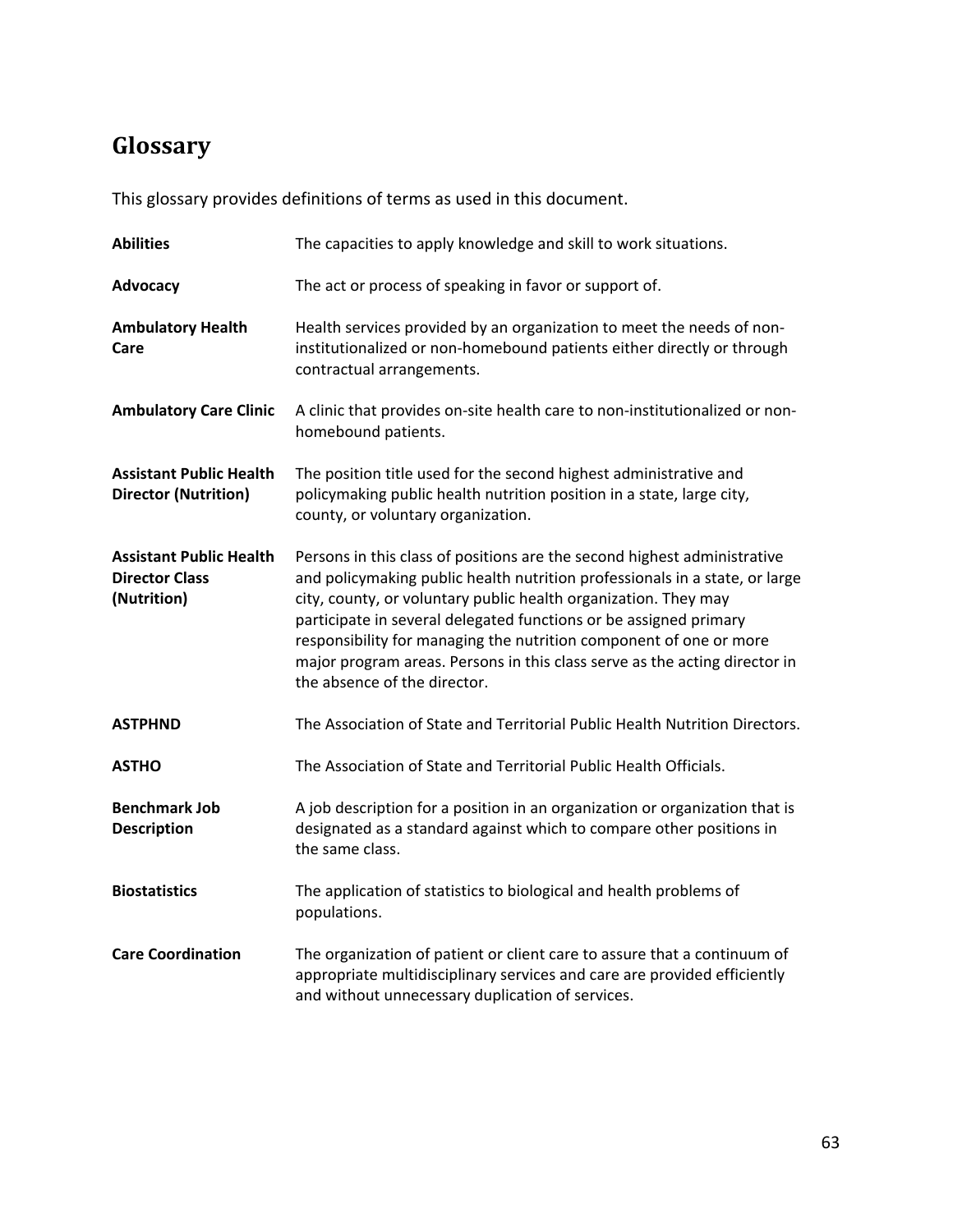# **Glossary**

This glossary provides definitions of terms as used in this document.

| <b>Abilities</b>                                                       | The capacities to apply knowledge and skill to work situations.                                                                                                                                                                                                                                                                                                                                                                                                                     |
|------------------------------------------------------------------------|-------------------------------------------------------------------------------------------------------------------------------------------------------------------------------------------------------------------------------------------------------------------------------------------------------------------------------------------------------------------------------------------------------------------------------------------------------------------------------------|
| Advocacy                                                               | The act or process of speaking in favor or support of.                                                                                                                                                                                                                                                                                                                                                                                                                              |
| <b>Ambulatory Health</b><br>Care                                       | Health services provided by an organization to meet the needs of non-<br>institutionalized or non-homebound patients either directly or through<br>contractual arrangements.                                                                                                                                                                                                                                                                                                        |
| <b>Ambulatory Care Clinic</b>                                          | A clinic that provides on-site health care to non-institutionalized or non-<br>homebound patients.                                                                                                                                                                                                                                                                                                                                                                                  |
| <b>Assistant Public Health</b><br><b>Director (Nutrition)</b>          | The position title used for the second highest administrative and<br>policymaking public health nutrition position in a state, large city,<br>county, or voluntary organization.                                                                                                                                                                                                                                                                                                    |
| <b>Assistant Public Health</b><br><b>Director Class</b><br>(Nutrition) | Persons in this class of positions are the second highest administrative<br>and policymaking public health nutrition professionals in a state, or large<br>city, county, or voluntary public health organization. They may<br>participate in several delegated functions or be assigned primary<br>responsibility for managing the nutrition component of one or more<br>major program areas. Persons in this class serve as the acting director in<br>the absence of the director. |
| <b>ASTPHND</b>                                                         | The Association of State and Territorial Public Health Nutrition Directors.                                                                                                                                                                                                                                                                                                                                                                                                         |
| <b>ASTHO</b>                                                           | The Association of State and Territorial Public Health Officials.                                                                                                                                                                                                                                                                                                                                                                                                                   |
| <b>Benchmark Job</b><br><b>Description</b>                             | A job description for a position in an organization or organization that is<br>designated as a standard against which to compare other positions in<br>the same class.                                                                                                                                                                                                                                                                                                              |
| <b>Biostatistics</b>                                                   | The application of statistics to biological and health problems of<br>populations.                                                                                                                                                                                                                                                                                                                                                                                                  |
| <b>Care Coordination</b>                                               | The organization of patient or client care to assure that a continuum of<br>appropriate multidisciplinary services and care are provided efficiently<br>and without unnecessary duplication of services.                                                                                                                                                                                                                                                                            |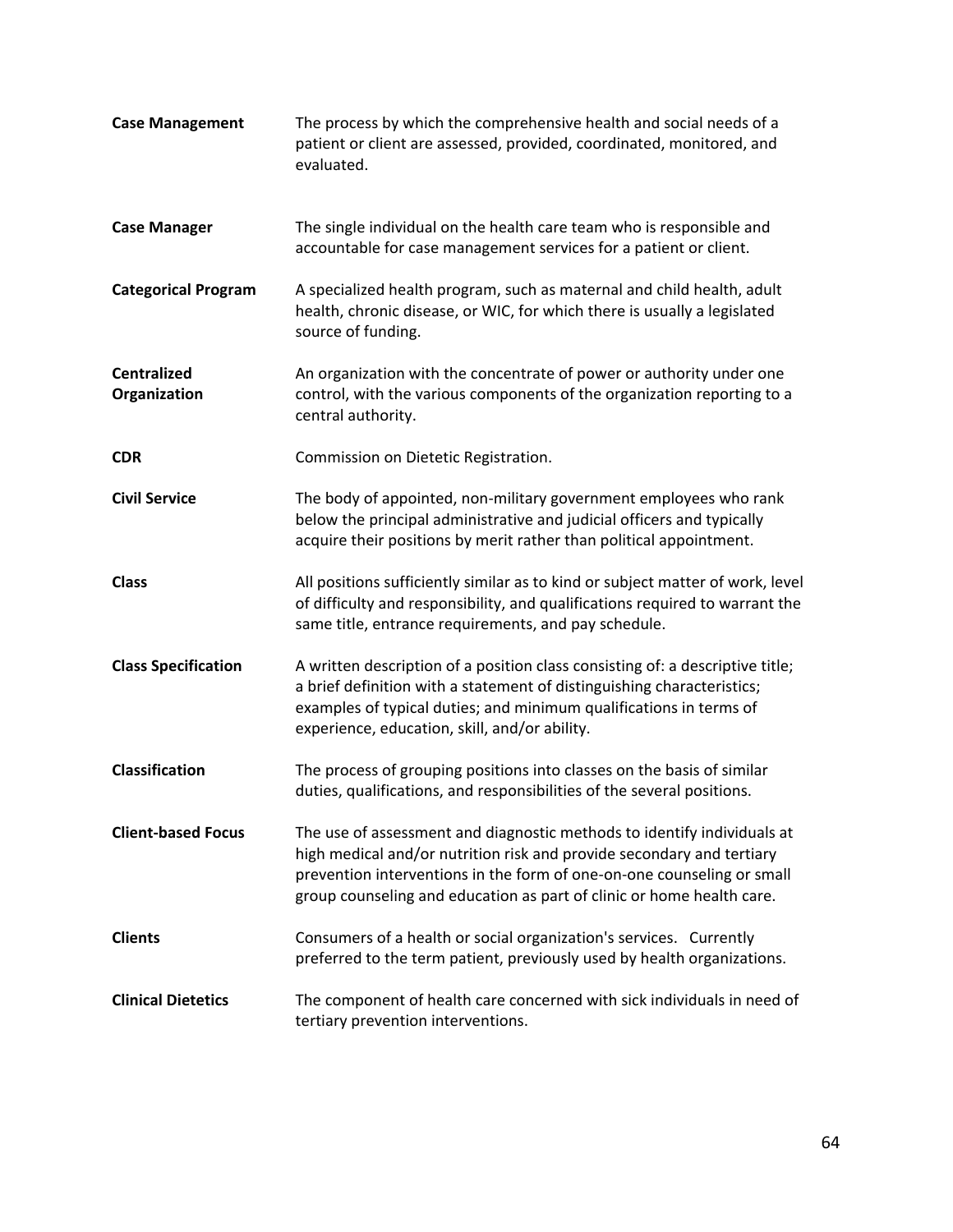| <b>Case Management</b>             | The process by which the comprehensive health and social needs of a<br>patient or client are assessed, provided, coordinated, monitored, and<br>evaluated.                                                                                                                                          |
|------------------------------------|-----------------------------------------------------------------------------------------------------------------------------------------------------------------------------------------------------------------------------------------------------------------------------------------------------|
| <b>Case Manager</b>                | The single individual on the health care team who is responsible and<br>accountable for case management services for a patient or client.                                                                                                                                                           |
| <b>Categorical Program</b>         | A specialized health program, such as maternal and child health, adult<br>health, chronic disease, or WIC, for which there is usually a legislated<br>source of funding.                                                                                                                            |
| <b>Centralized</b><br>Organization | An organization with the concentrate of power or authority under one<br>control, with the various components of the organization reporting to a<br>central authority.                                                                                                                               |
| <b>CDR</b>                         | Commission on Dietetic Registration.                                                                                                                                                                                                                                                                |
| <b>Civil Service</b>               | The body of appointed, non-military government employees who rank<br>below the principal administrative and judicial officers and typically<br>acquire their positions by merit rather than political appointment.                                                                                  |
| <b>Class</b>                       | All positions sufficiently similar as to kind or subject matter of work, level<br>of difficulty and responsibility, and qualifications required to warrant the<br>same title, entrance requirements, and pay schedule.                                                                              |
| <b>Class Specification</b>         | A written description of a position class consisting of: a descriptive title;<br>a brief definition with a statement of distinguishing characteristics;<br>examples of typical duties; and minimum qualifications in terms of<br>experience, education, skill, and/or ability.                      |
| <b>Classification</b>              | The process of grouping positions into classes on the basis of similar<br>duties, qualifications, and responsibilities of the several positions.                                                                                                                                                    |
| <b>Client-based Focus</b>          | The use of assessment and diagnostic methods to identify individuals at<br>high medical and/or nutrition risk and provide secondary and tertiary<br>prevention interventions in the form of one-on-one counseling or small<br>group counseling and education as part of clinic or home health care. |
| <b>Clients</b>                     | Consumers of a health or social organization's services. Currently<br>preferred to the term patient, previously used by health organizations.                                                                                                                                                       |
| <b>Clinical Dietetics</b>          | The component of health care concerned with sick individuals in need of<br>tertiary prevention interventions.                                                                                                                                                                                       |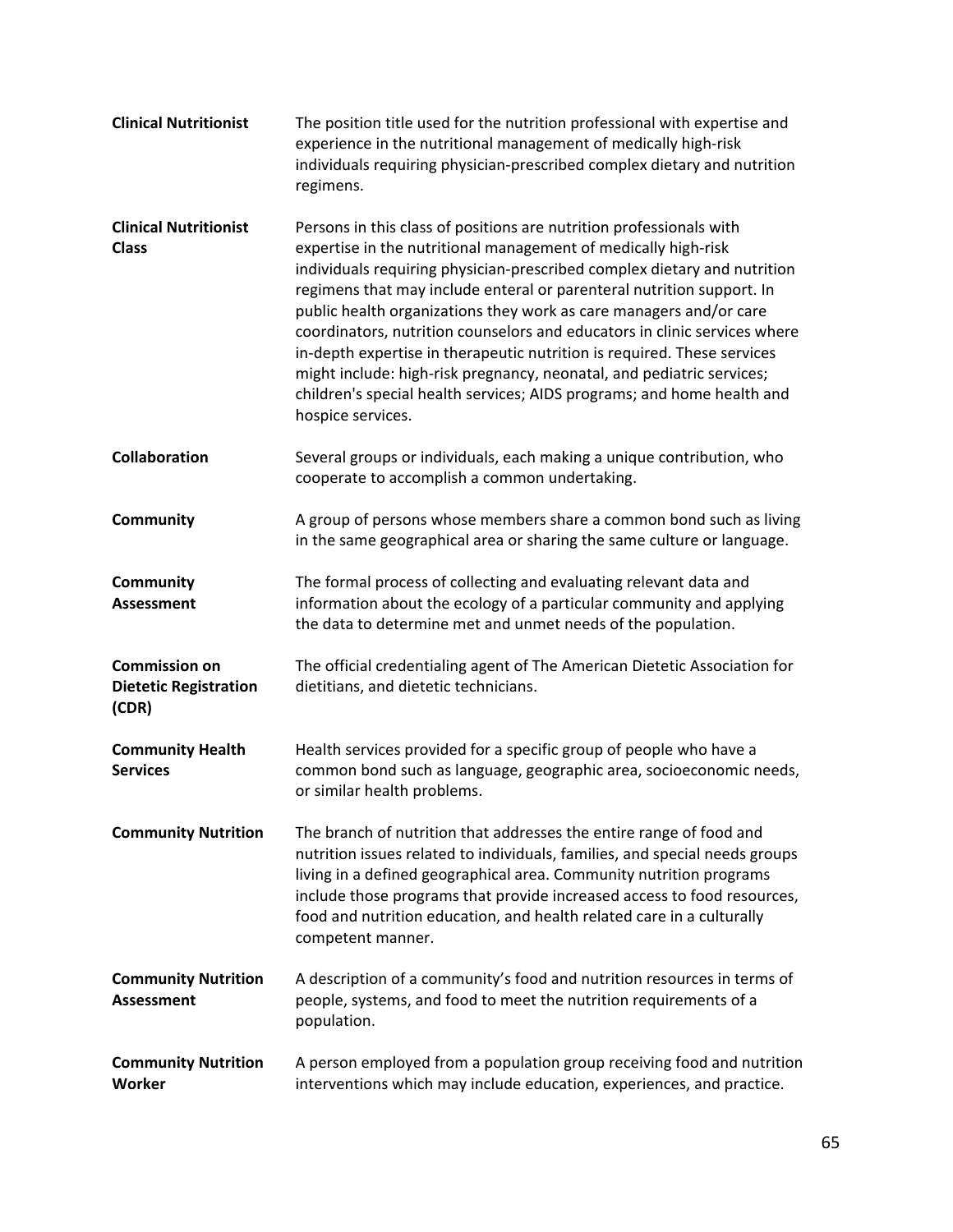| <b>Clinical Nutritionist</b>                                  | The position title used for the nutrition professional with expertise and<br>experience in the nutritional management of medically high-risk<br>individuals requiring physician-prescribed complex dietary and nutrition<br>regimens.                                                                                                                                                                                                                                                                                                                                                                                                                                                            |
|---------------------------------------------------------------|--------------------------------------------------------------------------------------------------------------------------------------------------------------------------------------------------------------------------------------------------------------------------------------------------------------------------------------------------------------------------------------------------------------------------------------------------------------------------------------------------------------------------------------------------------------------------------------------------------------------------------------------------------------------------------------------------|
| <b>Clinical Nutritionist</b><br><b>Class</b>                  | Persons in this class of positions are nutrition professionals with<br>expertise in the nutritional management of medically high-risk<br>individuals requiring physician-prescribed complex dietary and nutrition<br>regimens that may include enteral or parenteral nutrition support. In<br>public health organizations they work as care managers and/or care<br>coordinators, nutrition counselors and educators in clinic services where<br>in-depth expertise in therapeutic nutrition is required. These services<br>might include: high-risk pregnancy, neonatal, and pediatric services;<br>children's special health services; AIDS programs; and home health and<br>hospice services. |
| Collaboration                                                 | Several groups or individuals, each making a unique contribution, who<br>cooperate to accomplish a common undertaking.                                                                                                                                                                                                                                                                                                                                                                                                                                                                                                                                                                           |
| <b>Community</b>                                              | A group of persons whose members share a common bond such as living<br>in the same geographical area or sharing the same culture or language.                                                                                                                                                                                                                                                                                                                                                                                                                                                                                                                                                    |
| Community<br><b>Assessment</b>                                | The formal process of collecting and evaluating relevant data and<br>information about the ecology of a particular community and applying<br>the data to determine met and unmet needs of the population.                                                                                                                                                                                                                                                                                                                                                                                                                                                                                        |
| <b>Commission on</b><br><b>Dietetic Registration</b><br>(CDR) | The official credentialing agent of The American Dietetic Association for<br>dietitians, and dietetic technicians.                                                                                                                                                                                                                                                                                                                                                                                                                                                                                                                                                                               |
| <b>Community Health</b><br><b>Services</b>                    | Health services provided for a specific group of people who have a<br>common bond such as language, geographic area, socioeconomic needs,<br>or similar health problems.                                                                                                                                                                                                                                                                                                                                                                                                                                                                                                                         |
| <b>Community Nutrition</b>                                    | The branch of nutrition that addresses the entire range of food and<br>nutrition issues related to individuals, families, and special needs groups<br>living in a defined geographical area. Community nutrition programs<br>include those programs that provide increased access to food resources,<br>food and nutrition education, and health related care in a culturally<br>competent manner.                                                                                                                                                                                                                                                                                               |
| <b>Community Nutrition</b><br><b>Assessment</b>               | A description of a community's food and nutrition resources in terms of<br>people, systems, and food to meet the nutrition requirements of a<br>population.                                                                                                                                                                                                                                                                                                                                                                                                                                                                                                                                      |
| <b>Community Nutrition</b><br>Worker                          | A person employed from a population group receiving food and nutrition<br>interventions which may include education, experiences, and practice.                                                                                                                                                                                                                                                                                                                                                                                                                                                                                                                                                  |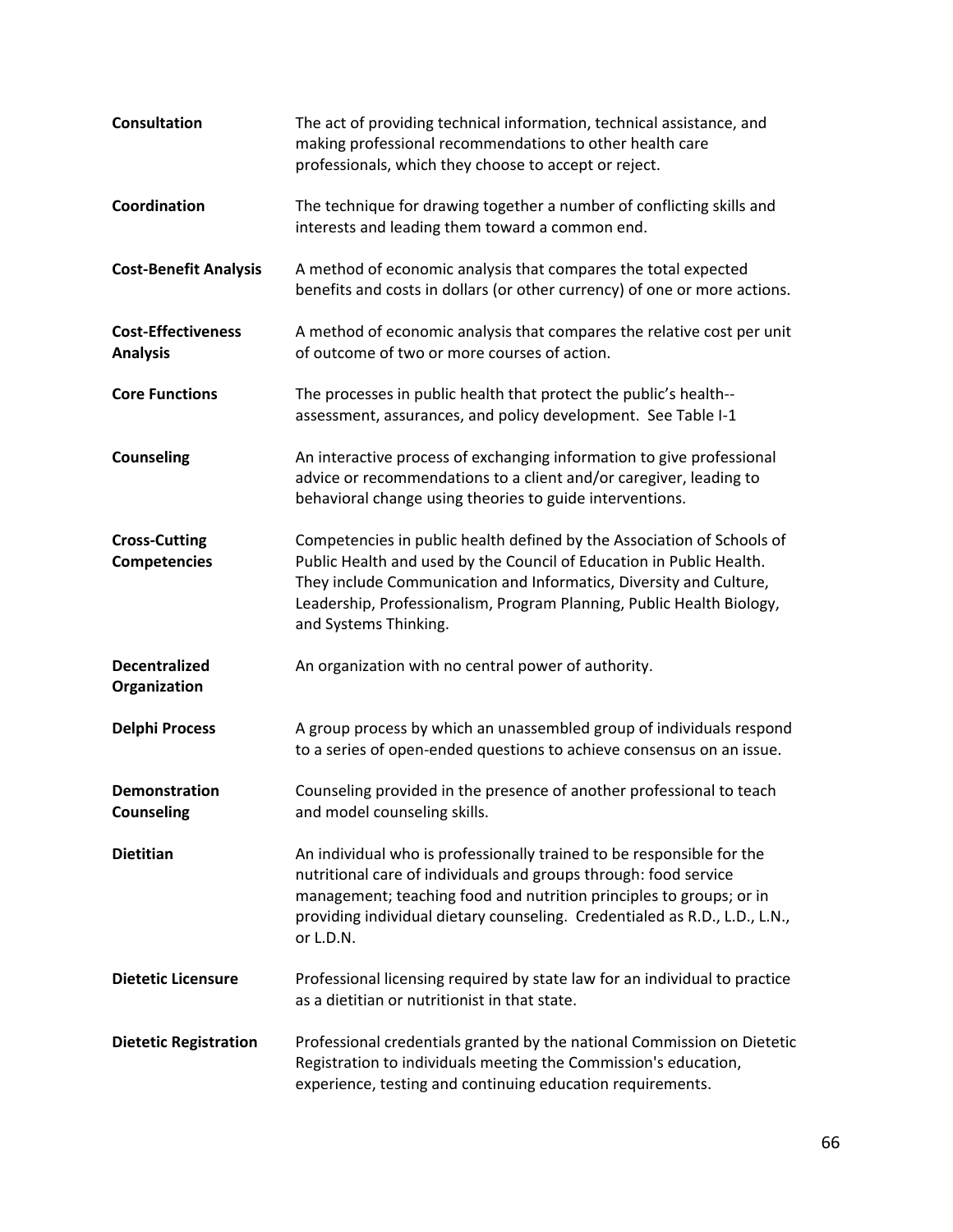| <b>Consultation</b>                          | The act of providing technical information, technical assistance, and<br>making professional recommendations to other health care<br>professionals, which they choose to accept or reject.                                                                                                                             |
|----------------------------------------------|------------------------------------------------------------------------------------------------------------------------------------------------------------------------------------------------------------------------------------------------------------------------------------------------------------------------|
| Coordination                                 | The technique for drawing together a number of conflicting skills and<br>interests and leading them toward a common end.                                                                                                                                                                                               |
| <b>Cost-Benefit Analysis</b>                 | A method of economic analysis that compares the total expected<br>benefits and costs in dollars (or other currency) of one or more actions.                                                                                                                                                                            |
| <b>Cost-Effectiveness</b><br><b>Analysis</b> | A method of economic analysis that compares the relative cost per unit<br>of outcome of two or more courses of action.                                                                                                                                                                                                 |
| <b>Core Functions</b>                        | The processes in public health that protect the public's health--<br>assessment, assurances, and policy development. See Table I-1                                                                                                                                                                                     |
| <b>Counseling</b>                            | An interactive process of exchanging information to give professional<br>advice or recommendations to a client and/or caregiver, leading to<br>behavioral change using theories to guide interventions.                                                                                                                |
| <b>Cross-Cutting</b><br><b>Competencies</b>  | Competencies in public health defined by the Association of Schools of<br>Public Health and used by the Council of Education in Public Health.<br>They include Communication and Informatics, Diversity and Culture,<br>Leadership, Professionalism, Program Planning, Public Health Biology,<br>and Systems Thinking. |
| <b>Decentralized</b><br>Organization         | An organization with no central power of authority.                                                                                                                                                                                                                                                                    |
| <b>Delphi Process</b>                        | A group process by which an unassembled group of individuals respond<br>to a series of open-ended questions to achieve consensus on an issue.                                                                                                                                                                          |
| <b>Demonstration</b><br><b>Counseling</b>    | Counseling provided in the presence of another professional to teach<br>and model counseling skills.                                                                                                                                                                                                                   |
| <b>Dietitian</b>                             | An individual who is professionally trained to be responsible for the<br>nutritional care of individuals and groups through: food service<br>management; teaching food and nutrition principles to groups; or in<br>providing individual dietary counseling. Credentialed as R.D., L.D., L.N.,<br>or L.D.N.            |
| <b>Dietetic Licensure</b>                    | Professional licensing required by state law for an individual to practice<br>as a dietitian or nutritionist in that state.                                                                                                                                                                                            |
| <b>Dietetic Registration</b>                 | Professional credentials granted by the national Commission on Dietetic<br>Registration to individuals meeting the Commission's education,<br>experience, testing and continuing education requirements.                                                                                                               |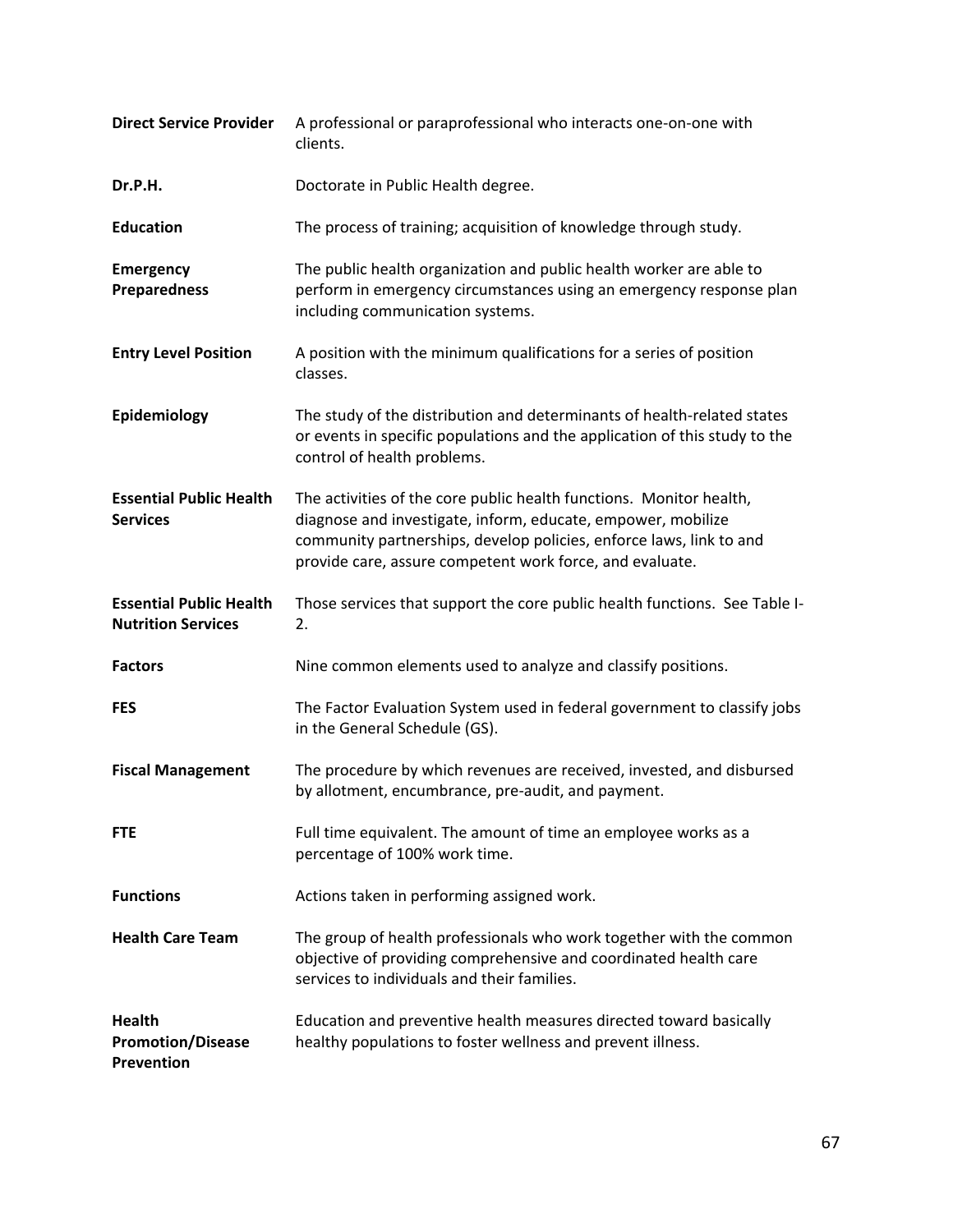| <b>Direct Service Provider</b>                              | A professional or paraprofessional who interacts one-on-one with<br>clients.                                                                                                                                                                                           |
|-------------------------------------------------------------|------------------------------------------------------------------------------------------------------------------------------------------------------------------------------------------------------------------------------------------------------------------------|
| Dr.P.H.                                                     | Doctorate in Public Health degree.                                                                                                                                                                                                                                     |
| <b>Education</b>                                            | The process of training; acquisition of knowledge through study.                                                                                                                                                                                                       |
| <b>Emergency</b><br><b>Preparedness</b>                     | The public health organization and public health worker are able to<br>perform in emergency circumstances using an emergency response plan<br>including communication systems.                                                                                         |
| <b>Entry Level Position</b>                                 | A position with the minimum qualifications for a series of position<br>classes.                                                                                                                                                                                        |
| Epidemiology                                                | The study of the distribution and determinants of health-related states<br>or events in specific populations and the application of this study to the<br>control of health problems.                                                                                   |
| <b>Essential Public Health</b><br><b>Services</b>           | The activities of the core public health functions. Monitor health,<br>diagnose and investigate, inform, educate, empower, mobilize<br>community partnerships, develop policies, enforce laws, link to and<br>provide care, assure competent work force, and evaluate. |
| <b>Essential Public Health</b><br><b>Nutrition Services</b> | Those services that support the core public health functions. See Table I-<br>2.                                                                                                                                                                                       |
|                                                             | Nine common elements used to analyze and classify positions.                                                                                                                                                                                                           |
| <b>Factors</b>                                              |                                                                                                                                                                                                                                                                        |
| <b>FES</b>                                                  | The Factor Evaluation System used in federal government to classify jobs<br>in the General Schedule (GS).                                                                                                                                                              |
| <b>Fiscal Management</b>                                    | The procedure by which revenues are received, invested, and disbursed<br>by allotment, encumbrance, pre-audit, and payment.                                                                                                                                            |
| <b>FTE</b>                                                  | Full time equivalent. The amount of time an employee works as a<br>percentage of 100% work time.                                                                                                                                                                       |
| <b>Functions</b>                                            | Actions taken in performing assigned work.                                                                                                                                                                                                                             |
| <b>Health Care Team</b>                                     | The group of health professionals who work together with the common<br>objective of providing comprehensive and coordinated health care<br>services to individuals and their families.                                                                                 |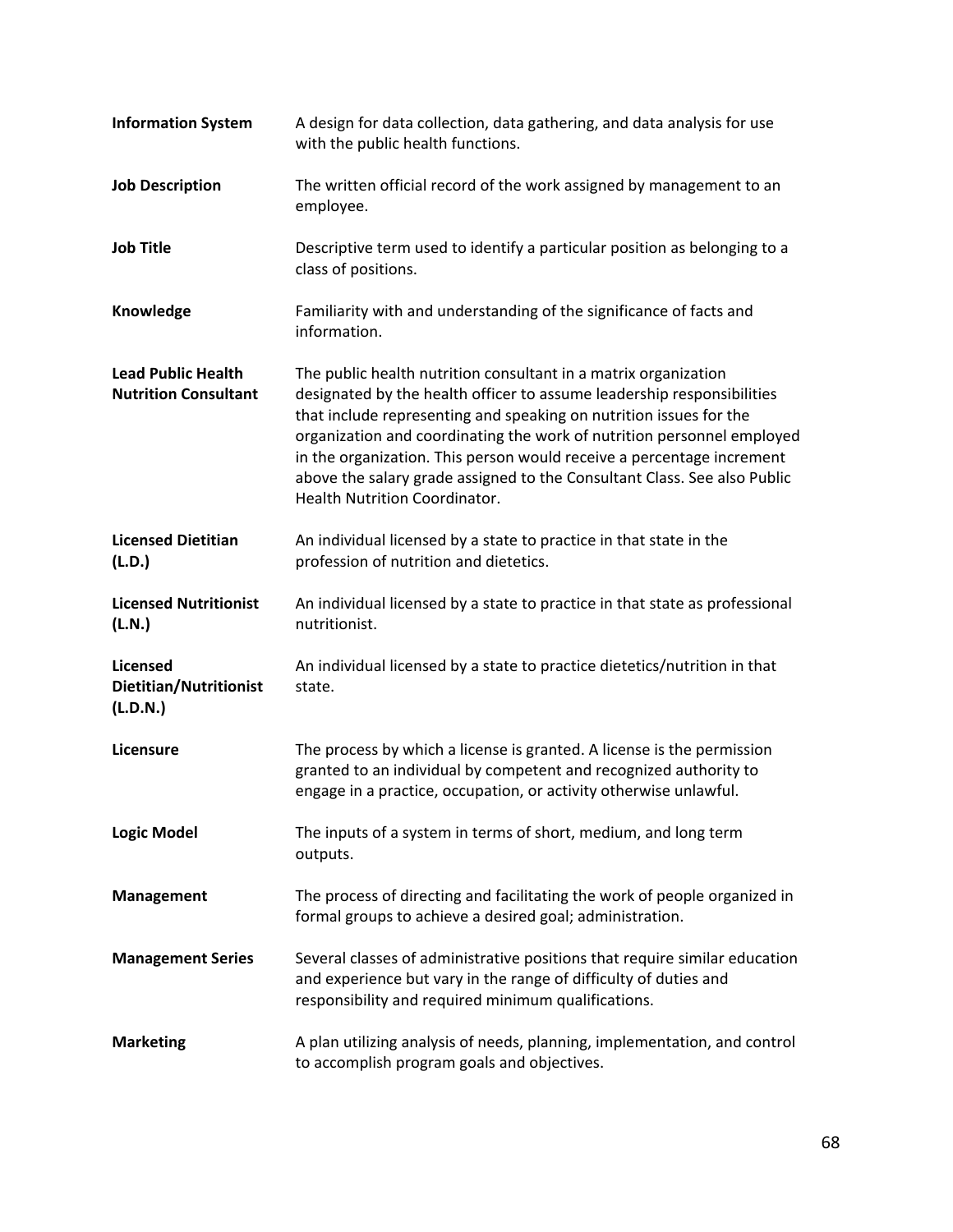| <b>Information System</b>                                | A design for data collection, data gathering, and data analysis for use<br>with the public health functions.                                                                                                                                                                                                                                                                                                                                                                           |
|----------------------------------------------------------|----------------------------------------------------------------------------------------------------------------------------------------------------------------------------------------------------------------------------------------------------------------------------------------------------------------------------------------------------------------------------------------------------------------------------------------------------------------------------------------|
| <b>Job Description</b>                                   | The written official record of the work assigned by management to an<br>employee.                                                                                                                                                                                                                                                                                                                                                                                                      |
| <b>Job Title</b>                                         | Descriptive term used to identify a particular position as belonging to a<br>class of positions.                                                                                                                                                                                                                                                                                                                                                                                       |
| Knowledge                                                | Familiarity with and understanding of the significance of facts and<br>information.                                                                                                                                                                                                                                                                                                                                                                                                    |
| <b>Lead Public Health</b><br><b>Nutrition Consultant</b> | The public health nutrition consultant in a matrix organization<br>designated by the health officer to assume leadership responsibilities<br>that include representing and speaking on nutrition issues for the<br>organization and coordinating the work of nutrition personnel employed<br>in the organization. This person would receive a percentage increment<br>above the salary grade assigned to the Consultant Class. See also Public<br><b>Health Nutrition Coordinator.</b> |
| <b>Licensed Dietitian</b><br>(L.D.)                      | An individual licensed by a state to practice in that state in the<br>profession of nutrition and dietetics.                                                                                                                                                                                                                                                                                                                                                                           |
| <b>Licensed Nutritionist</b><br>(L.N.)                   | An individual licensed by a state to practice in that state as professional<br>nutritionist.                                                                                                                                                                                                                                                                                                                                                                                           |
| Licensed<br>Dietitian/Nutritionist<br>(L.D.N.)           | An individual licensed by a state to practice dietetics/nutrition in that<br>state.                                                                                                                                                                                                                                                                                                                                                                                                    |
| Licensure                                                | The process by which a license is granted. A license is the permission<br>granted to an individual by competent and recognized authority to<br>engage in a practice, occupation, or activity otherwise unlawful.                                                                                                                                                                                                                                                                       |
| <b>Logic Model</b>                                       | The inputs of a system in terms of short, medium, and long term<br>outputs.                                                                                                                                                                                                                                                                                                                                                                                                            |
| Management                                               | The process of directing and facilitating the work of people organized in<br>formal groups to achieve a desired goal; administration.                                                                                                                                                                                                                                                                                                                                                  |
| <b>Management Series</b>                                 | Several classes of administrative positions that require similar education<br>and experience but vary in the range of difficulty of duties and<br>responsibility and required minimum qualifications.                                                                                                                                                                                                                                                                                  |
| <b>Marketing</b>                                         | A plan utilizing analysis of needs, planning, implementation, and control<br>to accomplish program goals and objectives.                                                                                                                                                                                                                                                                                                                                                               |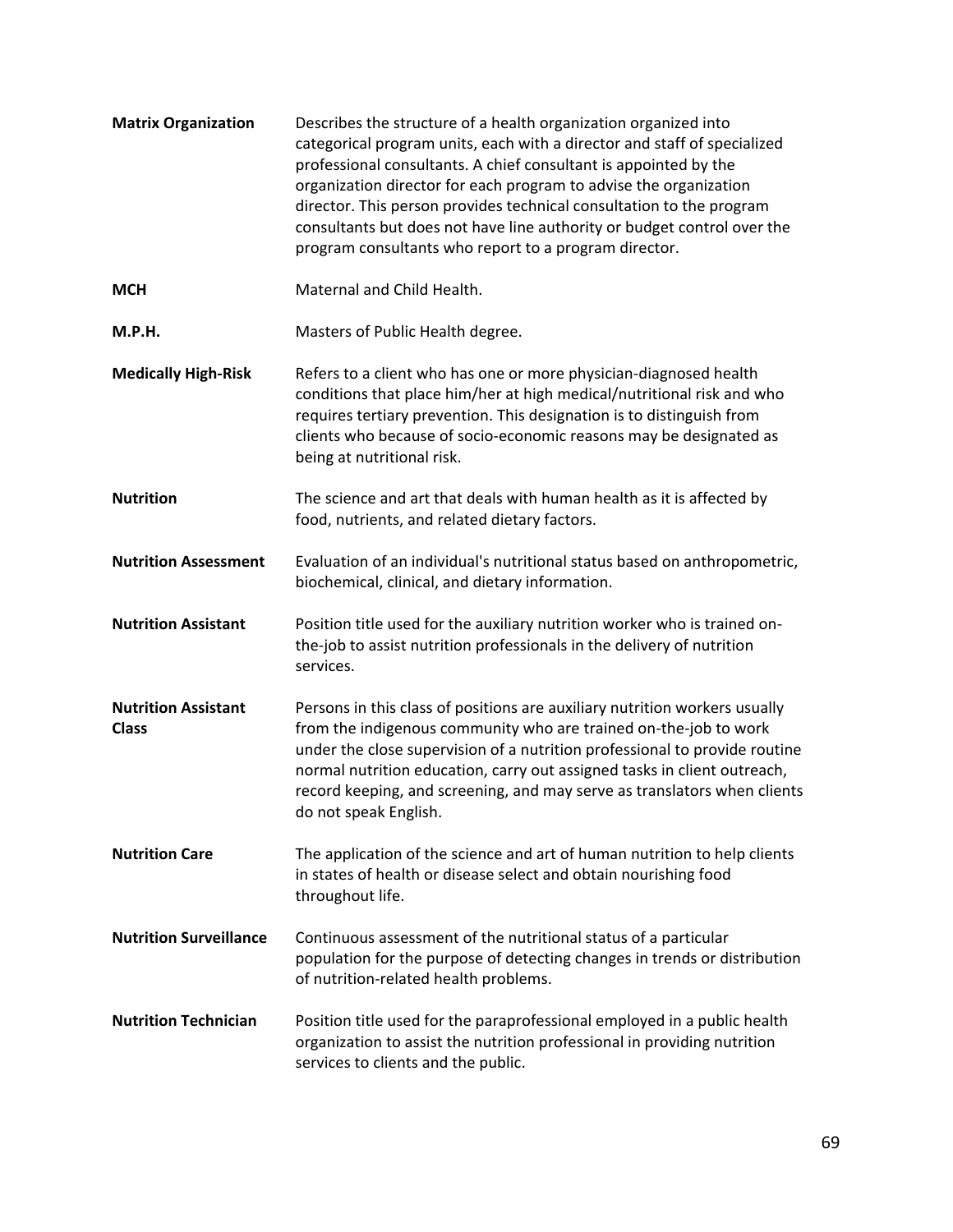| <b>Matrix Organization</b>                 | Describes the structure of a health organization organized into<br>categorical program units, each with a director and staff of specialized<br>professional consultants. A chief consultant is appointed by the<br>organization director for each program to advise the organization<br>director. This person provides technical consultation to the program<br>consultants but does not have line authority or budget control over the<br>program consultants who report to a program director. |
|--------------------------------------------|--------------------------------------------------------------------------------------------------------------------------------------------------------------------------------------------------------------------------------------------------------------------------------------------------------------------------------------------------------------------------------------------------------------------------------------------------------------------------------------------------|
| <b>MCH</b>                                 | Maternal and Child Health.                                                                                                                                                                                                                                                                                                                                                                                                                                                                       |
| <b>M.P.H.</b>                              | Masters of Public Health degree.                                                                                                                                                                                                                                                                                                                                                                                                                                                                 |
| <b>Medically High-Risk</b>                 | Refers to a client who has one or more physician-diagnosed health<br>conditions that place him/her at high medical/nutritional risk and who<br>requires tertiary prevention. This designation is to distinguish from<br>clients who because of socio-economic reasons may be designated as<br>being at nutritional risk.                                                                                                                                                                         |
| <b>Nutrition</b>                           | The science and art that deals with human health as it is affected by<br>food, nutrients, and related dietary factors.                                                                                                                                                                                                                                                                                                                                                                           |
| <b>Nutrition Assessment</b>                | Evaluation of an individual's nutritional status based on anthropometric,<br>biochemical, clinical, and dietary information.                                                                                                                                                                                                                                                                                                                                                                     |
| <b>Nutrition Assistant</b>                 | Position title used for the auxiliary nutrition worker who is trained on-<br>the-job to assist nutrition professionals in the delivery of nutrition<br>services.                                                                                                                                                                                                                                                                                                                                 |
| <b>Nutrition Assistant</b><br><b>Class</b> | Persons in this class of positions are auxiliary nutrition workers usually<br>from the indigenous community who are trained on-the-job to work<br>under the close supervision of a nutrition professional to provide routine<br>normal nutrition education, carry out assigned tasks in client outreach,<br>record keeping, and screening, and may serve as translators when clients<br>do not speak English.                                                                                    |
| <b>Nutrition Care</b>                      | The application of the science and art of human nutrition to help clients<br>in states of health or disease select and obtain nourishing food<br>throughout life.                                                                                                                                                                                                                                                                                                                                |
| <b>Nutrition Surveillance</b>              | Continuous assessment of the nutritional status of a particular<br>population for the purpose of detecting changes in trends or distribution<br>of nutrition-related health problems.                                                                                                                                                                                                                                                                                                            |
| <b>Nutrition Technician</b>                | Position title used for the paraprofessional employed in a public health<br>organization to assist the nutrition professional in providing nutrition<br>services to clients and the public.                                                                                                                                                                                                                                                                                                      |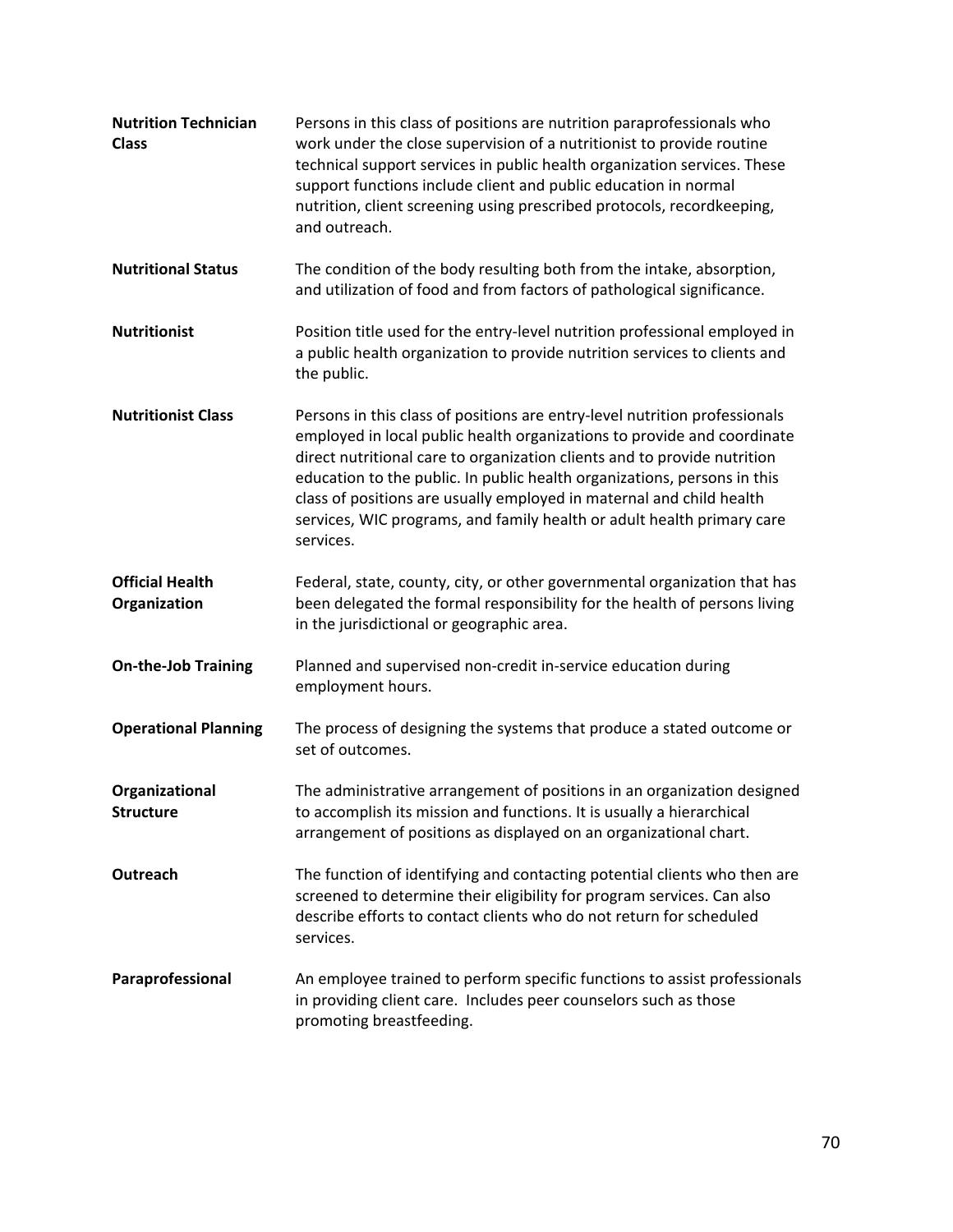| <b>Nutrition Technician</b><br><b>Class</b> | Persons in this class of positions are nutrition paraprofessionals who<br>work under the close supervision of a nutritionist to provide routine<br>technical support services in public health organization services. These<br>support functions include client and public education in normal<br>nutrition, client screening using prescribed protocols, recordkeeping,<br>and outreach.                                                                                    |
|---------------------------------------------|------------------------------------------------------------------------------------------------------------------------------------------------------------------------------------------------------------------------------------------------------------------------------------------------------------------------------------------------------------------------------------------------------------------------------------------------------------------------------|
| <b>Nutritional Status</b>                   | The condition of the body resulting both from the intake, absorption,<br>and utilization of food and from factors of pathological significance.                                                                                                                                                                                                                                                                                                                              |
| <b>Nutritionist</b>                         | Position title used for the entry-level nutrition professional employed in<br>a public health organization to provide nutrition services to clients and<br>the public.                                                                                                                                                                                                                                                                                                       |
| <b>Nutritionist Class</b>                   | Persons in this class of positions are entry-level nutrition professionals<br>employed in local public health organizations to provide and coordinate<br>direct nutritional care to organization clients and to provide nutrition<br>education to the public. In public health organizations, persons in this<br>class of positions are usually employed in maternal and child health<br>services, WIC programs, and family health or adult health primary care<br>services. |
| <b>Official Health</b><br>Organization      | Federal, state, county, city, or other governmental organization that has<br>been delegated the formal responsibility for the health of persons living<br>in the jurisdictional or geographic area.                                                                                                                                                                                                                                                                          |
| <b>On-the-Job Training</b>                  | Planned and supervised non-credit in-service education during<br>employment hours.                                                                                                                                                                                                                                                                                                                                                                                           |
| <b>Operational Planning</b>                 | The process of designing the systems that produce a stated outcome or<br>set of outcomes.                                                                                                                                                                                                                                                                                                                                                                                    |
| Organizational<br><b>Structure</b>          | The administrative arrangement of positions in an organization designed<br>to accomplish its mission and functions. It is usually a hierarchical<br>arrangement of positions as displayed on an organizational chart.                                                                                                                                                                                                                                                        |
| Outreach                                    | The function of identifying and contacting potential clients who then are<br>screened to determine their eligibility for program services. Can also<br>describe efforts to contact clients who do not return for scheduled<br>services.                                                                                                                                                                                                                                      |
| Paraprofessional                            | An employee trained to perform specific functions to assist professionals<br>in providing client care. Includes peer counselors such as those<br>promoting breastfeeding.                                                                                                                                                                                                                                                                                                    |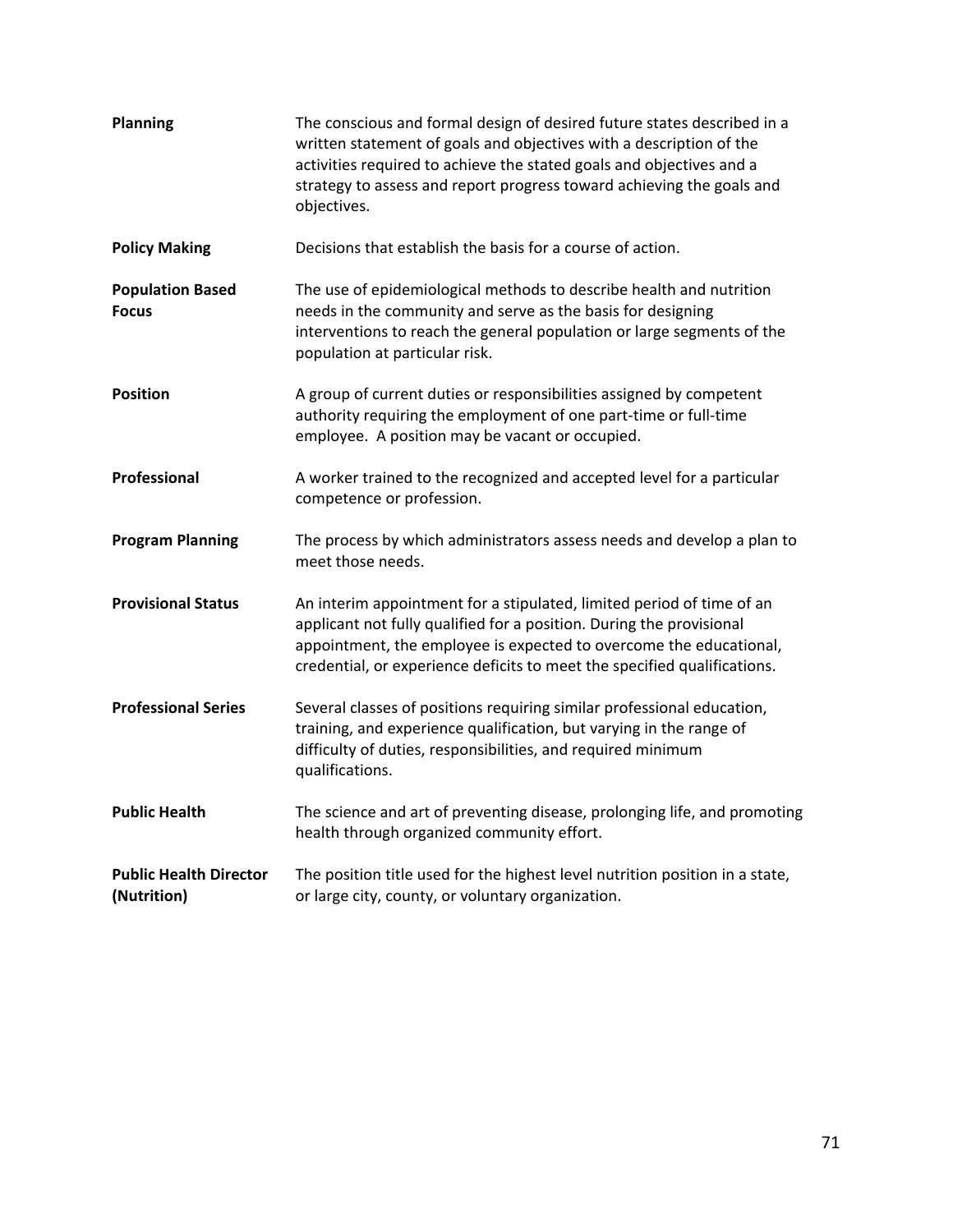| <b>Planning</b>                              | The conscious and formal design of desired future states described in a<br>written statement of goals and objectives with a description of the<br>activities required to achieve the stated goals and objectives and a<br>strategy to assess and report progress toward achieving the goals and<br>objectives. |
|----------------------------------------------|----------------------------------------------------------------------------------------------------------------------------------------------------------------------------------------------------------------------------------------------------------------------------------------------------------------|
| <b>Policy Making</b>                         | Decisions that establish the basis for a course of action.                                                                                                                                                                                                                                                     |
| <b>Population Based</b><br><b>Focus</b>      | The use of epidemiological methods to describe health and nutrition<br>needs in the community and serve as the basis for designing<br>interventions to reach the general population or large segments of the<br>population at particular risk.                                                                 |
| <b>Position</b>                              | A group of current duties or responsibilities assigned by competent<br>authority requiring the employment of one part-time or full-time<br>employee. A position may be vacant or occupied.                                                                                                                     |
| Professional                                 | A worker trained to the recognized and accepted level for a particular<br>competence or profession.                                                                                                                                                                                                            |
| <b>Program Planning</b>                      | The process by which administrators assess needs and develop a plan to<br>meet those needs.                                                                                                                                                                                                                    |
| <b>Provisional Status</b>                    | An interim appointment for a stipulated, limited period of time of an<br>applicant not fully qualified for a position. During the provisional<br>appointment, the employee is expected to overcome the educational,<br>credential, or experience deficits to meet the specified qualifications.                |
| <b>Professional Series</b>                   | Several classes of positions requiring similar professional education,<br>training, and experience qualification, but varying in the range of<br>difficulty of duties, responsibilities, and required minimum<br>qualifications.                                                                               |
| <b>Public Health</b>                         | The science and art of preventing disease, prolonging life, and promoting<br>health through organized community effort.                                                                                                                                                                                        |
| <b>Public Health Director</b><br>(Nutrition) | The position title used for the highest level nutrition position in a state,<br>or large city, county, or voluntary organization.                                                                                                                                                                              |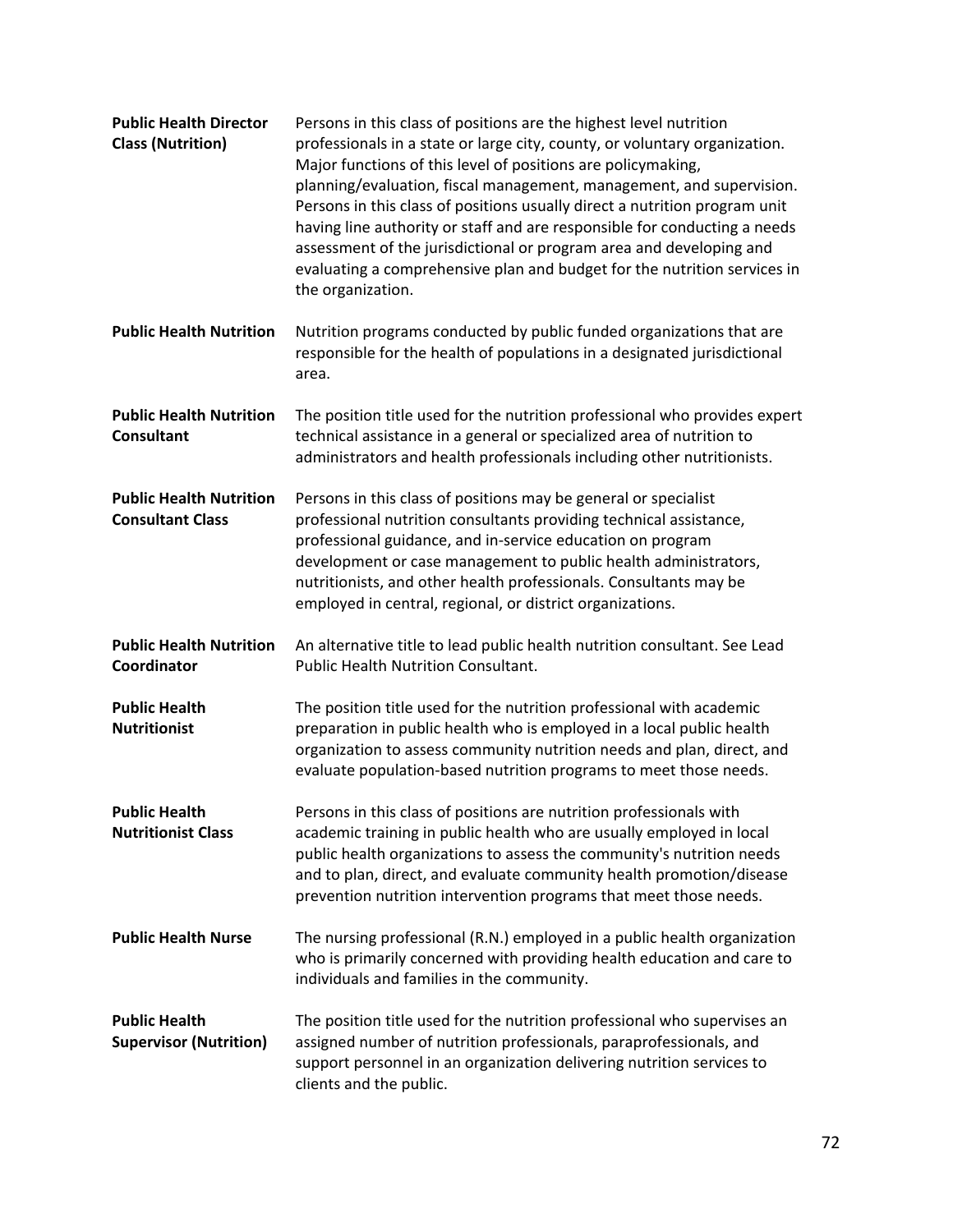| <b>Public Health Director</b><br><b>Class (Nutrition)</b> | Persons in this class of positions are the highest level nutrition<br>professionals in a state or large city, county, or voluntary organization.<br>Major functions of this level of positions are policymaking,<br>planning/evaluation, fiscal management, management, and supervision.<br>Persons in this class of positions usually direct a nutrition program unit<br>having line authority or staff and are responsible for conducting a needs<br>assessment of the jurisdictional or program area and developing and<br>evaluating a comprehensive plan and budget for the nutrition services in<br>the organization. |
|-----------------------------------------------------------|-----------------------------------------------------------------------------------------------------------------------------------------------------------------------------------------------------------------------------------------------------------------------------------------------------------------------------------------------------------------------------------------------------------------------------------------------------------------------------------------------------------------------------------------------------------------------------------------------------------------------------|
| <b>Public Health Nutrition</b>                            | Nutrition programs conducted by public funded organizations that are<br>responsible for the health of populations in a designated jurisdictional<br>area.                                                                                                                                                                                                                                                                                                                                                                                                                                                                   |
| <b>Public Health Nutrition</b><br><b>Consultant</b>       | The position title used for the nutrition professional who provides expert<br>technical assistance in a general or specialized area of nutrition to<br>administrators and health professionals including other nutritionists.                                                                                                                                                                                                                                                                                                                                                                                               |
| <b>Public Health Nutrition</b><br><b>Consultant Class</b> | Persons in this class of positions may be general or specialist<br>professional nutrition consultants providing technical assistance,<br>professional guidance, and in-service education on program<br>development or case management to public health administrators,<br>nutritionists, and other health professionals. Consultants may be<br>employed in central, regional, or district organizations.                                                                                                                                                                                                                    |
| <b>Public Health Nutrition</b><br>Coordinator             | An alternative title to lead public health nutrition consultant. See Lead<br><b>Public Health Nutrition Consultant.</b>                                                                                                                                                                                                                                                                                                                                                                                                                                                                                                     |
| <b>Public Health</b><br><b>Nutritionist</b>               | The position title used for the nutrition professional with academic<br>preparation in public health who is employed in a local public health<br>organization to assess community nutrition needs and plan, direct, and<br>evaluate population-based nutrition programs to meet those needs.                                                                                                                                                                                                                                                                                                                                |
| <b>Public Health</b><br><b>Nutritionist Class</b>         | Persons in this class of positions are nutrition professionals with<br>academic training in public health who are usually employed in local<br>public health organizations to assess the community's nutrition needs<br>and to plan, direct, and evaluate community health promotion/disease<br>prevention nutrition intervention programs that meet those needs.                                                                                                                                                                                                                                                           |
| <b>Public Health Nurse</b>                                | The nursing professional (R.N.) employed in a public health organization<br>who is primarily concerned with providing health education and care to<br>individuals and families in the community.                                                                                                                                                                                                                                                                                                                                                                                                                            |
| <b>Public Health</b><br><b>Supervisor (Nutrition)</b>     | The position title used for the nutrition professional who supervises an<br>assigned number of nutrition professionals, paraprofessionals, and<br>support personnel in an organization delivering nutrition services to<br>clients and the public.                                                                                                                                                                                                                                                                                                                                                                          |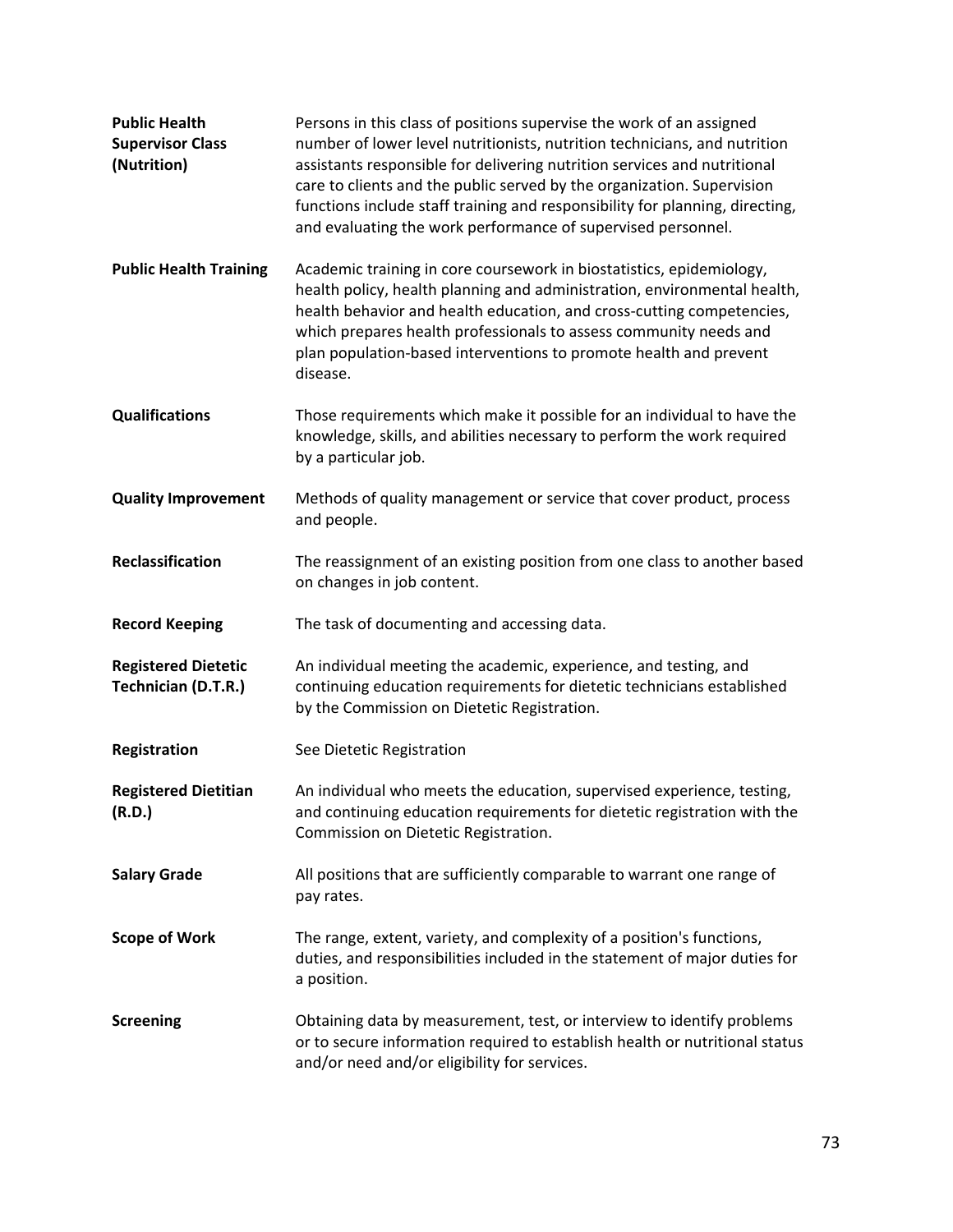| <b>Public Health</b><br><b>Supervisor Class</b><br>(Nutrition) | Persons in this class of positions supervise the work of an assigned<br>number of lower level nutritionists, nutrition technicians, and nutrition<br>assistants responsible for delivering nutrition services and nutritional<br>care to clients and the public served by the organization. Supervision<br>functions include staff training and responsibility for planning, directing,<br>and evaluating the work performance of supervised personnel. |
|----------------------------------------------------------------|---------------------------------------------------------------------------------------------------------------------------------------------------------------------------------------------------------------------------------------------------------------------------------------------------------------------------------------------------------------------------------------------------------------------------------------------------------|
| <b>Public Health Training</b>                                  | Academic training in core coursework in biostatistics, epidemiology,<br>health policy, health planning and administration, environmental health,<br>health behavior and health education, and cross-cutting competencies,<br>which prepares health professionals to assess community needs and<br>plan population-based interventions to promote health and prevent<br>disease.                                                                         |
| <b>Qualifications</b>                                          | Those requirements which make it possible for an individual to have the<br>knowledge, skills, and abilities necessary to perform the work required<br>by a particular job.                                                                                                                                                                                                                                                                              |
| <b>Quality Improvement</b>                                     | Methods of quality management or service that cover product, process<br>and people.                                                                                                                                                                                                                                                                                                                                                                     |
| Reclassification                                               | The reassignment of an existing position from one class to another based<br>on changes in job content.                                                                                                                                                                                                                                                                                                                                                  |
| <b>Record Keeping</b>                                          | The task of documenting and accessing data.                                                                                                                                                                                                                                                                                                                                                                                                             |
| <b>Registered Dietetic</b><br>Technician (D.T.R.)              | An individual meeting the academic, experience, and testing, and<br>continuing education requirements for dietetic technicians established<br>by the Commission on Dietetic Registration.                                                                                                                                                                                                                                                               |
| Registration                                                   | See Dietetic Registration                                                                                                                                                                                                                                                                                                                                                                                                                               |
| <b>Registered Dietitian</b><br>(R.D.)                          | An individual who meets the education, supervised experience, testing,<br>and continuing education requirements for dietetic registration with the<br>Commission on Dietetic Registration.                                                                                                                                                                                                                                                              |
| <b>Salary Grade</b>                                            | All positions that are sufficiently comparable to warrant one range of<br>pay rates.                                                                                                                                                                                                                                                                                                                                                                    |
| <b>Scope of Work</b>                                           | The range, extent, variety, and complexity of a position's functions,<br>duties, and responsibilities included in the statement of major duties for<br>a position.                                                                                                                                                                                                                                                                                      |
| <b>Screening</b>                                               | Obtaining data by measurement, test, or interview to identify problems<br>or to secure information required to establish health or nutritional status<br>and/or need and/or eligibility for services.                                                                                                                                                                                                                                                   |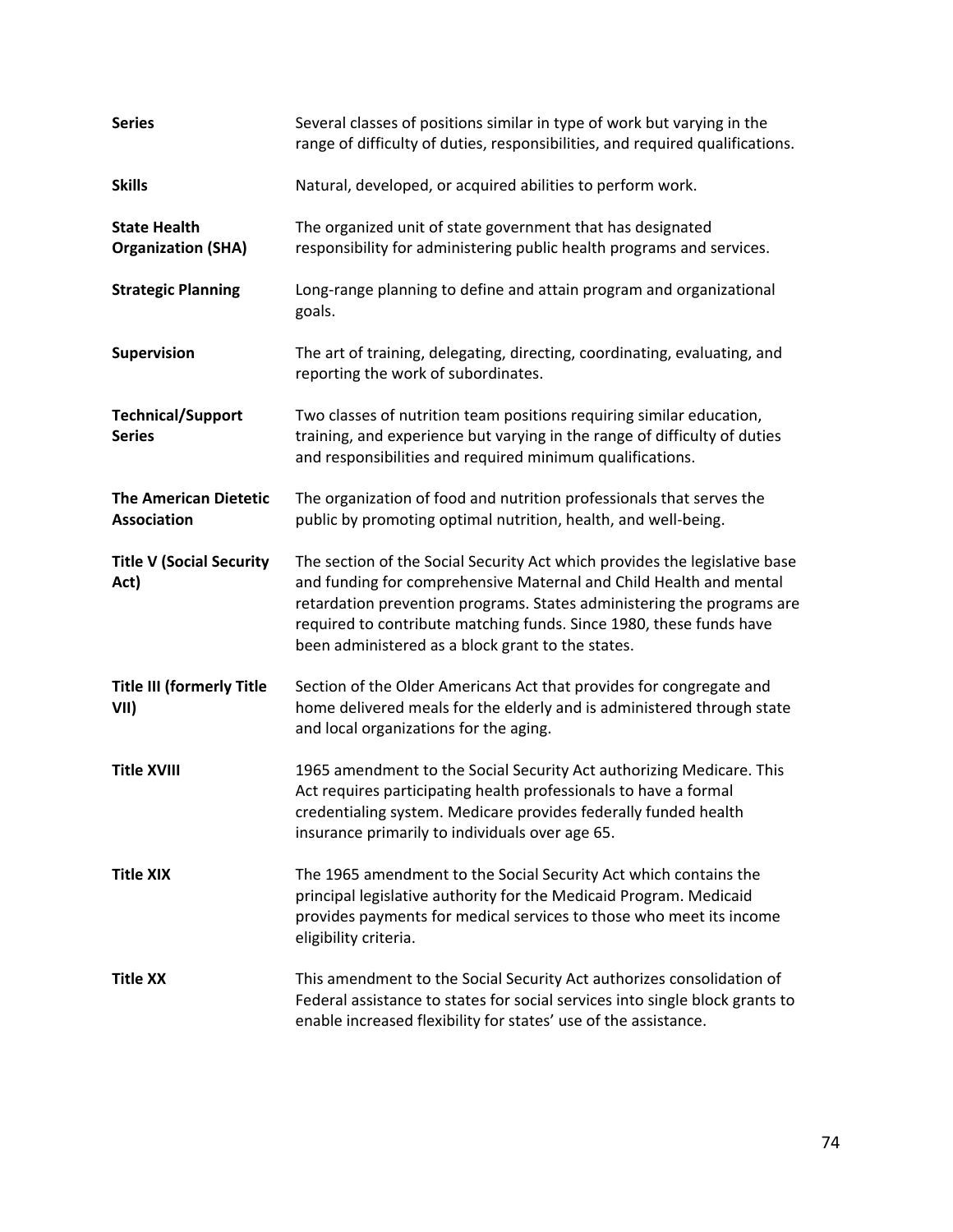| <b>Series</b>                                    | Several classes of positions similar in type of work but varying in the<br>range of difficulty of duties, responsibilities, and required qualifications.                                                                                                                                                                                               |
|--------------------------------------------------|--------------------------------------------------------------------------------------------------------------------------------------------------------------------------------------------------------------------------------------------------------------------------------------------------------------------------------------------------------|
| <b>Skills</b>                                    | Natural, developed, or acquired abilities to perform work.                                                                                                                                                                                                                                                                                             |
| <b>State Health</b><br><b>Organization (SHA)</b> | The organized unit of state government that has designated<br>responsibility for administering public health programs and services.                                                                                                                                                                                                                    |
| <b>Strategic Planning</b>                        | Long-range planning to define and attain program and organizational<br>goals.                                                                                                                                                                                                                                                                          |
| Supervision                                      | The art of training, delegating, directing, coordinating, evaluating, and<br>reporting the work of subordinates.                                                                                                                                                                                                                                       |
| <b>Technical/Support</b><br><b>Series</b>        | Two classes of nutrition team positions requiring similar education,<br>training, and experience but varying in the range of difficulty of duties<br>and responsibilities and required minimum qualifications.                                                                                                                                         |
| <b>The American Dietetic</b><br>Association      | The organization of food and nutrition professionals that serves the<br>public by promoting optimal nutrition, health, and well-being.                                                                                                                                                                                                                 |
| <b>Title V (Social Security</b><br>Act)          | The section of the Social Security Act which provides the legislative base<br>and funding for comprehensive Maternal and Child Health and mental<br>retardation prevention programs. States administering the programs are<br>required to contribute matching funds. Since 1980, these funds have<br>been administered as a block grant to the states. |
| <b>Title III (formerly Title</b><br>VII)         | Section of the Older Americans Act that provides for congregate and<br>home delivered meals for the elderly and is administered through state<br>and local organizations for the aging.                                                                                                                                                                |
| <b>Title XVIII</b>                               | 1965 amendment to the Social Security Act authorizing Medicare. This<br>Act requires participating health professionals to have a formal<br>credentialing system. Medicare provides federally funded health<br>insurance primarily to individuals over age 65.                                                                                         |
| <b>Title XIX</b>                                 | The 1965 amendment to the Social Security Act which contains the<br>principal legislative authority for the Medicaid Program. Medicaid<br>provides payments for medical services to those who meet its income<br>eligibility criteria.                                                                                                                 |
| <b>Title XX</b>                                  | This amendment to the Social Security Act authorizes consolidation of<br>Federal assistance to states for social services into single block grants to<br>enable increased flexibility for states' use of the assistance.                                                                                                                               |